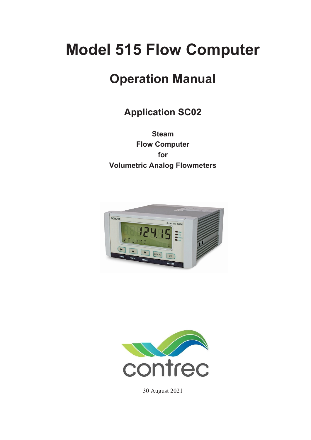# **Model 515 Flow Computer**

# **Operation Manual**

# **Application SC02**

**Steam Flow Computer for Volumetric Analog Flowmeters** 





30 August 2021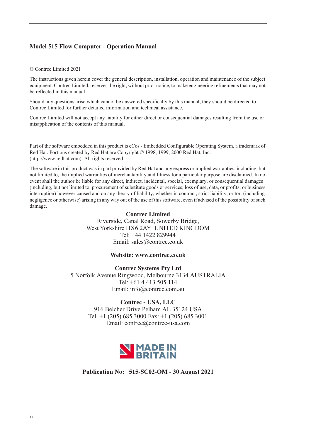### **Model 515 Flow Computer - Operation Manual**

#### © Contrec Limited 2021

The instructions given herein cover the general description, installation, operation and maintenance of the subject equipment. Contrec Limited. reserves the right, without prior notice, to make engineering refinements that may not be reflected in this manual.

Should any questions arise which cannot be answered specifically by this manual, they should be directed to Contrec Limited for further detailed information and technical assistance.

Contrec Limited will not accept any liability for either direct or consequential damages resulting from the use or misapplication of the contents of this manual.

Part of the software embedded in this product is eCos - Embedded Configurable Operating System, a trademark of Red Hat. Portions created by Red Hat are Copyright © 1998, 1999, 2000 Red Hat, Inc. (http://www.redhat.com). All rights reserved

The software in this product was in part provided by Red Hat and any express or implied warranties, including, but not limited to, the implied warranties of merchantability and fitness for a particular purpose are disclaimed. In no event shall the author be liable for any direct, indirect, incidental, special, exemplary, or consequential damages (including, but not limited to, procurement of substitute goods or services; loss of use, data, or profits; or business interruption) however caused and on any theory of liability, whether in contract, strict liability, or tort (including negligence or otherwise) arising in any way out of the use of this software, even if advised of the possibility of such damage.

#### **Contrec Limited**

Riverside, Canal Road, Sowerby Bridge, West Yorkshire HX6 2AY UNITED KINGDOM Tel: +44 1422 829944 Email: sales@contrec.co.uk

#### **Website: www.contrec.co.uk**

**Contrec Systems Pty Ltd** 5 Norfolk Avenue Ringwood, Melbourne 3134 AUSTRALIA Tel: +61 4 413 505 114 Email: info@contrec.com.au

#### **Contrec - USA, LLC**

916 Belcher Drive Pelham AL 35124 USA Tel: +1 (205) 685 3000 Fax: +1 (205) 685 3001 Email: contrec@contrec-usa.com



**Publication No: 515-SC02-OM - 30 August 2021**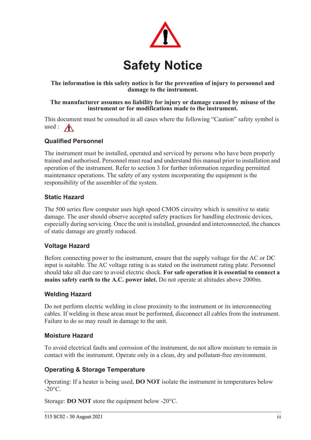

#### **The information in this safety notice is for the prevention of injury to personnel and damage to the instrument.**

#### **The manufacturer assumes no liability for injury or damage caused by misuse of the instrument or for modifications made to the instrument.**

This document must be consulted in all cases where the following "Caution" safety symbol is used :  $\bigwedge$ 

### **Qualified Personnel**

The instrument must be installed, operated and serviced by persons who have been properly trained and authorised. Personnel must read and understand this manual prior to installation and operation of the instrument. Refer to section 3 for further information regarding permitted maintenance operations. The safety of any system incorporating the equipment is the responsibility of the assembler of the system.

### **Static Hazard**

The 500 series flow computer uses high speed CMOS circuitry which is sensitive to static damage. The user should observe accepted safety practices for handling electronic devices, especially during servicing. Once the unit is installed, grounded and interconnected, the chances of static damage are greatly reduced.

#### **Voltage Hazard**

Before connecting power to the instrument, ensure that the supply voltage for the AC or DC input is suitable. The AC voltage rating is as stated on the instrument rating plate. Personnel should take all due care to avoid electric shock. **For safe operation it is essential to connect a mains safety earth to the A.C. power inlet.** Do not operate at altitudes above 2000m.

#### **Welding Hazard**

Do not perform electric welding in close proximity to the instrument or its interconnecting cables. If welding in these areas must be performed, disconnect all cables from the instrument. Failure to do so may result in damage to the unit.

#### **Moisture Hazard**

To avoid electrical faults and corrosion of the instrument, do not allow moisture to remain in contact with the instrument. Operate only in a clean, dry and pollutant-free environment.

### **Operating & Storage Temperature**

Operating: If a heater is being used, **DO NOT** isolate the instrument in temperatures below  $-20^{\circ}$ C.

Storage: **DO NOT** store the equipment below -20°C.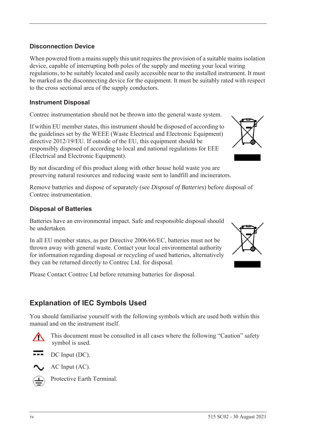### **Disconnection Device**

When powered from a mains supply this unit requires the provision of a suitable mains isolation device, capable of interrupting both poles of the supply and meeting your local wiring regulations, to be suitably located and easily accessible near to the installed instrument. It must be marked as the disconnecting device for the equipment. It must be suitably rated with respect to the cross sectional area of the supply conductors.

### **Instrument Disposal**

Contrec instrumentation should not be thrown into the general waste system.

If within EU member states, this instrument should be disposed of according to the guidelines set by the WEEE (Waste Electrical and Electronic Equipment) directive 2012/19/EU. If outside of the EU, this equipment should be responsibly disposed of according to local and national regulations for EEE (Electrical and Electronic Equipment).

By not discarding of this product along with other house hold waste you are preserving natural resources and reducing waste sent to landfill and incinerators.

Remove batteries and dispose of separately (see *Disposal of Batteries*) before disposal of Contrec instrumentation.

### **Disposal of Batteries**

Batteries have an environmental impact. Safe and responsible disposal should be undertaken.

In all EU member states, as per Directive 2006/66/EC, batteries must not be thrown away with general waste. Contact your local environmental authority for information regarding disposal or recycling of used batteries, alternatively they can be returned directly to Contrec Ltd. for disposal.

Please Contact Contrec Ltd before returning batteries for disposal.

# **Explanation of IEC Symbols Used**

You should familiarise yourself with the following symbols which are used both within this manual and on the instrument itself.



 This document must be consulted in all cases where the following "Caution" safety symbol is used.



AC Input (AC).



Protective Earth Terminal.



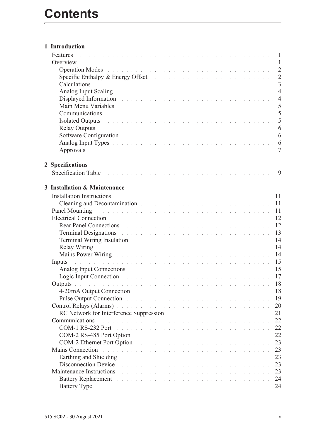| 1 Introduction |  |
|----------------|--|
|----------------|--|

|   | <b>Features</b> entering the contract of the contract of the contract of the contract of the contract of the contract of the contract of the contract of the contract of the contract of the contract of the contract of the contra |  |  |  |  |  |  |  |    |
|---|-------------------------------------------------------------------------------------------------------------------------------------------------------------------------------------------------------------------------------------|--|--|--|--|--|--|--|----|
|   |                                                                                                                                                                                                                                     |  |  |  |  |  |  |  |    |
|   |                                                                                                                                                                                                                                     |  |  |  |  |  |  |  |    |
|   | Specific Enthalpy & Energy Offset Enthalps Assembly Contract the Contract of the Contract of the Contract of the Contract of the Contract of the Contract of the Contract of the Contract of the Contract of the Contract of t      |  |  |  |  |  |  |  |    |
|   | Calculations des constructions and construction of the construction of the construction of 3                                                                                                                                        |  |  |  |  |  |  |  |    |
|   | Analog Input Scaling entering the contract of the contract of the contract of the contract of the 4                                                                                                                                 |  |  |  |  |  |  |  |    |
|   | Displayed Information and a contract of the contract of the contract of the contract of the 4                                                                                                                                       |  |  |  |  |  |  |  |    |
|   |                                                                                                                                                                                                                                     |  |  |  |  |  |  |  |    |
|   | Communications de la communication de la communication de la communication de la communication de la communication de la communication de la communication de la communication de la communication de la communication de la c      |  |  |  |  |  |  |  |    |
|   | Isolated Outputs and a contract the contract of the contract of the contract of the S                                                                                                                                               |  |  |  |  |  |  |  |    |
|   | Relay Outputs descriptions and containing the contract of the contract of the contract of the C                                                                                                                                     |  |  |  |  |  |  |  |    |
|   |                                                                                                                                                                                                                                     |  |  |  |  |  |  |  |    |
|   |                                                                                                                                                                                                                                     |  |  |  |  |  |  |  |    |
|   | Approvals the contract of the contract of the contract of the contract of the contract of the contract of the $\sigma$                                                                                                              |  |  |  |  |  |  |  |    |
|   |                                                                                                                                                                                                                                     |  |  |  |  |  |  |  |    |
|   | 2 Specifications                                                                                                                                                                                                                    |  |  |  |  |  |  |  |    |
|   |                                                                                                                                                                                                                                     |  |  |  |  |  |  |  |    |
|   |                                                                                                                                                                                                                                     |  |  |  |  |  |  |  |    |
| 3 | <b>Installation &amp; Maintenance</b>                                                                                                                                                                                               |  |  |  |  |  |  |  |    |
|   | Installation Instructions and a contract of the contract of the contract of the contract of the contract of the contract of the contract of the contract of the contract of the contract of the contract of the contract of th      |  |  |  |  |  |  |  |    |
|   | Cleaning and Decontamination and the contract of the contract of the contract of the contract of the contract of the contract of the contract of the contract of the contract of the contract of the contract of the contract       |  |  |  |  |  |  |  |    |
|   | Panel Mounting research and contract the contract of the contract of the contract of 11                                                                                                                                             |  |  |  |  |  |  |  |    |
|   | Electrical Connection and a constant of the contract of the contract of the contract of the contract of the contract of the contract of the contract of the contract of the contract of the contract of the contract of the co      |  |  |  |  |  |  |  |    |
|   | Rear Panel Connections and a constant of the contract of the contract of the contract of the contract of the contract of the contract of the contract of the contract of the contract of the contract of the contract of the c      |  |  |  |  |  |  |  |    |
|   | Terminal Designations and a contract the contract of the contract of the contract of the 13                                                                                                                                         |  |  |  |  |  |  |  |    |
|   | Terminal Wiring Insulation and a contract of the contract of the contract of the 14                                                                                                                                                 |  |  |  |  |  |  |  |    |
|   | Relay Wiring Theorem 2014 Communication of the Communication of the Communication of the Relay of the Communication of the Communication of the Communication of the Communication of the Communication of the Communication o      |  |  |  |  |  |  |  |    |
|   | Mains Power Wiring Mathews Allen and Allen and Allen and Allen and Allen and Allen and Allen and Allen and All                                                                                                                      |  |  |  |  |  |  |  |    |
|   | . The contract of the contract of the contract of the contract of the contract $\sim15$<br>Inputs                                                                                                                                   |  |  |  |  |  |  |  |    |
|   | Analog Input Connections and a contract the contract of the contract of the state of the 15                                                                                                                                         |  |  |  |  |  |  |  |    |
|   | Logic Input Connection and a construction of the contract of the contract of the 17                                                                                                                                                 |  |  |  |  |  |  |  |    |
|   | Outputs a communication of the communication of the communication of the communication                                                                                                                                              |  |  |  |  |  |  |  | 18 |
|   | 4-20 mA Output Connection and the contract of the contract of the contract of the contract of the contract of the contract of the contract of the contract of the contract of the contract of the contract of the contract of       |  |  |  |  |  |  |  | 18 |
|   | Pulse Output Connection entry the contract of the contract of the contract of the connection of the connection                                                                                                                      |  |  |  |  |  |  |  | 19 |
|   | Control Relays (Alarms) and a control of the control of the control of the control of the control of the control of the control of the control of the control of the control of the control of the control of the control of t      |  |  |  |  |  |  |  | 20 |
|   | RC Network for Interference Suppression and a contract to the contract of the set of the set of the set of the                                                                                                                      |  |  |  |  |  |  |  | 21 |
|   | Communications                                                                                                                                                                                                                      |  |  |  |  |  |  |  | 22 |
|   | COM-1 RS-232 Port<br>.<br>The contract of the contract of the contract of the contract of the contract of the contract of the contract o                                                                                            |  |  |  |  |  |  |  | 22 |
|   | COM-2 RS-485 Port Option                                                                                                                                                                                                            |  |  |  |  |  |  |  | 22 |
|   | COM-2 Ethernet Port Option                                                                                                                                                                                                          |  |  |  |  |  |  |  | 23 |
|   | <b>Mains Connection</b><br>.<br>In the company of the company of the company of the company of the company of the company of the company of th                                                                                      |  |  |  |  |  |  |  | 23 |
|   | Earthing and Shielding Theorem 2014 Contract of the Contract of the Contract of the Contract of the Contract of the Contract of the Contract of the Contract of the Contract of the Contract of the Contract of the Contract o      |  |  |  |  |  |  |  | 23 |
|   | Disconnection Device<br>.<br>In the second complete state of the second complete state of the second complete state of the second complete                                                                                          |  |  |  |  |  |  |  | 23 |
|   | Maintenance Instructions<br>.<br>In the company of the company of the company of the company of the company of the company of the company of th                                                                                     |  |  |  |  |  |  |  | 23 |
|   | Battery Replacement and the contract of the contract of the contract of the contract of the contract of the contract of the contract of the contract of the contract of the contract of the contract of the contract of the co      |  |  |  |  |  |  |  | 24 |
|   | Battery Type and a contract the contract of the contract of the contract of the contract of the contract of the                                                                                                                     |  |  |  |  |  |  |  | 24 |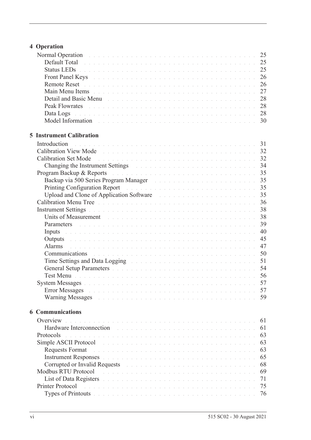# **[4 Operation](#page-34-0)**

| Normal Operation and a contract the contract of the contract of the contract of the 25                                                                                                                                         |  |  |  |  |  |  |  |  |    |
|--------------------------------------------------------------------------------------------------------------------------------------------------------------------------------------------------------------------------------|--|--|--|--|--|--|--|--|----|
| Default Total de la commune de la commune de la commune de la commune de la commune de 25                                                                                                                                      |  |  |  |  |  |  |  |  |    |
| Status LEDs <b>Election Community 25</b> Status Leader Community 25                                                                                                                                                            |  |  |  |  |  |  |  |  |    |
| Front Panel Keys and a construction of the construction of the construction of 26                                                                                                                                              |  |  |  |  |  |  |  |  |    |
|                                                                                                                                                                                                                                |  |  |  |  |  |  |  |  |    |
| Main Menu Items received and contract the contract of the contract of the contract of the contract of the contract of the contract of the contract of the contract of the contract of the contract of the contract of the cont |  |  |  |  |  |  |  |  | 27 |
|                                                                                                                                                                                                                                |  |  |  |  |  |  |  |  |    |
|                                                                                                                                                                                                                                |  |  |  |  |  |  |  |  |    |
| Data Logs de la component de la component de la component de la component de 28                                                                                                                                                |  |  |  |  |  |  |  |  |    |
|                                                                                                                                                                                                                                |  |  |  |  |  |  |  |  |    |
|                                                                                                                                                                                                                                |  |  |  |  |  |  |  |  |    |
| <b>5 Instrument Calibration</b>                                                                                                                                                                                                |  |  |  |  |  |  |  |  |    |
| Introduction                                                                                                                                                                                                                   |  |  |  |  |  |  |  |  |    |
|                                                                                                                                                                                                                                |  |  |  |  |  |  |  |  |    |
|                                                                                                                                                                                                                                |  |  |  |  |  |  |  |  |    |
| Changing the Instrument Settings and a contract of the contract of the state of the 34                                                                                                                                         |  |  |  |  |  |  |  |  |    |
| Program Backup & Reports and a contract the contract of the contract of the state of the 35                                                                                                                                    |  |  |  |  |  |  |  |  |    |
|                                                                                                                                                                                                                                |  |  |  |  |  |  |  |  |    |
|                                                                                                                                                                                                                                |  |  |  |  |  |  |  |  |    |
| Upload and Clone of Application Software and a substitution of the Software and a substitution of Application Software                                                                                                         |  |  |  |  |  |  |  |  |    |
| Calibration Menu Tree Albert and Albert and Albert and Albert and Albert and Albert 36                                                                                                                                         |  |  |  |  |  |  |  |  |    |
|                                                                                                                                                                                                                                |  |  |  |  |  |  |  |  |    |
| Units of Measurement the contract of the contract of the contract of the contract of the contract of the contract of the contract of the contract of the contract of the contract of the contract of the contract of the contr |  |  |  |  |  |  |  |  | 38 |
| Parameters and a construction of the construction of the construction of the 39                                                                                                                                                |  |  |  |  |  |  |  |  |    |
| Inputs and a communication of the communication of the communication of the communication of the communication                                                                                                                 |  |  |  |  |  |  |  |  | 40 |
| Outputs and a construction of the construction of the construction of the construction of the construction of the construction of the construction of the construction of the construction of the construction of the construc |  |  |  |  |  |  |  |  | 45 |
| Alarms<br>de la caractería de la caractería de la caractería de la caractería de la caractería de la caractería de la ca                                                                                                       |  |  |  |  |  |  |  |  | 47 |
| <b>Communications Communications Communications Communications Communications</b>                                                                                                                                              |  |  |  |  |  |  |  |  | 50 |
| Time Settings and Data Logging The Contract of the Contract of the Settings and Data Logging                                                                                                                                   |  |  |  |  |  |  |  |  | 51 |
| General Setup Parameters and a construction of the construction of the state of the 54                                                                                                                                         |  |  |  |  |  |  |  |  |    |
| Test Menu barramente de la construcción de la construcción de la construcción de la construcción de 56                                                                                                                         |  |  |  |  |  |  |  |  |    |
|                                                                                                                                                                                                                                |  |  |  |  |  |  |  |  |    |
| <b>Error Messages</b>                                                                                                                                                                                                          |  |  |  |  |  |  |  |  | 57 |
| Warning Messages and a contract the contract of the contract of the contract of the contract of the contract of the contract of the contract of the contract of the contract of the contract of the contract of the contract o |  |  |  |  |  |  |  |  | 59 |
| <b>6 Communications</b>                                                                                                                                                                                                        |  |  |  |  |  |  |  |  |    |
| Overview<br>.<br>In the second contract of the second contract of the second contract of the second contract of the second contr                                                                                               |  |  |  |  |  |  |  |  | 61 |
| Hardware Interconnection<br>.<br>The contract of the contract of the contract of the contract of the contract of the contract of the contract o                                                                                |  |  |  |  |  |  |  |  | 61 |
| Protocols<br>a construction and a construction of a construction of a construction of a construction of a construction of                                                                                                      |  |  |  |  |  |  |  |  | 63 |
| Simple ASCII Protocol<br>.<br>The second complete state of the complete state of the second complete state of the complete state of the second                                                                                 |  |  |  |  |  |  |  |  | 63 |
| <b>Requests Format</b>                                                                                                                                                                                                         |  |  |  |  |  |  |  |  | 63 |
| Instrument Responses and a construction of the construction of the construction of the construction of the construction of the construction of the construction of the construction of the construction of the construction of |  |  |  |  |  |  |  |  | 65 |
| Corrupted or Invalid Requests and a contract the contract of the contract of the contract of the contract of the contract of the contract of the contract of the contract of the contract of the contract of the contract of t |  |  |  |  |  |  |  |  | 68 |
| Modbus RTU Protocol<br>.<br>The second complete state of the second complete state of the second complete state of the second complete state of                                                                                |  |  |  |  |  |  |  |  | 69 |
| List of Data Registers and a conservation of the conservation of the conservation of the conservation of the conservation of the conservation of the conservation of the conservation of the conservation of the conservation  |  |  |  |  |  |  |  |  | 71 |
| Printer Protocol<br>.<br>In the second complete the second complete second complete the second complete second complete second complete                                                                                        |  |  |  |  |  |  |  |  | 75 |
| Types of Printouts and a contract of the contract of the contract of the contract of the contract of the contract of the contract of the contract of the contract of the contract of the contract of the contract of the contr |  |  |  |  |  |  |  |  | 76 |
|                                                                                                                                                                                                                                |  |  |  |  |  |  |  |  |    |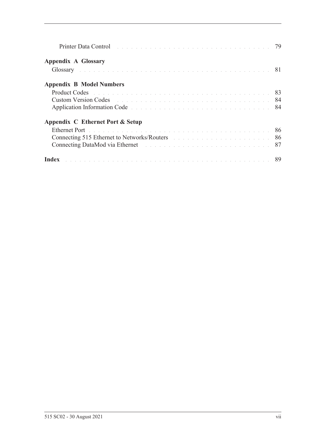| Printer Data Control entrepreneur and the control of the control of the control of the control of the control of the control of the control of the control of the control of the control of the control of the control of the |  |
|-------------------------------------------------------------------------------------------------------------------------------------------------------------------------------------------------------------------------------|--|
| <b>Appendix A Glossary</b>                                                                                                                                                                                                    |  |
|                                                                                                                                                                                                                               |  |
| <b>Appendix B Model Numbers</b>                                                                                                                                                                                               |  |
|                                                                                                                                                                                                                               |  |
| <b>Custom Version Codes Contained Algebra</b> 2014 <b>Custom Version Codes Contained Algebra 2014</b>                                                                                                                         |  |
| Application Information Code                                                                                                                                                                                                  |  |
| Appendix C Ethernet Port & Setup                                                                                                                                                                                              |  |
| Ethernet Port de la communicación de la communicación de la communicación de la communicación 86                                                                                                                              |  |
| Connecting 515 Ethernet to Networks/Routers and the connection of the state of the state of the state of the state of the state of the state of the state of the state of the state of the state of the state of the state of |  |
|                                                                                                                                                                                                                               |  |
| Index <b>Index International Contract Construction</b> in the construction of the construction of $89$                                                                                                                        |  |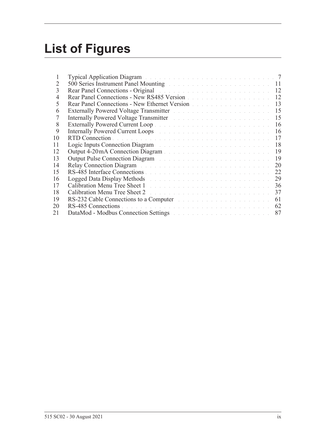# **List of Figures**

| 1  | Typical Application Diagram and a contract of the contract of the contract of the 7                                                                                                                                            |    |
|----|--------------------------------------------------------------------------------------------------------------------------------------------------------------------------------------------------------------------------------|----|
| 2  | 500 Series Instrument Panel Mounting and a contract of the series of the 11                                                                                                                                                    |    |
| 3  | Rear Panel Connections - Original entrepreneur and a series of the series of the 12                                                                                                                                            |    |
| 4  | Rear Panel Connections - New RS485 Version                                                                                                                                                                                     | 12 |
| 5  | Rear Panel Connections - New Ethernet Version                                                                                                                                                                                  | 13 |
| 6  | Externally Powered Voltage Transmitter North State Land and Alexandre Powered Voltage Transmitter North State Land                                                                                                             | 15 |
| 7  | Internally Powered Voltage Transmitter March 2014 and March 2014                                                                                                                                                               | 15 |
| 8  |                                                                                                                                                                                                                                | 16 |
| 9  | Internally Powered Current Loops and a contract to the contract of the contract of the contract of the contract of the contract of the contract of the contract of the contract of the contract of the contract of the contrac | 16 |
| 10 |                                                                                                                                                                                                                                | 17 |
| 11 | Logic Inputs Connection Diagram and a connection of the Connection of the Connection of the Connection of the Connection of the Connection of the Connection of the Connection of the Connection of the Connection of the Conn | 18 |
| 12 | Output 4-20mA Connection Diagram                                                                                                                                                                                               | 19 |
| 13 | Output Pulse Connection Diagram and a connection of the Connection of the Connection of the Connection of the Connection of the Connection of the Connection of the Connection of the Connection of the Connection of the Conn | 19 |
| 14 | Relay Connection Diagram and a connection of the connection of the Connection of the Connection of the Connection of the Connection of the Connection of the Connection of the Connection of the Connection of the Connection  | 20 |
| 15 |                                                                                                                                                                                                                                | 22 |
| 16 | Logged Data Display Methods and a contract the contract of the contract of the contract of the contract of the                                                                                                                 | 29 |
| 17 |                                                                                                                                                                                                                                | 36 |
| 18 | Calibration Menu Tree Sheet 2 and the contract of the contract of the contract of the contract of the contract of the contract of the contract of the contract of the contract of the contract of the contract of the contract | 37 |
| 19 | RS-232 Cable Connections to a Computer and a substitution of the set of the set of the set of the set of the set of the set of the set of the set of the set of the set of the set of the set of the set of the set of the set | 61 |
| 20 |                                                                                                                                                                                                                                | 62 |
| 21 | DataMod - Modbus Connection Settings and a connection of the settings of the connection of the settings of the connection of the settings of the connection of the connection of the connection of the connection of the conne | 87 |
|    |                                                                                                                                                                                                                                |    |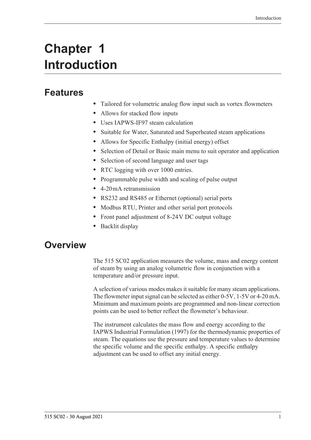# <span id="page-10-0"></span>**Chapter 1 Introduction**

# <span id="page-10-1"></span>**Features**

- **•** Tailored for volumetric analog flow input such as vortex flowmeters
- **•** Allows for stacked flow inputs
- **•** Uses IAPWS-IF97 steam calculation
- **•** Suitable for Water, Saturated and Superheated steam applications
- **•** Allows for Specific Enthalpy (initial energy) offset
- **•** Selection of Detail or Basic main menu to suit operator and application
- **•** Selection of second language and user tags
- RTC logging with over 1000 entries.
- **•** Programmable pulse width and scaling of pulse output
- **•** 4-20 mA retransmission
- **•** RS232 and RS485 or Ethernet (optional) serial ports
- **•** Modbus RTU, Printer and other serial port protocols
- **•** Front panel adjustment of 8-24 V DC output voltage
- **•** Backlit display

# <span id="page-10-2"></span>**Overview**

The 515 SC02 application measures the volume, mass and energy content of steam by using an analog volumetric flow in conjunction with a temperature and/or pressure input.

A selection of various modes makes it suitable for many steam applications. The flowmeter input signal can be selected as either 0-5V, 1-5V or 4-20 mA. Minimum and maximum points are programmed and non-linear correction points can be used to better reflect the flowmeter's behaviour.

The instrument calculates the mass flow and energy according to the IAPWS Industrial Formulation (1997) for the thermodynamic properties of steam. The equations use the pressure and temperature values to determine the specific volume and the specific enthalpy. A specific enthalpy adjustment can be used to offset any initial energy.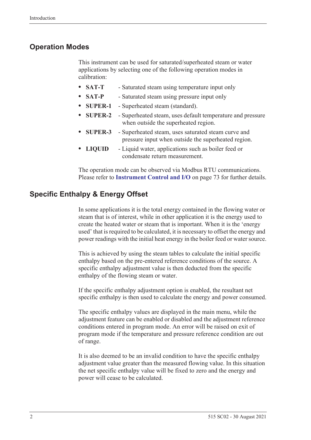### <span id="page-11-0"></span>**Operation Modes**

This instrument can be used for saturated/superheated steam or water applications by selecting one of the following operation modes in calibration:

- **• SAT-T** Saturated steam using temperature input only
- **• SAT-P** Saturated steam using pressure input only
- **• SUPER-1** Superheated steam (standard).
- **• SUPER-2** Superheated steam, uses default temperature and pressure when outside the superheated region.
- **• SUPER-3** Superheated steam, uses saturated steam curve and pressure input when outside the superheated region.
- **• LIQUID** Liquid water, applications such as boiler feed or condensate return measurement.

The operation mode can be observed via Modbus RTU communications. Please refer to **[Instrument Control and I/O](#page-82-0)** on page 73 for further details.

### <span id="page-11-1"></span>**Specific Enthalpy & Energy Offset**

In some applications it is the total energy contained in the flowing water or steam that is of interest, while in other application it is the energy used to create the heated water or steam that is important. When it is the 'energy used' that is required to be calculated, it is necessary to offset the energy and power readings with the initial heat energy in the boiler feed or water source.

This is achieved by using the steam tables to calculate the initial specific enthalpy based on the pre-entered reference conditions of the source. A specific enthalpy adjustment value is then deducted from the specific enthalpy of the flowing steam or water.

If the specific enthalpy adjustment option is enabled, the resultant net specific enthalpy is then used to calculate the energy and power consumed.

The specific enthalpy values are displayed in the main menu, while the adjustment feature can be enabled or disabled and the adjustment reference conditions entered in program mode. An error will be raised on exit of program mode if the temperature and pressure reference condition are out of range.

It is also deemed to be an invalid condition to have the specific enthalpy adjustment value greater than the measured flowing value. In this situation the net specific enthalpy value will be fixed to zero and the energy and power will cease to be calculated.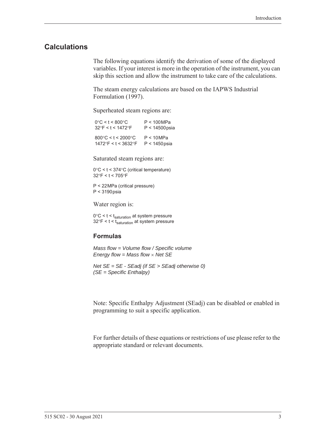### <span id="page-12-0"></span>**Calculations**

The following equations identify the derivation of some of the displayed variables. If your interest is more in the operation of the instrument, you can skip this section and allow the instrument to take care of the calculations.

The steam energy calculations are based on the IAPWS Industrial Formulation (1997).

Superheated steam regions are:

| $0^{\circ}$ C < t < 800 $^{\circ}$ C    | P < 100 MPa      |
|-----------------------------------------|------------------|
| $32^{\circ}$ F < t < 1472 $^{\circ}$ F  | $P < 14500$ psia |
| $800^{\circ}$ C < t < 2000 $^{\circ}$ C | P < 10 MPa       |
| 1472°F < t < 3632°F                     | $P < 1450$ psia  |

Saturated steam regions are:

 $0^{\circ}$ C < t < 374 $^{\circ}$ C (critical temperature)  $32^{\circ}$ F < t < 705 $^{\circ}$ F

P < 22 MPa (critical pressure) P < 3190 psia

Water region is:

 $0^{\circ}$ C < t < t<sub>saturation</sub> at system pressure  $32^{\circ}$ F < t < t<sub>saturation</sub> at system pressure

#### **Formulas**

*Mass flow = Volume flow / Specific volume Energy flow = Mass flow Net SE*

*Net SE = SE - SEadj (if SE > SEadj otherwise 0) (SE = Specific Enthalpy)*

Note: Specific Enthalpy Adjustment (SEadj) can be disabled or enabled in programming to suit a specific application.

For further details of these equations or restrictions of use please refer to the appropriate standard or relevant documents.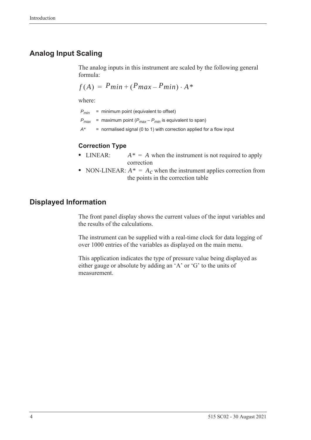## <span id="page-13-0"></span>**Analog Input Scaling**

The analog inputs in this instrument are scaled by the following general formula:

$$
f(A) = P_{min} + (P_{max} - P_{min}) \cdot A^*
$$

where:

*Pmin* = minimum point (equivalent to offset)  $P_{\text{max}}$  = maximum point ( $P_{\text{max}} - P_{\text{min}}$  is equivalent to span) *A\** = normalised signal (0 to 1) with correction applied for a flow input

### **Correction Type**

- LINEAR:  $A^* = A$  when the instrument is not required to apply correction
- NON-LINEAR:  $A^* = A_c$  when the instrument applies correction from the points in the correction table

### <span id="page-13-1"></span>**Displayed Information**

The front panel display shows the current values of the input variables and the results of the calculations.

The instrument can be supplied with a real-time clock for data logging of over 1000 entries of the variables as displayed on the main menu.

This application indicates the type of pressure value being displayed as either gauge or absolute by adding an 'A' or 'G' to the units of measurement.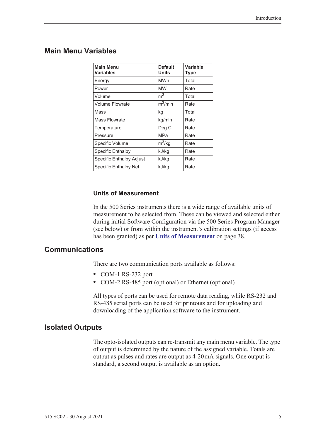### <span id="page-14-0"></span>**Main Menu Variables**

| <b>Main Menu</b><br><b>Variables</b> | <b>Default</b><br><b>Units</b> | <b>Variable</b><br><b>Type</b> |
|--------------------------------------|--------------------------------|--------------------------------|
| Energy                               | <b>MWh</b>                     | Total                          |
| Power                                | <b>MW</b>                      | Rate                           |
| Volume                               | m <sup>3</sup>                 | Total                          |
| <b>Volume Flowrate</b>               | $m^3/m$ in                     | Rate                           |
| Mass                                 | kg                             | Total                          |
| Mass Flowrate                        | kg/min                         | Rate                           |
| Temperature                          | Deg C                          | Rate                           |
| Pressure                             | MPa                            | Rate                           |
| Specific Volume                      | $m^3$ /kg                      | Rate                           |
| Specific Enthalpy                    | kJ/kg                          | Rate                           |
| Specific Enthalpy Adjust             | kJ/kg                          | Rate                           |
| <b>Specific Enthalpy Net</b>         | kJ/kg                          | Rate                           |

#### **Units of Measurement**

In the 500 Series instruments there is a wide range of available units of measurement to be selected from. These can be viewed and selected either during initial Software Configuration via the 500 Series Program Manager (see below) or from within the instrument's calibration settings (if access has been granted) as per **[Units of Measurement](#page-47-2)** on page 38.

### <span id="page-14-1"></span>**Communications**

There are two communication ports available as follows:

- **•** COM-1 RS-232 port
- **•** COM-2 RS-485 port (optional) or Ethernet (optional)

All types of ports can be used for remote data reading, while RS-232 and RS-485 serial ports can be used for printouts and for uploading and downloading of the application software to the instrument.

### <span id="page-14-2"></span>**Isolated Outputs**

The opto-isolated outputs can re-transmit any main menu variable. The type of output is determined by the nature of the assigned variable. Totals are output as pulses and rates are output as 4-20 mA signals. One output is standard, a second output is available as an option.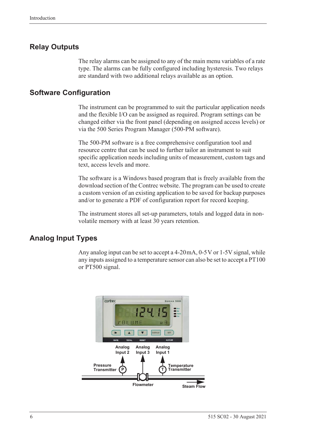## <span id="page-15-0"></span>**Relay Outputs**

The relay alarms can be assigned to any of the main menu variables of a rate type. The alarms can be fully configured including hysteresis. Two relays are standard with two additional relays available as an option.

### <span id="page-15-1"></span>**Software Configuration**

The instrument can be programmed to suit the particular application needs and the flexible I/O can be assigned as required. Program settings can be changed either via the front panel (depending on assigned access levels) or via the 500 Series Program Manager (500-PM software).

The 500-PM software is a free comprehensive configuration tool and resource centre that can be used to further tailor an instrument to suit specific application needs including units of measurement, custom tags and text, access levels and more.

The software is a Windows based program that is freely available from the download section of the Contrec website. The program can be used to create a custom version of an existing application to be saved for backup purposes and/or to generate a PDF of configuration report for record keeping.

The instrument stores all set-up parameters, totals and logged data in nonvolatile memory with at least 30 years retention.

## <span id="page-15-2"></span>**Analog Input Types**

Any analog input can be set to accept a 4-20 mA, 0-5 V or 1-5V signal, while any inputs assigned to a temperature sensor can also be set to accept a PT100 or PT500 signal.

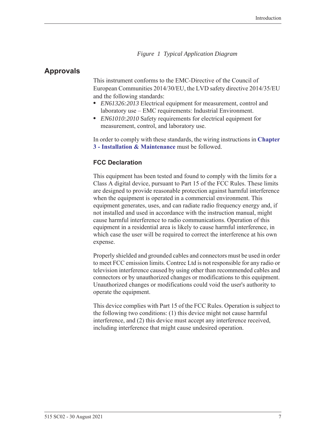*Figure 1 Typical Application Diagram*

## <span id="page-16-0"></span>**Approvals**

<span id="page-16-1"></span>This instrument conforms to the EMC-Directive of the Council of European Communities 2014/30/EU, the LVD safety directive 2014/35/EU and the following standards:

- **•** *EN61326:2013* Electrical equipment for measurement, control and laboratory use – EMC requirements: Industrial Environment.
- **•** *EN61010:2010* Safety requirements for electrical equipment for measurement, control, and laboratory use.

In order to comply with these standards, the wiring instructions in **[Chapter](#page-20-5)  [3 - Installation & Maintenance](#page-20-5)** must be followed.

### **FCC Declaration**

This equipment has been tested and found to comply with the limits for a Class A digital device, pursuant to Part 15 of the FCC Rules. These limits are designed to provide reasonable protection against harmful interference when the equipment is operated in a commercial environment. This equipment generates, uses, and can radiate radio frequency energy and, if not installed and used in accordance with the instruction manual, might cause harmful interference to radio communications. Operation of this equipment in a residential area is likely to cause harmful interference, in which case the user will be required to correct the interference at his own expense.

Properly shielded and grounded cables and connectors must be used in order to meet FCC emission limits. Contrec Ltd is not responsible for any radio or television interference caused by using other than recommended cables and connectors or by unauthorized changes or modifications to this equipment. Unauthorized changes or modifications could void the user's authority to operate the equipment.

This device complies with Part 15 of the FCC Rules. Operation is subject to the following two conditions: (1) this device might not cause harmful interference, and (2) this device must accept any interference received, including interference that might cause undesired operation.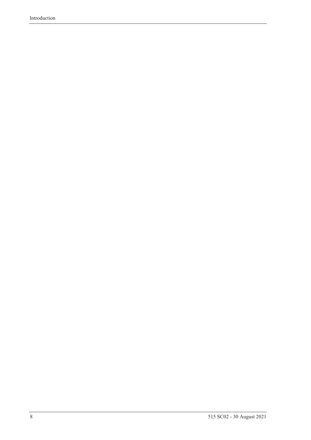Introduction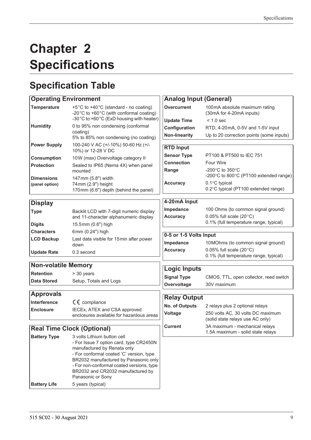# <span id="page-18-0"></span>**Chapter 2 Specifications**

# <span id="page-18-1"></span>**Specification Table**

| <b>Operating Environment</b> |                                                                                                                                                                                                                                                                                                   | <b>Analog Input (General)</b> |                                                                               |
|------------------------------|---------------------------------------------------------------------------------------------------------------------------------------------------------------------------------------------------------------------------------------------------------------------------------------------------|-------------------------------|-------------------------------------------------------------------------------|
| <b>Temperature</b>           | +5°C to +40°C (standard - no coating)<br>-20°C to +60°C (with conformal coating)<br>-30°C to +60°C (ExD housing with heater)                                                                                                                                                                      | <b>Overcurrent</b>            | 100mA absolute maximum rating<br>(30mA for 4-20mA inputs)                     |
|                              |                                                                                                                                                                                                                                                                                                   | <b>Update Time</b>            | $< 1.0$ sec                                                                   |
| <b>Humidity</b>              | 0 to 95% non condensing (conformal<br>coating)                                                                                                                                                                                                                                                    | Configuration                 | RTD, 4-20mA, 0-5V and 1-5V input                                              |
|                              | 5% to 85% non condensing (no coating)                                                                                                                                                                                                                                                             | <b>Non-linearity</b>          | Up to 20 correction points (some inputs)                                      |
| <b>Power Supply</b>          | 100-240 V AC (+/-10%) 50-60 Hz (+/-<br>10%) or 12-28 V DC                                                                                                                                                                                                                                         | <b>RTD Input</b>              |                                                                               |
| <b>Consumption</b>           | 10W (max) Overvoltage category II                                                                                                                                                                                                                                                                 | <b>Sensor Type</b>            | PT100 & PT500 to IEC 751                                                      |
| <b>Protection</b>            | Sealed to IP65 (Nema 4X) when panel                                                                                                                                                                                                                                                               | <b>Connection</b>             | <b>Four Wire</b>                                                              |
| <b>Dimensions</b>            | mounted<br>147mm (5.8") width                                                                                                                                                                                                                                                                     | Range                         | -200 $\degree$ C to 350 $\degree$ C<br>-200°C to 800°C (PT100 extended range) |
| (panel option)               | 74mm (2.9") height<br>170mm (6.6") depth (behind the panel)                                                                                                                                                                                                                                       | <b>Accuracy</b>               | 0.1°C typical<br>0.2°C typical (PT100 extended range)                         |
| <b>Display</b>               |                                                                                                                                                                                                                                                                                                   | 4-20mA Input                  |                                                                               |
| <b>Type</b>                  | Backlit LCD with 7-digit numeric display                                                                                                                                                                                                                                                          | Impedance                     | 100 Ohms (to common signal ground)                                            |
|                              | and 11-character alphanumeric display                                                                                                                                                                                                                                                             | <b>Accuracy</b>               | 0.05% full scale $(20^{\circ}C)$                                              |
| <b>Digits</b>                | 15.5mm (0.6") high                                                                                                                                                                                                                                                                                |                               | 0.1% (full temperature range, typical)                                        |
| <b>Characters</b>            | 6mm (0.24") high                                                                                                                                                                                                                                                                                  |                               |                                                                               |
| <b>LCD Backup</b>            | Last data visible for 15min after power                                                                                                                                                                                                                                                           | 0-5 or 1-5 Volts Input        |                                                                               |
|                              | down                                                                                                                                                                                                                                                                                              | Impedance                     | 10 MOhms (to common signal ground)                                            |
| <b>Update Rate</b>           | 0.3 second                                                                                                                                                                                                                                                                                        | <b>Accuracy</b>               | 0.05% full scale $(20^{\circ}C)$<br>0.1% (full temperature range, typical)    |
|                              |                                                                                                                                                                                                                                                                                                   |                               |                                                                               |
| <b>Non-volatile Memory</b>   |                                                                                                                                                                                                                                                                                                   | <b>Logic Inputs</b>           |                                                                               |
| <b>Retention</b>             | > 30 years                                                                                                                                                                                                                                                                                        | <b>Signal Type</b>            | CMOS, TTL, open collector, reed switch                                        |
| <b>Data Stored</b>           | Setup, Totals and Logs                                                                                                                                                                                                                                                                            | Overvoltage                   | 30V maximum                                                                   |
| <b>Approvals</b>             |                                                                                                                                                                                                                                                                                                   | <b>Relay Output</b>           |                                                                               |
| Interference                 | $C \in \mathbb{C}$ compliance                                                                                                                                                                                                                                                                     | No. of Outputs                | 2 relays plus 2 optional relays                                               |
| <b>Enclosure</b>             | IECEx, ATEX and CSA approved                                                                                                                                                                                                                                                                      | Voltage                       | 250 volts AC, 30 volts DC maximum                                             |
|                              | enclosures available for hazardous areas                                                                                                                                                                                                                                                          |                               | (solid state relays use AC only)                                              |
|                              | <b>Real Time Clock (Optional)</b>                                                                                                                                                                                                                                                                 | <b>Current</b>                | 3A maximum - mechanical relays<br>1.5A maximum - solid state relays           |
| <b>Battery Type</b>          | 3 volts Lithium button cell<br>- For Issue 7 option card, type CR2450N<br>manufactured by Renata only<br>- For conformal coated 'C' version, type<br>BR2032 manufactured by Panasonic only<br>- For non-conformal coated versions, type<br>BR2032 and CR2032 manufactured by<br>Panasonic or Sony |                               |                                                                               |

**Battery Life** 5 years (typical)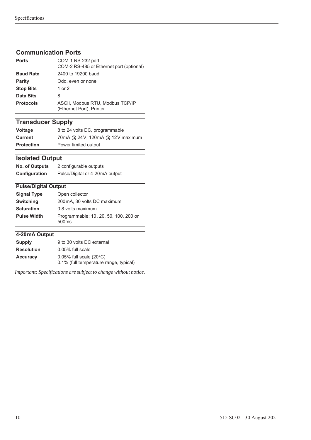### **Communication Ports**

| <b>Ports</b>     | COM-1 RS-232 port<br>COM-2 RS-485 or Ethernet port (optional) |
|------------------|---------------------------------------------------------------|
| <b>Baud Rate</b> | 2400 to 19200 baud                                            |
| <b>Parity</b>    | Odd, even or none                                             |
| <b>Stop Bits</b> | 1 or 2                                                        |
| Data Bits        | 8                                                             |
| <b>Protocols</b> | ASCII, Modbus RTU, Modbus TCP/IP<br>(Ethernet Port), Printer  |

# **Transducer Supply**

| <b>Voltage</b>    | 8 to 24 volts DC, programmable  |
|-------------------|---------------------------------|
| Current           | 70mA @ 24V, 120mA @ 12V maximum |
| <b>Protection</b> | Power limited output            |

## **Isolated Output**

| <b>No. of Outputs</b> | 2 configurable outputs         |
|-----------------------|--------------------------------|
| Configuration         | Pulse/Digital or 4-20mA output |

| <b>Pulse/Digital Output</b> |                                                            |  |  |  |  |
|-----------------------------|------------------------------------------------------------|--|--|--|--|
| <b>Signal Type</b>          | Open collector                                             |  |  |  |  |
| Switching                   | 200 mA, 30 volts DC maximum                                |  |  |  |  |
| <b>Saturation</b>           | 0.8 volts maximum                                          |  |  |  |  |
| <b>Pulse Width</b>          | Programmable: 10, 20, 50, 100, 200 or<br>500 <sub>ms</sub> |  |  |  |  |
|                             |                                                            |  |  |  |  |
| 4-20mA Output               |                                                            |  |  |  |  |
| $\sim$ $\sim$               | <u>AIAA II RAII I</u>                                      |  |  |  |  |

| <b>Supply</b>     | 9 to 30 volts DC external              |
|-------------------|----------------------------------------|
| <b>Resolution</b> | $0.05\%$ full scale                    |
| <b>Accuracy</b>   | $0.05\%$ full scale (20 $\degree$ C)   |
|                   | 0.1% (full temperature range, typical) |

*Important: Specifications are subject to change without notice.*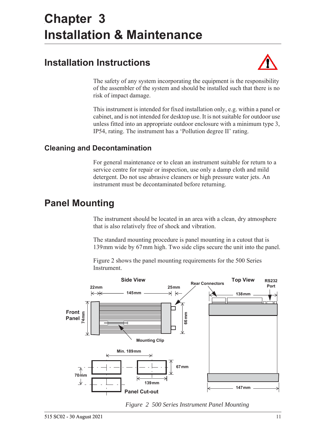# <span id="page-20-5"></span><span id="page-20-0"></span>**Chapter 3 Installation & Maintenance**

# <span id="page-20-1"></span>**Installation Instructions**



The safety of any system incorporating the equipment is the responsibility of the assembler of the system and should be installed such that there is no risk of impact damage.

This instrument is intended for fixed installation only, e.g. within a panel or cabinet, and is not intended for desktop use. It is not suitable for outdoor use unless fitted into an appropriate outdoor enclosure with a minimum type 3, IP54, rating. The instrument has a 'Pollution degree II' rating.

## <span id="page-20-2"></span>**Cleaning and Decontamination**

For general maintenance or to clean an instrument suitable for return to a service centre for repair or inspection, use only a damp cloth and mild detergent. Do not use abrasive cleaners or high pressure water jets. An instrument must be decontaminated before returning.

# <span id="page-20-3"></span>**Panel Mounting**

The instrument should be located in an area with a clean, dry atmosphere that is also relatively free of shock and vibration.

The standard mounting procedure is panel mounting in a cutout that is 139 mm wide by 67 mm high. Two side clips secure the unit into the panel.

[Figure 2](#page-20-4) shows the panel mounting requirements for the 500 Series Instrument.



<span id="page-20-4"></span>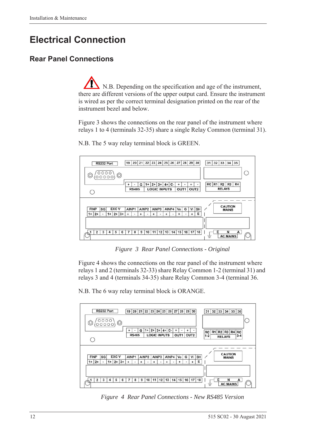# <span id="page-21-0"></span>**Electrical Connection**

## <span id="page-21-1"></span>**Rear Panel Connections**

N.B. Depending on the specification and age of the instrument, there are different versions of the upper output card. Ensure the instrument is wired as per the correct terminal designation printed on the rear of the instrument bezel and below.

[Figure 3](#page-21-2) shows the connections on the rear panel of the instrument where relays 1 to 4 (terminals 32-35) share a single Relay Common (terminal 31).



N.B. The 5 way relay terminal block is GREEN.

*Figure 3 Rear Panel Connections - Original*

<span id="page-21-2"></span>[Figure 4](#page-21-3) shows the connections on the rear panel of the instrument where relays 1 and 2 (terminals 32-33) share Relay Common 1-2 (terminal 31) and relays 3 and 4 (terminals 34-35) share Relay Common 3-4 (terminal 36.

N.B. The 6 way relay terminal block is ORANGE.



<span id="page-21-3"></span>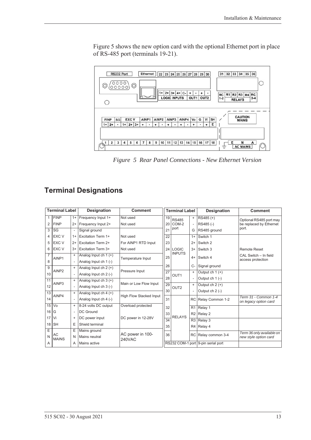[Figure 5](#page-22-1) shows the new option card with the optional Ethernet port in place of RS-485 port (terminals 19-21).



<span id="page-22-1"></span>*Figure 5 Rear Panel Connections - New Ethernet Version*

# <span id="page-22-0"></span>**Terminal Designations**

| <b>Terminal Label</b> |                    |                                         | Designation                                | <b>Comment</b>          | <b>Terminal Label</b> |                   |                | Designation                        | <b>Comment</b>                                     |
|-----------------------|--------------------|-----------------------------------------|--------------------------------------------|-------------------------|-----------------------|-------------------|----------------|------------------------------------|----------------------------------------------------|
| 1                     | <b>FINP</b>        | $1+$                                    | Frequency Input 1+                         | Not used                | 19                    | <b>RS485</b>      | $\ddot{}$      | RS485 (+)                          | Optional RS485 port may                            |
| 2                     | <b>FINP</b>        | $2+$                                    | Frequency Input 2+                         | Not used                | 20                    | COM-2             |                | RS485 (-)                          | be replaced by Ethernet                            |
| 3                     | SG                 | $\overline{\phantom{a}}$                | Signal ground                              |                         | 21                    | port              | G              | RS485 ground                       | port.                                              |
| 4                     | EXC V              | $1+$                                    | <b>Excitation Term 1+</b>                  | Not used                | 22                    |                   | $1+$           | Switch 1                           |                                                    |
| 5                     | EXC V              | $2+$                                    | <b>Excitation Term 2+</b>                  | For AINP1 RTD Input     | 23                    |                   | $2+$           | Switch 2                           |                                                    |
| 6                     | <b>EXC V</b>       | $3+$                                    | <b>Excitation Term 3+</b>                  | Not used                | 24                    | <b>LOGIC</b>      | $3+$           | Switch 3                           | <b>Remote Reset</b>                                |
| $\overline{7}$        | AINP1              | $\ddot{}$                               | Analog Input ch $1 (+)$                    |                         | 25                    | <b>INPUTS</b>     | $4+$           | Switch 4                           | CAL Switch - In field                              |
| 8                     |                    |                                         | Temperature Input<br>Analog Input ch 1 (-) |                         |                       |                   |                | access protection                  |                                                    |
| 9                     |                    | $\ddot{}$                               | Analog Input ch $2 (+)$                    |                         | 26                    |                   | $C-$           | Signal ground                      |                                                    |
| 10                    | AINP <sub>2</sub>  | Pressure Input<br>Analog Input ch 2 (-) | $\overline{27}$                            | OUT <sub>1</sub>        | $+$                   | Output ch $1 (+)$ |                |                                    |                                                    |
| 11                    |                    | $\ddot{}$                               | Analog Input ch $3 (+)$                    | Main or Low Flow Input  | 28                    |                   |                | Output $ch 1$ (-)                  |                                                    |
| 12                    | AINP3              | $\overline{\phantom{a}}$                | Analog Input ch 3 (-)                      |                         | 29                    | OUT <sub>2</sub>  | $\ddot{}$      | Output ch $2 (+)$                  |                                                    |
| $\overline{13}$       |                    | $\ddot{}$                               | Analog Input ch $4 (+)$                    | High Flow Stacked Input | 30                    |                   |                | Output $ch 2$ (-)                  |                                                    |
| 14                    | AINP4              |                                         | Analog Input ch 4 (-)                      |                         | 31                    |                   | <b>RC</b>      | Relay Common 1-2                   | Term 31 - Common 1-4<br>on legacy option card      |
| 15                    | Vo                 | $\ddot{}$                               | 8-24 volts DC output                       | Overload protected      | 32                    |                   | R <sub>1</sub> | Relay 1                            |                                                    |
| 16                    | G                  | $\overline{\phantom{a}}$                | <b>DC</b> Ground                           |                         | 33                    |                   | R2             | Relay 2                            |                                                    |
| 17                    | Vi                 | $\ddot{}$                               | DC power input                             | DC power in 12-28V      | $\overline{34}$       | <b>RELAYS</b>     | R3             | Relay 3                            |                                                    |
| 18                    | <b>SH</b>          | E                                       | Shield terminal                            |                         | 35                    |                   | R4             | Relay 4                            |                                                    |
| Ε                     |                    | Ε                                       | Mains ground                               |                         |                       |                   |                |                                    |                                                    |
| N                     | AC<br><b>MAINS</b> | N                                       | Mains neutral                              | AC power in 100-        | 36                    |                   | RC             | Relay common 3-4                   | Term 36 only available on<br>new style option card |
| A                     |                    | Α                                       | Mains active                               | <b>240VAC</b>           |                       |                   |                | RS232 COM-1 port 9-pin serial port |                                                    |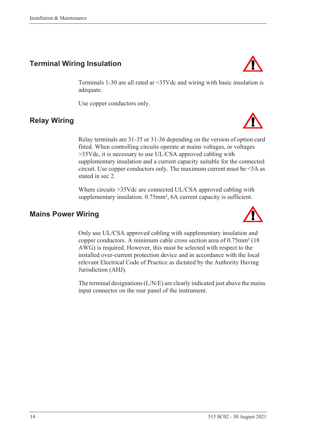# <span id="page-23-0"></span>**Terminal Wiring Insulation**

Terminals 1-30 are all rated at <35Vdc and wiring with basic insulation is adequate.

Use copper conductors only.

stated in sec 2.

## <span id="page-23-1"></span>**Relay Wiring**

Relay terminals are 31-35 or 31-36 depending on the version of option card fitted. When controlling circuits operate at mains voltages, or voltages >35Vdc, it is necessary to use UL/CSA approved cabling with supplementary insulation and a current capacity suitable for the connected circuit. Use copper conductors only. The maximum current must be <5A as

Where circuits >35Vdc are connected UL/CSA approved cabling with supplementary insulation. 0.75mm<sup>2</sup>, 6A current capacity is sufficient.

### <span id="page-23-2"></span>**Mains Power Wiring**

Only use UL/CSA approved cabling with supplementary insulation and copper conductors. A minimum cable cross section area of 0.75mm² (18 AWG) is required. However, this must be selected with respect to the installed over-current protection device and in accordance with the local relevant Electrical Code of Practice as dictated by the Authority Having Jurisdiction (AHJ).

The terminal designations (L/N/E) are clearly indicated just above the mains input connector on the rear panel of the instrument.







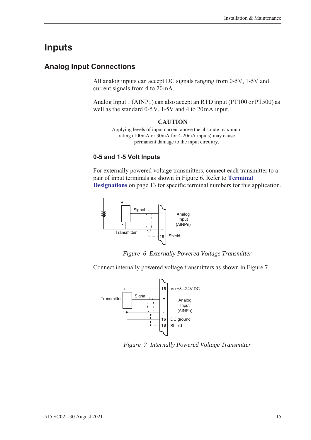# <span id="page-24-0"></span>**Inputs**

## <span id="page-24-1"></span>**Analog Input Connections**

All analog inputs can accept DC signals ranging from 0-5V, 1-5V and current signals from 4 to 20 mA.

Analog Input 1 (AINP1) can also accept an RTD input (PT100 or PT500) as well as the standard  $0-5V$ ,  $1-5V$  and  $4$  to  $20mA$  input.

#### **CAUTION**

Applying levels of input current above the absolute maximum rating (100mA or 30mA for 4-20mA inputs) may cause permanent damage to the input circuitry.

#### **0-5 and 1-5 Volt Inputs**

For externally powered voltage transmitters, connect each transmitter to a pair of input terminals as shown in [Figure 6.](#page-24-2) Refer to **[Terminal](#page-22-0)  [Designations](#page-22-0)** on page 13 for specific terminal numbers for this application.



*Figure 6 Externally Powered Voltage Transmitter*

<span id="page-24-2"></span>Connect internally powered voltage transmitters as shown in [Figure 7.](#page-24-3)



<span id="page-24-3"></span>*Figure 7 Internally Powered Voltage Transmitter*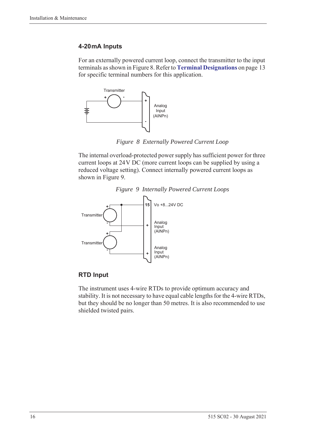### **4-20 mA Inputs**

For an externally powered current loop, connect the transmitter to the input terminals as shown in [Figure 8](#page-25-0). Refer to **[Terminal Designations](#page-22-0)** on page 13 for specific terminal numbers for this application.



*Figure 8 Externally Powered Current Loop*

<span id="page-25-0"></span>The internal overload-protected power supply has sufficient power for three current loops at 24 V DC (more current loops can be supplied by using a reduced voltage setting). Connect internally powered current loops as shown in [Figure 9](#page-25-1).



<span id="page-25-1"></span>

### **RTD Input**

The instrument uses 4-wire RTDs to provide optimum accuracy and stability. It is not necessary to have equal cable lengths for the 4-wire RTDs, but they should be no longer than 50 metres. It is also recommended to use shielded twisted pairs.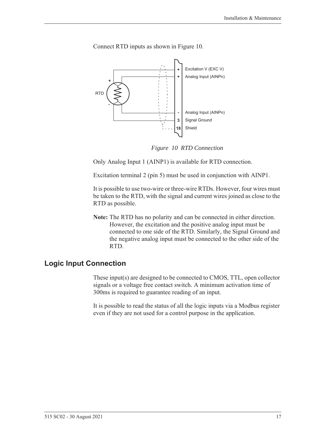

Connect RTD inputs as shown in [Figure 10.](#page-26-1)

*Figure 10 RTD Connection*

<span id="page-26-1"></span>Only Analog Input 1 (AINP1) is available for RTD connection.

Excitation terminal 2 (pin 5) must be used in conjunction with AINP1.

It is possible to use two-wire or three-wire RTDs. However, four wires must be taken to the RTD, with the signal and current wires joined as close to the RTD as possible.

**Note:** The RTD has no polarity and can be connected in either direction. However, the excitation and the positive analog input must be connected to one side of the RTD. Similarly, the Signal Ground and the negative analog input must be connected to the other side of the RTD.

### <span id="page-26-0"></span>**Logic Input Connection**

These input(s) are designed to be connected to CMOS, TTL, open collector signals or a voltage free contact switch. A minimum activation time of 300ms is required to guarantee reading of an input.

It is possible to read the status of all the logic inputs via a Modbus register even if they are not used for a control purpose in the application.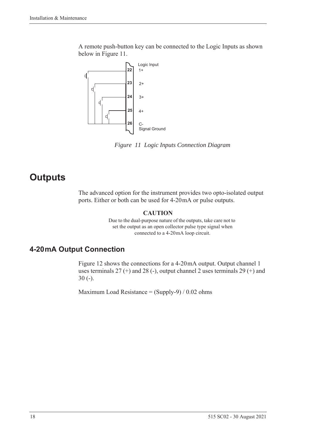A remote push-button key can be connected to the Logic Inputs as shown below in [Figure 11](#page-27-2).



<span id="page-27-2"></span>*Figure 11 Logic Inputs Connection Diagram*

# <span id="page-27-0"></span>**Outputs**

The advanced option for the instrument provides two opto-isolated output ports. Either or both can be used for 4-20 mA or pulse outputs.

#### **CAUTION**

Due to the dual-purpose nature of the outputs, take care not to set the output as an open collector pulse type signal when connected to a 4-20 mA loop circuit.

# <span id="page-27-1"></span>**4-20 mA Output Connection**

[Figure 12](#page-28-1) shows the connections for a 4-20 mA output. Output channel 1 uses terminals  $27 (+)$  and  $28 (-)$ , output channel 2 uses terminals  $29 (+)$  and 30 (-).

Maximum Load Resistance =  $(Supply-9) / 0.02$  ohms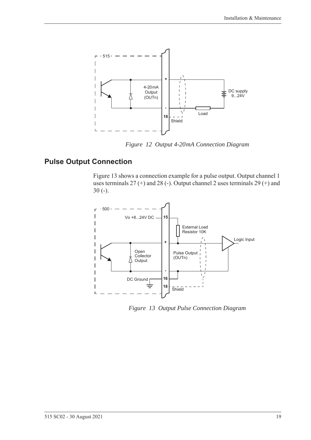

*Figure 12 Output 4-20 mA Connection Diagram*

## <span id="page-28-0"></span>**Pulse Output Connection**

<span id="page-28-1"></span>[Figure 13](#page-28-2) shows a connection example for a pulse output. Output channel 1 uses terminals 27 (+) and 28 (-). Output channel 2 uses terminals 29 (+) and 30 (-).



<span id="page-28-2"></span>*Figure 13 Output Pulse Connection Diagram*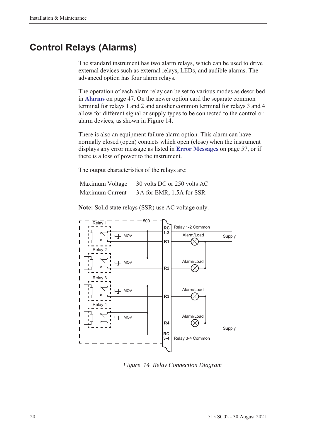# <span id="page-29-0"></span>**Control Relays (Alarms)**

The standard instrument has two alarm relays, which can be used to drive external devices such as external relays, LEDs, and audible alarms. The advanced option has four alarm relays.

The operation of each alarm relay can be set to various modes as described in **Alarms** [on page 47](#page-56-1). On the newer option card the separate common terminal for relays 1 and 2 and another common terminal for relays 3 and 4 allow for different signal or supply types to be connected to the control or alarm devices, as shown in [Figure 14.](#page-29-1)

There is also an equipment failure alarm option. This alarm can have normally closed (open) contacts which open (close) when the instrument displays any error message as listed in **[Error Messages](#page-66-2)** on page 57, or if there is a loss of power to the instrument.

The output characteristics of the relays are:

| Maximum Voltage | 30 volts DC or 250 volts AC |
|-----------------|-----------------------------|
| Maximum Current | 3A for EMR, 1.5A for SSR    |

**Note:** Solid state relays (SSR) use AC voltage only.



<span id="page-29-1"></span>*Figure 14 Relay Connection Diagram*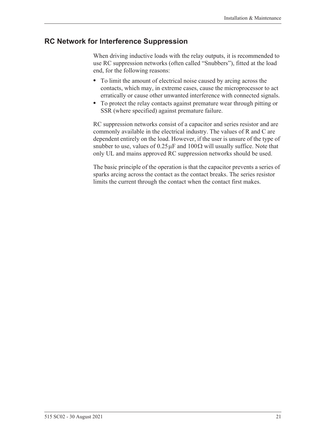### <span id="page-30-0"></span>**RC Network for Interference Suppression**

When driving inductive loads with the relay outputs, it is recommended to use RC suppression networks (often called "Snubbers"), fitted at the load end, for the following reasons:

- **•** To limit the amount of electrical noise caused by arcing across the contacts, which may, in extreme cases, cause the microprocessor to act erratically or cause other unwanted interference with connected signals.
- **•** To protect the relay contacts against premature wear through pitting or SSR (where specified) against premature failure.

RC suppression networks consist of a capacitor and series resistor and are commonly available in the electrical industry. The values of R and C are dependent entirely on the load. However, if the user is unsure of the type of snubber to use, values of  $0.25 \mu$ F and  $100 \Omega$  will usually suffice. Note that only UL and mains approved RC suppression networks should be used.

The basic principle of the operation is that the capacitor prevents a series of sparks arcing across the contact as the contact breaks. The series resistor limits the current through the contact when the contact first makes.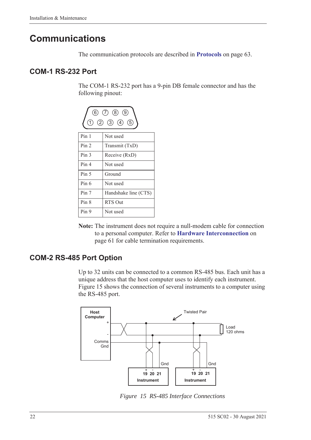# <span id="page-31-0"></span>**Communications**

The communication protocols are described in **Protocols** [on page 63.](#page-72-3)

### <span id="page-31-1"></span>**COM-1 RS-232 Port**

The COM-1 RS-232 port has a 9-pin DB female connector and has the following pinout:



**Note:** The instrument does not require a null-modem cable for connection to a personal computer. Refer to **[Hardware Interconnection](#page-70-4)** on [page 61](#page-70-4) for cable termination requirements.

## <span id="page-31-2"></span>**COM-2 RS-485 Port Option**

Up to 32 units can be connected to a common RS-485 bus. Each unit has a unique address that the host computer uses to identify each instrument. [Figure 15](#page-31-3) shows the connection of several instruments to a computer using the RS-485 port.



<span id="page-31-3"></span>*Figure 15 RS-485 Interface Connections*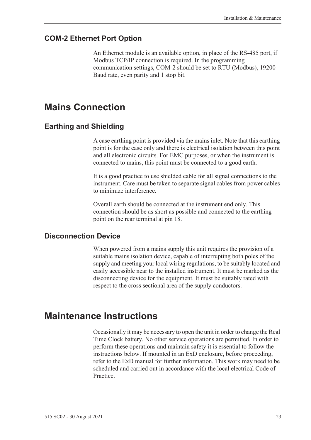### <span id="page-32-0"></span>**COM-2 Ethernet Port Option**

An Ethernet module is an available option, in place of the RS-485 port, if Modbus TCP/IP connection is required. In the programming communication settings, COM-2 should be set to RTU (Modbus), 19200 Baud rate, even parity and 1 stop bit.

# <span id="page-32-1"></span>**Mains Connection**

### <span id="page-32-2"></span>**Earthing and Shielding**

A case earthing point is provided via the mains inlet. Note that this earthing point is for the case only and there is electrical isolation between this point and all electronic circuits. For EMC purposes, or when the instrument is connected to mains, this point must be connected to a good earth.

It is a good practice to use shielded cable for all signal connections to the instrument. Care must be taken to separate signal cables from power cables to minimize interference.

Overall earth should be connected at the instrument end only. This connection should be as short as possible and connected to the earthing point on the rear terminal at pin 18.

### <span id="page-32-3"></span>**Disconnection Device**

When powered from a mains supply this unit requires the provision of a suitable mains isolation device, capable of interrupting both poles of the supply and meeting your local wiring regulations, to be suitably located and easily accessible near to the installed instrument. It must be marked as the disconnecting device for the equipment. It must be suitably rated with respect to the cross sectional area of the supply conductors.

# <span id="page-32-4"></span>**Maintenance Instructions**

Occasionally it may be necessary to open the unit in order to change the Real Time Clock battery. No other service operations are permitted. In order to perform these operations and maintain safety it is essential to follow the instructions below. If mounted in an ExD enclosure, before proceeding, refer to the ExD manual for further information. This work may need to be scheduled and carried out in accordance with the local electrical Code of Practice.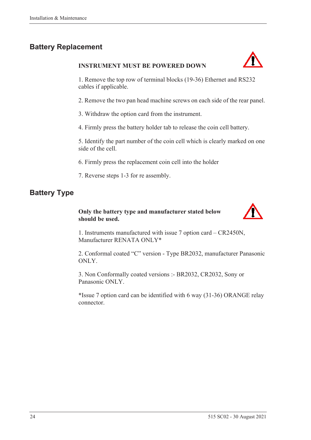# <span id="page-33-0"></span>**Battery Replacement**

#### **INSTRUMENT MUST BE POWERED DOWN**



1. Remove the top row of terminal blocks (19-36) Ethernet and RS232 cables if applicable.

2. Remove the two pan head machine screws on each side of the rear panel.

3. Withdraw the option card from the instrument.

4. Firmly press the battery holder tab to release the coin cell battery.

5. Identify the part number of the coin cell which is clearly marked on one side of the cell.

6. Firmly press the replacement coin cell into the holder

7. Reverse steps 1-3 for re assembly.

## <span id="page-33-1"></span>**Battery Type**

#### **Only the battery type and manufacturer stated below should be used.**



1. Instruments manufactured with issue 7 option card – CR2450N, Manufacturer RENATA ONLY\*

2. Conformal coated "C" version - Type BR2032, manufacturer Panasonic ONLY.

3. Non Conformally coated versions :- BR2032, CR2032, Sony or Panasonic ONLY.

\*Issue 7 option card can be identified with 6 way (31-36) ORANGE relay connector.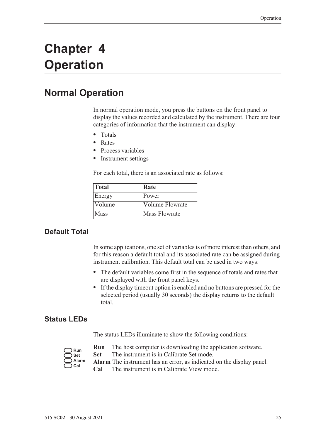# <span id="page-34-0"></span>**Chapter 4 Operation**

# <span id="page-34-1"></span>**Normal Operation**

In normal operation mode, you press the buttons on the front panel to display the values recorded and calculated by the instrument. There are four categories of information that the instrument can display:

- **•** Totals
- **•** Rates
- **•** Process variables
- **•** Instrument settings

For each total, there is an associated rate as follows:

| <b>Total</b> | Rate                   |
|--------------|------------------------|
| Energy       | Power                  |
| Volume       | <b>Volume Flowrate</b> |
| Mass         | Mass Flowrate          |

### <span id="page-34-2"></span>**Default Total**

In some applications, one set of variables is of more interest than others, and for this reason a default total and its associated rate can be assigned during instrument calibration. This default total can be used in two ways:

- **•** The default variables come first in the sequence of totals and rates that are displayed with the front panel keys.
- **•** If the display timeout option is enabled and no buttons are pressed for the selected period (usually 30 seconds) the display returns to the default total.

### <span id="page-34-3"></span>**Status LEDs**

The status LEDs illuminate to show the following conditions:

| Run   |
|-------|
| Set   |
| Alarm |
| :al   |

- **Run** The host computer is downloading the application software.
- **Set** The instrument is in Calibrate Set mode.
- **Alarm** The instrument has an error, as indicated on the display panel.
- **Cal** The instrument is in Calibrate View mode.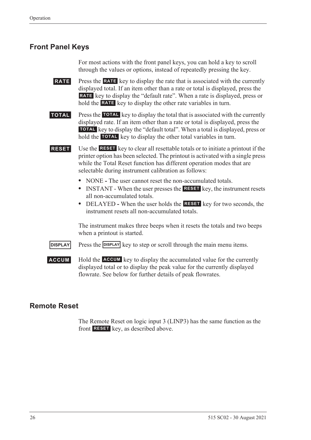## <span id="page-35-0"></span>**Front Panel Keys**

For most actions with the front panel keys, you can hold a key to scroll through the values or options, instead of repeatedly pressing the key.

**RATE** Press the **RATE** key to display the rate that is associated with the currently displayed total. If an item other than a rate or total is displayed, press the RATE key to display the "default rate". When a rate is displayed, press or hold the **RATE** key to display the other rate variables in turn.

**TOTAL** Press the TOTAL key to display the total that is associated with the currently displayed rate. If an item other than a rate or total is displayed, press the **TOTAL** key to display the "default total". When a total is displayed, press or hold the **TOTAL** key to display the other total variables in turn.

**RESET** Use the **RESET** key to clear all resettable totals or to initiate a printout if the printer option has been selected. The printout is activated with a single press while the Total Reset function has different operation modes that are selectable during instrument calibration as follows:

- NONE The user cannot reset the non-accumulated totals.
- INSTANT When the user presses the **RESET** key, the instrument resets all non-accumulated totals.
- DELAYED When the user holds the **RESET** key for two seconds, the instrument resets all non-accumulated totals.

The instrument makes three beeps when it resets the totals and two beeps when a printout is started.

**DISPLAY** Press the **DISPLAY** key to step or scroll through the main menu items.

**ACCUM** Hold the **ACCUM** key to display the accumulated value for the currently displayed total or to display the peak value for the currently displayed flowrate. See below for further details of peak flowrates.

### <span id="page-35-1"></span>**Remote Reset**

The Remote Reset on logic input 3 (LINP3) has the same function as the front **RESET** key, as described above.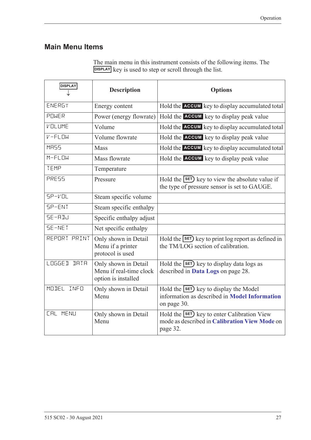### **Main Menu Items**

| The main menu in this instrument consists of the following items. The |  |
|-----------------------------------------------------------------------|--|
| DISPLAY key is used to step or scroll through the list.               |  |

| <b>DISPLAY</b>  | <b>Description</b>                                                     | <b>Options</b>                                                                                                   |
|-----------------|------------------------------------------------------------------------|------------------------------------------------------------------------------------------------------------------|
| ENERGY          | Energy content                                                         | Hold the ACCUM key to display accumulated total                                                                  |
| POWER           | Power (energy flowrate)                                                | Hold the ACCUM key to display peak value                                                                         |
| VOLUME          | Volume                                                                 | Hold the ACCUM key to display accumulated total                                                                  |
| $V$ -FLOW       | Volume flowrate                                                        | Hold the <b>ACCUM</b> key to display peak value                                                                  |
| <b>MR55</b>     | <b>Mass</b>                                                            | Hold the ACCUM key to display accumulated total                                                                  |
| $M-FLDW$        | Mass flowrate                                                          | Hold the ACCUM key to display peak value                                                                         |
| TEMP            | Temperature                                                            |                                                                                                                  |
| PRESS           | Pressure                                                               | Hold the <b>SET</b> ) key to view the absolute value if<br>the type of pressure sensor is set to GAUGE.          |
| $SP-VDL$        | Steam specific volume                                                  |                                                                                                                  |
| SP-ENT          | Steam specific enthalpy                                                |                                                                                                                  |
| <b>SE-ADJ</b>   | Specific enthalpy adjust                                               |                                                                                                                  |
| SE-NET          | Net specific enthalpy                                                  |                                                                                                                  |
| REPORT PRINT    | Only shown in Detail<br>Menu if a printer<br>protocol is used          | Hold the $\text{SET}$ key to print log report as defined in<br>the TM/LOG section of calibration.                |
| LOGGED DATA     | Only shown in Detail<br>Menu if real-time clock<br>option is installed | Hold the $\overline{\text{SET}}$ key to display data logs as<br>described in Data Logs on page 28.               |
| MODEL INFO      | Only shown in Detail<br>Menu                                           | Hold the <b>SET</b> key to display the Model<br>information as described in Model Information<br>on page 30.     |
| <b>CAL MENU</b> | Only shown in Detail<br>Menu                                           | Hold the <b>SET</b> ) key to enter Calibration View<br>mode as described in Calibration View Mode on<br>page 32. |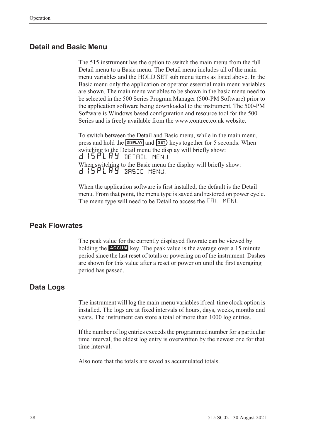#### **Detail and Basic Menu**

The 515 instrument has the option to switch the main menu from the full Detail menu to a Basic menu. The Detail menu includes all of the main menu variables and the HOLD SET sub menu items as listed above. In the Basic menu only the application or operator essential main menu variables are shown. The main menu variables to be shown in the basic menu need to be selected in the 500 Series Program Manager (500-PM Software) prior to the application software being downloaded to the instrument. The 500-PM Software is Windows based configuration and resource tool for the 500 Series and is freely available from the www.contrec.co.uk website.

To switch between the Detail and Basic menu, while in the main menu, press and hold the **DISPLAY** and **SET**) keys together for 5 seconds. When switching to the Detail menu the display will briefly show: d 15 PL A Y DETAIL MENU. When switching to the Basic menu the display will briefly show: d 15PLAY BASIC MENU.

When the application software is first installed, the default is the Detail menu. From that point, the menu type is saved and restored on power cycle. The menu type will need to be Detail to access the CAL MENU

#### **Peak Flowrates**

The peak value for the currently displayed flowrate can be viewed by holding the **ACCUM** key. The peak value is the average over a 15 minute period since the last reset of totals or powering on of the instrument. Dashes are shown for this value after a reset or power on until the first averaging period has passed.

#### <span id="page-37-0"></span>**Data Logs**

The instrument will log the main-menu variables if real-time clock option is installed. The logs are at fixed intervals of hours, days, weeks, months and years. The instrument can store a total of more than 1000 log entries.

If the number of log entries exceeds the programmed number for a particular time interval, the oldest log entry is overwritten by the newest one for that time interval.

Also note that the totals are saved as accumulated totals.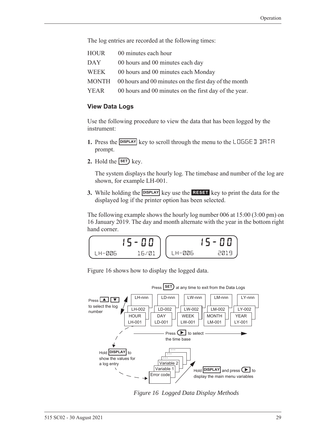The log entries are recorded at the following times:

| HOUR | 00 minutes each hour                                        |
|------|-------------------------------------------------------------|
| DAY  | 00 hours and 00 minutes each day                            |
| WEEK | 00 hours and 00 minutes each Monday                         |
|      | MONTH 00 hours and 00 minutes on the first day of the month |
| YEAR | 00 hours and 00 minutes on the first day of the year.       |

#### **View Data Logs**

Use the following procedure to view the data that has been logged by the instrument:

- 1. Press the **DISPLAY** key to scroll through the menu to the LOGGE I IHTH prompt.
- **2.** Hold the  $\overline{\text{SET}}$  key.

The system displays the hourly log. The timebase and number of the log are shown, for example LH-001.

**3.** While holding the **DISPLAY** key use the **RESET** key to print the data for the displayed log if the printer option has been selected.

The following example shows the hourly log number 006 at 15:00 (3:00 pm) on 16 January 2019. The day and month alternate with the year in the bottom right hand corner.

$$
\begin{array}{|c|c|c|c|}\n\hline\n\text{LH-B06} & \text{15-00} \\
\hline\n\text{LH-B06} & \text{16/01} \\
\hline\n\end{array}\n\quad\n\begin{array}{|c|c|c|}\n\hline\n\text{LH-B06} & \text{15-00} \\
\hline\n\text{LH-B06} & \text{2019}\n\end{array}
$$

[Figure 16](#page-38-0) shows how to display the logged data.



<span id="page-38-0"></span>*Figure 16 Logged Data Display Methods*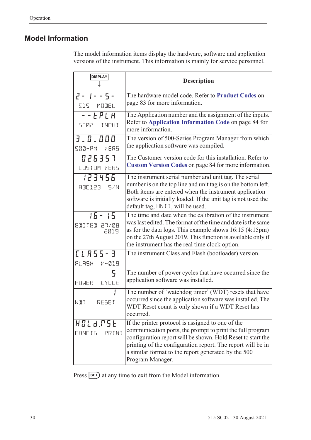### <span id="page-39-1"></span><span id="page-39-0"></span>**Model Information**

The model information items display the hardware, software and application versions of the instrument. This information is mainly for service personnel.

| <b>DISPLAY</b>                       | <b>Description</b>                                                                                                                                                                                                                                                                                                      |
|--------------------------------------|-------------------------------------------------------------------------------------------------------------------------------------------------------------------------------------------------------------------------------------------------------------------------------------------------------------------------|
| $2 - 1 - 5 -$<br>515 MODEL           | The hardware model code. Refer to Product Codes on<br>page 83 for more information.                                                                                                                                                                                                                                     |
| $  EPLH$<br>SC02 INPUT               | The Application number and the assignment of the inputs.<br>Refer to Application Information Code on page 84 for<br>more information.                                                                                                                                                                                   |
| 3.0.000<br>SØØ-PM VERS               | The version of 500-Series Program Manager from which<br>the application software was compiled.                                                                                                                                                                                                                          |
| 026357<br>CUSTOM VERS                | The Customer version code for this installation. Refer to<br>Custom Version Codes on page 84 for more information.                                                                                                                                                                                                      |
| 123456<br>RBE123 5/N                 | The instrument serial number and unit tag. The serial<br>number is on the top line and unit tag is on the bottom left.<br>Both items are entered when the instrument application<br>software is initially loaded. If the unit tag is not used the<br>default tag, UNIT, will be used.                                   |
| $15 - 15$<br>EDITED 27/08<br>2019    | The time and date when the calibration of the instrument<br>was last edited. The format of the time and date is the same<br>as for the data logs. This example shows 16:15 (4:15pm)<br>on the 27th August 2019. This function is available only if<br>the instrument has the real time clock option.                    |
| <b>CLASS-3</b><br>FLASH<br>$V - 219$ | The instrument Class and Flash (bootloader) version.                                                                                                                                                                                                                                                                    |
| 5<br>POWER EYELE                     | The number of power cycles that have occurred since the<br>application software was installed.                                                                                                                                                                                                                          |
| WIT<br>RESET                         | The number of 'watchdog timer' (WDT) resets that have<br>occurred since the application software was installed. The<br>WDT Reset count is only shown if a WDT Reset has<br>occurred.                                                                                                                                    |
| HOLd.PSE<br>CONFIG<br>PRINT          | If the printer protocol is assigned to one of the<br>communication ports, the prompt to print the full program<br>configuration report will be shown. Hold Reset to start the<br>printing of the configuration report. The report will be in<br>a similar format to the report generated by the 500<br>Program Manager. |

Press **SET**) at any time to exit from the Model information.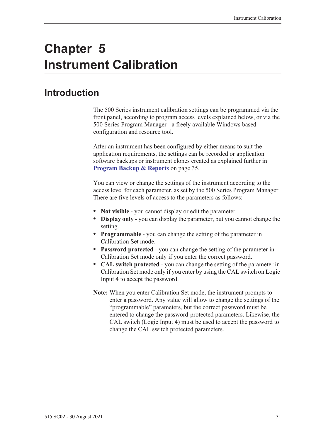# **Chapter 5 Instrument Calibration**

## **Introduction**

The 500 Series instrument calibration settings can be programmed via the front panel, according to program access levels explained below, or via the 500 Series Program Manager - a freely available Windows based configuration and resource tool.

After an instrument has been configured by either means to suit the application requirements, the settings can be recorded or application software backups or instrument clones created as explained further in **[Program Backup & Reports](#page-44-0)** on page 35.

You can view or change the settings of the instrument according to the access level for each parameter, as set by the 500 Series Program Manager. There are five levels of access to the parameters as follows:

- **• Not visible** you cannot display or edit the parameter.
- **• Display only** you can display the parameter, but you cannot change the setting.
- **• Programmable** you can change the setting of the parameter in Calibration Set mode.
- **• Password protected** you can change the setting of the parameter in Calibration Set mode only if you enter the correct password.
- **• CAL switch protected**  you can change the setting of the parameter in Calibration Set mode only if you enter by using the CAL switch on Logic Input 4 to accept the password.
- **Note:** When you enter Calibration Set mode, the instrument prompts to enter a password. Any value will allow to change the settings of the "programmable" parameters, but the correct password must be entered to change the password-protected parameters. Likewise, the CAL switch (Logic Input 4) must be used to accept the password to change the CAL switch protected parameters.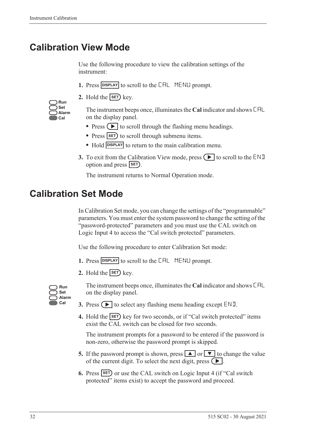## <span id="page-41-0"></span>**Calibration View Mode**

Use the following procedure to view the calibration settings of the instrument:

- 1. Press **DISPLAY** to scroll to the **CAL** MENLI prompt.
- **2.** Hold the  $\overline{\text{SET}}$  key.

| Run   |
|-------|
| Set   |
| Alarm |
| Cal   |

The instrument beeps once, illuminates the **Cal** indicator and shows CAL on the display panel.

- Press  $\left( \blacktriangleright \right)$  to scroll through the flashing menu headings.
- Press **SET** to scroll through submenu items.
- Hold **DISPLAY** to return to the main calibration menu.
- **3.** To exit from the Calibration View mode, press  $\Box$  to scroll to the END option and press **SET**).

The instrument returns to Normal Operation mode.

## **Calibration Set Mode**

In Calibration Set mode, you can change the settings of the "programmable" parameters. You must enter the system password to change the setting of the "password-protected" parameters and you must use the CAL switch on Logic Input 4 to access the "Cal switch protected" parameters.

Use the following procedure to enter Calibration Set mode:

- **1.** Press **DISPLAY** to scroll to the **CAL** MENLI prompt.
- **2.** Hold the  $\overline{\text{SET}}$  key.



The instrument beeps once, illuminates the **Cal** indicator and shows CAL on the display panel.

- **3.** Press  $\left( \blacktriangleright \right)$  to select any flashing menu heading except END.
- **4.** Hold the **SET** key for two seconds, or if "Cal switch protected" items exist the CAL switch can be closed for two seconds.

The instrument prompts for a password to be entered if the password is non-zero, otherwise the password prompt is skipped.

- **5.** If the password prompt is shown, press  $\boxed{\blacktriangle}$  or  $\boxed{\blacktriangledown}$  to change the value of the current digit. To select the next digit, press  $\left( \blacktriangleright \right)$ .
- **6.** Press **SET** or use the CAL switch on Logic Input 4 (if "Cal switch protected" items exist) to accept the password and proceed.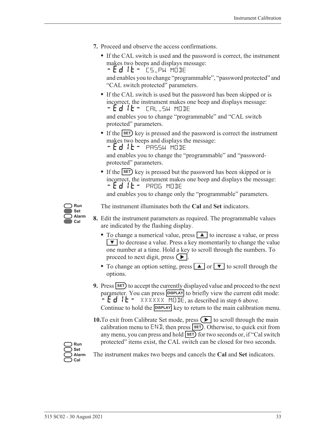- **7.** Proceed and observe the access confirmations.
	- **•** If the CAL switch is used and the password is correct, the instrument makes two beeps and displays message: - Ed IL - CS\_PW MODE

and enables you to change "programmable", "password protected" and "CAL switch protected" parameters.

**•** If the CAL switch is used but the password has been skipped or is incorrect, the instrument makes one beep and displays message: -EDIT- CAL\_SW MODE

and enables you to change "programmable" and "CAL switch protected" parameters.

• If the **SET**) key is pressed and the password is correct the instrument makes two beeps and displays the message:

 $-$  **E**  $d$   $l$  **L**  $-$  PASSW MODE

and enables you to change the "programmable" and "passwordprotected" parameters.

• If the **SET**) key is pressed but the password has been skipped or is incorrect, the instrument makes one beep and displays the message: -EDIT- PROG MODE

and enables you to change only the "programmable" parameters.



The instrument illuminates both the **Cal** and **Set** indicators.

- **8.** Edit the instrument parameters as required. The programmable values are indicated by the flashing display.
	- To change a numerical value, press **A** to increase a value, or press  $\blacktriangledown$  to decrease a value. Press a key momentarily to change the value one number at a time. Hold a key to scroll through the numbers. To proceed to next digit, press  $( \blacktriangleright ).$
	- To change an option setting, press **A** or  $\bullet$  to scroll through the options.
- **9.** Press **SET** to accept the currently displayed value and proceed to the next parameter. You can press **DISPLAY** to briefly view the current edit mode:  $-Ed$   $E - \frac{2}{x}$  XXXXXX MODE, as described in step 6 above. Continue to hold the **DISPLAY** key to return to the main calibration menu.
- **10.**To exit from Calibrate Set mode, press  $\left( \blacktriangleright \right)$  to scroll through the main calibration menu to  $ENI$ , then press  $SET$ . Otherwise, to quick exit from any menu, you can press and hold **SET** for two seconds or, if "Cal switch protected" items exist, the CAL switch can be closed for two seconds.

**Run Set Alarm Cal**

The instrument makes two beeps and cancels the **Cal** and **Set** indicators.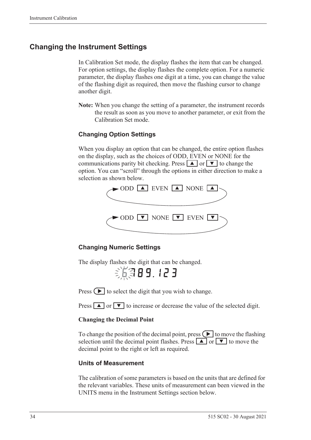### **Changing the Instrument Settings**

In Calibration Set mode, the display flashes the item that can be changed. For option settings, the display flashes the complete option. For a numeric parameter, the display flashes one digit at a time, you can change the value of the flashing digit as required, then move the flashing cursor to change another digit.

**Note:** When you change the setting of a parameter, the instrument records the result as soon as you move to another parameter, or exit from the Calibration Set mode.

#### **Changing Option Settings**

When you display an option that can be changed, the entire option flashes on the display, such as the choices of ODD, EVEN or NONE for the communications parity bit checking. Press  $\boxed{\blacktriangle}$  or  $\boxed{\blacktriangledown}$  to change the option. You can "scroll" through the options in either direction to make a selection as shown below.



#### **Changing Numeric Settings**

The display flashes the digit that can be changed.

第第89.123

Press  $\left( \blacktriangleright \right)$  to select the digit that you wish to change.

Press  $\boxed{\blacktriangle}$  or  $\boxed{\blacktriangledown}$  to increase or decrease the value of the selected digit.

#### **Changing the Decimal Point**

To change the position of the decimal point, press  $\Box$  to move the flashing selection until the decimal point flashes. Press  $\boxed{\blacktriangle}$  or  $\boxed{\blacktriangledown}$  to move the decimal point to the right or left as required.

#### **Units of Measurement**

The calibration of some parameters is based on the units that are defined for the relevant variables. These units of measurement can been viewed in the UNITS menu in the Instrument Settings section below.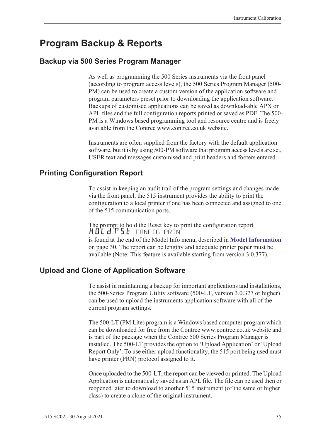## <span id="page-44-0"></span>**Program Backup & Reports**

### **Backup via 500 Series Program Manager**

As well as programming the 500 Series instruments via the front panel (according to program access levels), the 500 Series Program Manager (500- PM) can be used to create a custom version of the application software and program parameters preset prior to downloading the application software. Backups of customised applications can be saved as download-able APX or APL files and the full configuration reports printed or saved as PDF. The 500- PM is a Windows based programming tool and resource centre and is freely available from the Contrec www.contrec.co.uk website.

Instruments are often supplied from the factory with the default application software, but it is by using 500-PM software that program access levels are set, USER text and messages customised and print headers and footers entered.

### **Printing Configuration Report**

To assist in keeping an audit trail of the program settings and changes made via the front panel, the 515 instrument provides the ability to print the configuration to a local printer if one has been connected and assigned to one of the 515 communication ports.

The prompt to hold the Reset key to print the configuration report HOLd:P5E config print is found at the end of the Model Info menu, described in **[Model Information](#page-39-1)** [on page 30](#page-39-1). The report can be lengthy and adequate printer paper must be available (Note: This feature is available starting from version 3.0.377).

### **Upload and Clone of Application Software**

To assist in maintaining a backup for important applications and installations, the 500-Series Program Utility software (500-LT, version 3.0.377 or higher) can be used to upload the instruments application software with all of the current program settings.

The 500-LT (PM Lite) program is a Windows based computer program which can be downloaded for free from the Contrec www.contrec.co.uk website and is part of the package when the Contrec 500 Series Program Manager is installed. The 500-LT provides the option to 'Upload Application' or 'Upload Report Only'. To use either upload functionality, the 515 port being used must have printer (PRN) protocol assigned to it.

Once uploaded to the 500-LT, the report can be viewed or printed. The Upload Application is automatically saved as an APL file. The file can be used then or reopened later to download to another 515 instrument (of the same or higher class) to create a clone of the original instrument.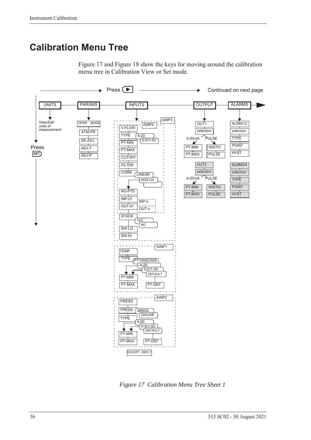## **Calibration Menu Tree**

[Figure 17](#page-45-0) and [Figure 18](#page-46-0) show the keys for moving around the calibration menu tree in Calibration View or Set mode.



<span id="page-45-0"></span>*Figure 17 Calibration Menu Tree Sheet 1*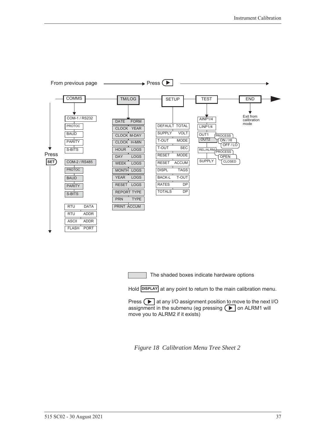

The shaded boxes indicate hardware options

Hold **DISPLAY** at any point to return to the main calibration menu.

Press  $\Box$  at any I/O assignment position to move to the next I/O assignment in the submenu (eg pressing  $\left( \blacktriangleright \right)$  on ALRM1 will move you to ALRM2 if it exists)

<span id="page-46-0"></span>*Figure 18 Calibration Menu Tree Sheet 2*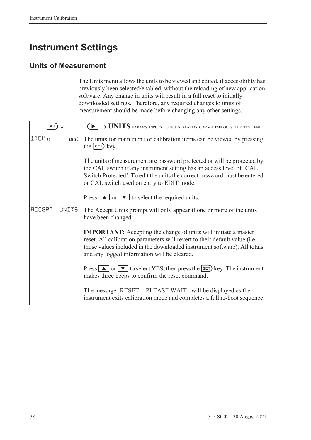## **Instrument Settings**

### **Units of Measurement**

The Units menu allows the units to be viewed and edited, if accessibility has previously been selected/enabled, without the reloading of new application software. Any change in units will result in a full reset to initially downloaded settings. Therefore, any required changes to units of measurement should be made before changing any other settings.

| <b>SET</b>              | $\blacktriangleright$ $\rightarrow$ UNITS params inputs outputs alarms comms tm/log setup test end                                                                                                                                                                              |  |
|-------------------------|---------------------------------------------------------------------------------------------------------------------------------------------------------------------------------------------------------------------------------------------------------------------------------|--|
| ITEMn<br>unit           | The units for main menu or calibration items can be viewed by pressing<br>the $s$ $F$ $k$ ey.                                                                                                                                                                                   |  |
|                         | The units of measurement are password protected or will be protected by<br>the CAL switch if any instrument setting has an access level of 'CAL<br>Switch Protected'. To edit the units the correct password must be entered<br>or CAL switch used on entry to EDIT mode.       |  |
|                         | Press $\boxed{\blacktriangle}$ or $\boxed{\blacktriangledown}$ to select the required units.                                                                                                                                                                                    |  |
| <b>ACCEPT</b><br>LINIT5 | The Accept Units prompt will only appear if one or more of the units<br>have been changed.                                                                                                                                                                                      |  |
|                         | <b>IMPORTANT:</b> Accepting the change of units will initiate a master<br>reset. All calibration parameters will revert to their default value (i.e.<br>those values included in the downloaded instrument software). All totals<br>and any logged information will be cleared. |  |
|                         | Press $\Box$ or $\nabla$ to select YES, then press the <b>SET</b> ) key. The instrument<br>makes three beeps to confirm the reset command.                                                                                                                                      |  |
|                         | The message -RESET- PLEASE WAIT will be displayed as the<br>instrument exits calibration mode and completes a full re-boot sequence.                                                                                                                                            |  |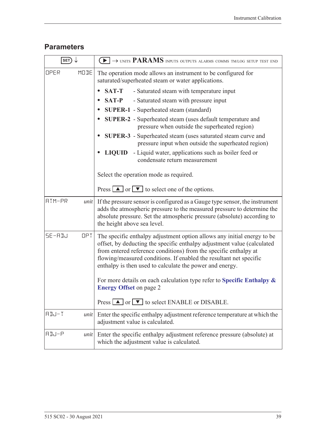### **Parameters**

| SET)            | $\blacktriangleright$ $\rightarrow$ units PARAMS inputs outputs alarms comms tm/log setup test end                                                                                                                                                                                                                                                                                                                                    |  |
|-----------------|---------------------------------------------------------------------------------------------------------------------------------------------------------------------------------------------------------------------------------------------------------------------------------------------------------------------------------------------------------------------------------------------------------------------------------------|--|
| MODE<br>OPER    | The operation mode allows an instrument to be configured for<br>saturated/superheated steam or water applications.                                                                                                                                                                                                                                                                                                                    |  |
|                 | <b>SAT-T</b><br>- Saturated steam with temperature input<br>$\bullet$                                                                                                                                                                                                                                                                                                                                                                 |  |
|                 | <b>SAT-P</b><br>- Saturated steam with pressure input<br>$\bullet$                                                                                                                                                                                                                                                                                                                                                                    |  |
|                 | <b>SUPER-1</b> - Superheated steam (standard)<br>$\bullet$                                                                                                                                                                                                                                                                                                                                                                            |  |
|                 | <b>SUPER-2</b> - Superheated steam (uses default temperature and<br>$\bullet$<br>pressure when outside the superheated region)                                                                                                                                                                                                                                                                                                        |  |
|                 | SUPER-3 - Superheated steam (uses saturated steam curve and<br>pressure input when outside the superheated region)                                                                                                                                                                                                                                                                                                                    |  |
|                 | <b>LIQUID</b><br>- Liquid water, applications such as boiler feed or<br>condensate return measurement                                                                                                                                                                                                                                                                                                                                 |  |
|                 | Select the operation mode as required.                                                                                                                                                                                                                                                                                                                                                                                                |  |
|                 | Press $\Box$ or $\Box$ to select one of the options.                                                                                                                                                                                                                                                                                                                                                                                  |  |
| ATM-PR<br>unit  | If the pressure sensor is configured as a Gauge type sensor, the instrument<br>adds the atmospheric pressure to the measured pressure to determine the<br>absolute pressure. Set the atmospheric pressure (absolute) according to<br>the height above sea level.                                                                                                                                                                      |  |
| SE-ADJ<br>OPT.  | The specific enthalpy adjustment option allows any initial energy to be<br>offset, by deducting the specific enthalpy adjustment value (calculated<br>from entered reference conditions) from the specific enthalpy at<br>flowing/measured conditions. If enabled the resultant net specific<br>enthalpy is then used to calculate the power and energy.<br>For more details on each calculation type refer to Specific Enthalpy $\&$ |  |
|                 | <b>Energy Offset on page 2</b>                                                                                                                                                                                                                                                                                                                                                                                                        |  |
|                 | Press $\boxed{\blacktriangle}$ or $\boxed{\blacktriangledown}$ to select ENABLE or DISABLE.                                                                                                                                                                                                                                                                                                                                           |  |
| $HJJ-T$<br>unit | Enter the specific enthalpy adjustment reference temperature at which the<br>adjustment value is calculated.                                                                                                                                                                                                                                                                                                                          |  |
| ADJ-P<br>unit   | Enter the specific enthalpy adjustment reference pressure (absolute) at<br>which the adjustment value is calculated.                                                                                                                                                                                                                                                                                                                  |  |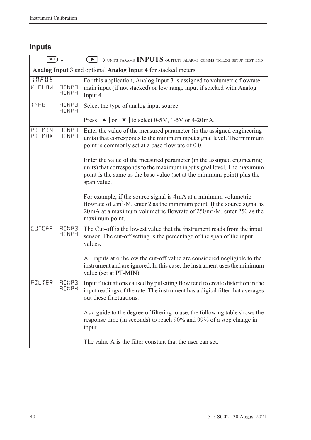## **Inputs**

| SET)               |                              | $\blacktriangleright$ $\rightarrow$ units params INPUTS outputs alarms comms tm/log setup test end                                                                                                                                                          |
|--------------------|------------------------------|-------------------------------------------------------------------------------------------------------------------------------------------------------------------------------------------------------------------------------------------------------------|
|                    |                              | Analog Input 3 and optional Analog Input 4 for stacked meters                                                                                                                                                                                               |
| INPUE<br>$V$ -FLOW | <b>AINP3</b><br><b>AINP4</b> | For this application, Analog Input 3 is assigned to volumetric flowrate<br>main input (if not stacked) or low range input if stacked with Analog<br>Input 4.                                                                                                |
| TYPE               | <b>AINP3</b><br><b>AINP4</b> | Select the type of analog input source.                                                                                                                                                                                                                     |
|                    |                              | Press $\Box$ or $\Box$ to select 0-5V, 1-5V or 4-20mA.                                                                                                                                                                                                      |
| PT-MIN<br>PT-MRX   | <b>AINP3</b><br><b>AINP4</b> | Enter the value of the measured parameter (in the assigned engineering<br>units) that corresponds to the minimum input signal level. The minimum<br>point is commonly set at a base flowrate of 0.0.                                                        |
|                    |                              | Enter the value of the measured parameter (in the assigned engineering<br>units) that corresponds to the maximum input signal level. The maximum<br>point is the same as the base value (set at the minimum point) plus the<br>span value.                  |
|                    |                              | For example, if the source signal is 4mA at a minimum volumetric<br>flowrate of $2m3/M$ , enter 2 as the minimum point. If the source signal is<br>20mA at a maximum volumetric flowrate of $250 \text{ m}^3/\text{M}$ , enter 250 as the<br>maximum point. |
| CUTOFF             | <b>AINP3</b><br><b>AINP4</b> | The Cut-off is the lowest value that the instrument reads from the input<br>sensor. The cut-off setting is the percentage of the span of the input<br>values.                                                                                               |
|                    |                              | All inputs at or below the cut-off value are considered negligible to the<br>instrument and are ignored. In this case, the instrument uses the minimum<br>value (set at PT-MIN).                                                                            |
| FILTER             | <b>AINP3</b><br><b>AINP4</b> | Input fluctuations caused by pulsating flow tend to create distortion in the<br>input readings of the rate. The instrument has a digital filter that averages<br>out these fluctuations.                                                                    |
|                    |                              | As a guide to the degree of filtering to use, the following table shows the<br>response time (in seconds) to reach 90% and 99% of a step change in<br>input.                                                                                                |
|                    |                              | The value A is the filter constant that the user can set.                                                                                                                                                                                                   |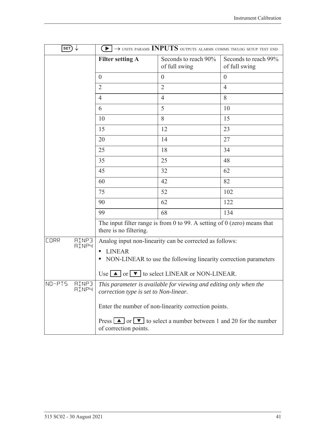| $\ket{\texttt{SET}} \downarrow$             |                                                                                                            | $\blacktriangleright$ $\rightarrow$ units params INPUTS outputs alarms comms tm/log setup test end                |                                       |
|---------------------------------------------|------------------------------------------------------------------------------------------------------------|-------------------------------------------------------------------------------------------------------------------|---------------------------------------|
|                                             | <b>Filter setting A</b>                                                                                    | Seconds to reach 90%<br>of full swing                                                                             | Seconds to reach 99%<br>of full swing |
|                                             | $\theta$                                                                                                   | $\theta$                                                                                                          | $\theta$                              |
|                                             | $\overline{2}$                                                                                             | $\overline{2}$                                                                                                    | $\overline{4}$                        |
|                                             | 4                                                                                                          | $\overline{4}$                                                                                                    | 8                                     |
|                                             | 6                                                                                                          | 5                                                                                                                 | 10                                    |
|                                             | 10                                                                                                         | 8                                                                                                                 | 15                                    |
|                                             | 15                                                                                                         | 12                                                                                                                | 23                                    |
|                                             | 20                                                                                                         | 14                                                                                                                | 27                                    |
|                                             | 25                                                                                                         | 18                                                                                                                | 34                                    |
|                                             | 35                                                                                                         | 25                                                                                                                | 48                                    |
|                                             | 45                                                                                                         | 32                                                                                                                | 62                                    |
|                                             | 60                                                                                                         | 42                                                                                                                | 82                                    |
|                                             | 75                                                                                                         | 52                                                                                                                | 102                                   |
|                                             | 90                                                                                                         | 62                                                                                                                | 122                                   |
|                                             | 99                                                                                                         | 68                                                                                                                | 134                                   |
|                                             | there is no filtering.                                                                                     | The input filter range is from 0 to 99. A setting of $0$ (zero) means that                                        |                                       |
| <b>CORR</b><br><b>AINP3</b><br><b>AINP4</b> |                                                                                                            | Analog input non-linearity can be corrected as follows:                                                           |                                       |
|                                             | <b>LINEAR</b>                                                                                              | NON-LINEAR to use the following linearity correction parameters                                                   |                                       |
|                                             |                                                                                                            | Use $\Box$ or $\nabla$ to select LINEAR or NON-LINEAR.                                                            |                                       |
| NO-PT5<br><b>AINP3</b><br><b>AINP4</b>      | This parameter is available for viewing and editing only when the<br>correction type is set to Non-linear. |                                                                                                                   |                                       |
|                                             |                                                                                                            | Enter the number of non-linearity correction points.                                                              |                                       |
|                                             | of correction points.                                                                                      | Press $\boxed{\blacktriangle}$ or $\boxed{\blacktriangledown}$ to select a number between 1 and 20 for the number |                                       |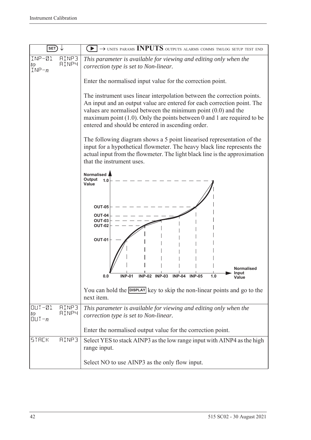| <b>SET</b>                                                          | $\rightarrow$ units params INPUTS outputs alarms comms tm/log setup test end                                                                                                                                                                                                                                                                             |  |  |
|---------------------------------------------------------------------|----------------------------------------------------------------------------------------------------------------------------------------------------------------------------------------------------------------------------------------------------------------------------------------------------------------------------------------------------------|--|--|
| INP-01<br>RINP3<br><b>AINP4</b><br>to<br>$INP - n$                  | This parameter is available for viewing and editing only when the<br>correction type is set to Non-linear.                                                                                                                                                                                                                                               |  |  |
|                                                                     | Enter the normalised input value for the correction point.                                                                                                                                                                                                                                                                                               |  |  |
|                                                                     | The instrument uses linear interpolation between the correction points.<br>An input and an output value are entered for each correction point. The<br>values are normalised between the minimum point $(0.0)$ and the<br>maximum point $(1.0)$ . Only the points between 0 and 1 are required to be<br>entered and should be entered in ascending order. |  |  |
|                                                                     | The following diagram shows a 5 point linearised representation of the<br>input for a hypothetical flowmeter. The heavy black line represents the<br>actual input from the flowmeter. The light black line is the approximation<br>that the instrument uses.                                                                                             |  |  |
|                                                                     | Normalised<br>Output<br>1.0<br>Value                                                                                                                                                                                                                                                                                                                     |  |  |
|                                                                     | <b>OUT-05</b><br>OUT-04                                                                                                                                                                                                                                                                                                                                  |  |  |
|                                                                     | <b>OUT-03</b><br><b>OUT-02</b>                                                                                                                                                                                                                                                                                                                           |  |  |
|                                                                     | <b>OUT-01</b>                                                                                                                                                                                                                                                                                                                                            |  |  |
|                                                                     | <b>Normalised</b><br>Input<br><b>INP-02 INP-03</b><br>$INP-04$<br><b>INP-05</b><br><b>INP-01</b><br>1.0<br>0.0                                                                                                                                                                                                                                           |  |  |
|                                                                     | You can hold the <b>DISPLAY</b> key to skip the non-linear points and go to the<br>next item.                                                                                                                                                                                                                                                            |  |  |
| $OUT-21$<br><b>AINP3</b><br><b>AINP4</b><br>to<br>$[[] \cup T - n]$ | This parameter is available for viewing and editing only when the<br>correction type is set to Non-linear.                                                                                                                                                                                                                                               |  |  |
|                                                                     | Enter the normalised output value for the correction point.                                                                                                                                                                                                                                                                                              |  |  |
| <b>AINP3</b><br><b>STACK</b>                                        | Select YES to stack AINP3 as the low range input with AINP4 as the high<br>range input.                                                                                                                                                                                                                                                                  |  |  |
|                                                                     | Select NO to use AINP3 as the only flow input.                                                                                                                                                                                                                                                                                                           |  |  |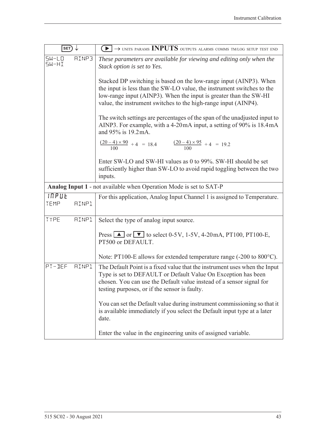| $ $ SET $)$                      | $\left(\blacktriangleright\right)\rightarrow$ units params INPUTS outputs alarms comms tm/log setup test end                                                                                                                                                                         |
|----------------------------------|--------------------------------------------------------------------------------------------------------------------------------------------------------------------------------------------------------------------------------------------------------------------------------------|
| $5W-L0$<br><b>AINP3</b><br>SW-HI | These parameters are available for viewing and editing only when the<br>Stack option is set to Yes.                                                                                                                                                                                  |
|                                  | Stacked DP switching is based on the low-range input (AINP3). When<br>the input is less than the SW-LO value, the instrument switches to the<br>low-range input (AINP3). When the input is greater than the SW-HI<br>value, the instrument switches to the high-range input (AINP4). |
|                                  | The switch settings are percentages of the span of the unadjusted input to<br>AINP3. For example, with a 4-20mA input, a setting of 90% is 18.4mA<br>and 95% is 19.2 mA.                                                                                                             |
|                                  | $\frac{(20-4)\times 90}{100} + 4 = 18.4$ $\frac{(20-4)\times 95}{100} + 4 = 19.2$                                                                                                                                                                                                    |
|                                  | Enter SW-LO and SW-HI values as 0 to 99%. SW-HI should be set<br>sufficiently higher than SW-LO to avoid rapid toggling between the two<br>inputs.                                                                                                                                   |
|                                  | Analog Input 1 - not available when Operation Mode is set to SAT-P                                                                                                                                                                                                                   |
| INPUE<br>TEMP<br><b>AINP1</b>    | For this application, Analog Input Channel 1 is assigned to Temperature.                                                                                                                                                                                                             |
| <b>AINP1</b><br>TYPE             | Select the type of analog input source.                                                                                                                                                                                                                                              |
|                                  | Press $\Box$ or $\nabla$ to select 0-5V, 1-5V, 4-20mA, PT100, PT100-E,<br>PT500 or DEFAULT.                                                                                                                                                                                          |
|                                  | Note: PT100-E allows for extended temperature range (-200 to 800°C).                                                                                                                                                                                                                 |
| PT-DEF<br><b>AINP1</b>           | The Default Point is a fixed value that the instrument uses when the Input<br>Type is set to DEFAULT or Default Value On Exception has been<br>chosen. You can use the Default value instead of a sensor signal for<br>testing purposes, or if the sensor is faulty.                 |
|                                  | You can set the Default value during instrument commissioning so that it<br>is available immediately if you select the Default input type at a later<br>date.                                                                                                                        |
|                                  | Enter the value in the engineering units of assigned variable.                                                                                                                                                                                                                       |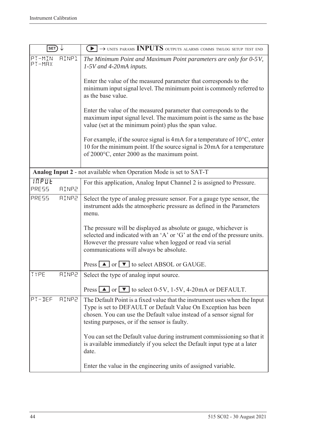| SET)             |              | $\blacktriangleright$ $\rightarrow$ units params INPUTS outputs alarms comms tmlog setup test end                                                                                                                                                                    |
|------------------|--------------|----------------------------------------------------------------------------------------------------------------------------------------------------------------------------------------------------------------------------------------------------------------------|
| PT-MIN<br>PT-MAX | <b>AINP1</b> | The Minimum Point and Maximum Point parameters are only for 0-5V,<br>1-5V and 4-20mA inputs.                                                                                                                                                                         |
|                  |              | Enter the value of the measured parameter that corresponds to the<br>minimum input signal level. The minimum point is commonly referred to<br>as the base value.                                                                                                     |
|                  |              | Enter the value of the measured parameter that corresponds to the<br>maximum input signal level. The maximum point is the same as the base<br>value (set at the minimum point) plus the span value.                                                                  |
|                  |              | For example, if the source signal is 4 mA for a temperature of $10^{\circ}$ C, enter<br>10 for the minimum point. If the source signal is 20 mA for a temperature<br>of $2000$ °C, enter 2000 as the maximum point.                                                  |
|                  |              | Analog Input 2 - not available when Operation Mode is set to SAT-T                                                                                                                                                                                                   |
| INPUE<br>PRESS   | <b>AINP2</b> | For this application, Analog Input Channel 2 is assigned to Pressure.                                                                                                                                                                                                |
| PRESS            | <b>AINP2</b> | Select the type of analog pressure sensor. For a gauge type sensor, the<br>instrument adds the atmospheric pressure as defined in the Parameters<br>menu.                                                                                                            |
|                  |              | The pressure will be displayed as absolute or gauge, whichever is<br>selected and indicated with an 'A' or 'G' at the end of the pressure units.<br>However the pressure value when logged or read via serial<br>communications will always be absolute.             |
|                  |              | Press $\boxed{\blacktriangle}$ or $\boxed{\blacktriangledown}$ to select ABSOL or GAUGE.                                                                                                                                                                             |
| TYPE             | <b>AINP2</b> | Select the type of analog input source.                                                                                                                                                                                                                              |
|                  |              | Press $\Box$ or $\Box$ to select 0-5V, 1-5V, 4-20mA or DEFAULT.                                                                                                                                                                                                      |
| PT-DEF           | <b>AINP2</b> | The Default Point is a fixed value that the instrument uses when the Input<br>Type is set to DEFAULT or Default Value On Exception has been<br>chosen. You can use the Default value instead of a sensor signal for<br>testing purposes, or if the sensor is faulty. |
|                  |              | You can set the Default value during instrument commissioning so that it<br>is available immediately if you select the Default input type at a later<br>date.                                                                                                        |
|                  |              | Enter the value in the engineering units of assigned variable.                                                                                                                                                                                                       |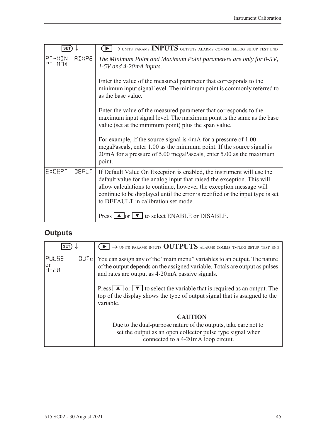| <b>SET</b>                       | $\rightarrow$ UNITS PARAMS INPUTS OUTPUTS ALARMS COMMS TM/LOG SETUP TEST END                                                                                                                                                                                                                                                                    |
|----------------------------------|-------------------------------------------------------------------------------------------------------------------------------------------------------------------------------------------------------------------------------------------------------------------------------------------------------------------------------------------------|
| PT-MIN<br><b>AINP2</b><br>PT-MAX | The Minimum Point and Maximum Point parameters are only for 0-5V,<br>$1-5V$ and 4-20mA inputs.                                                                                                                                                                                                                                                  |
|                                  | Enter the value of the measured parameter that corresponds to the<br>minimum input signal level. The minimum point is commonly referred to<br>as the base value.                                                                                                                                                                                |
|                                  | Enter the value of the measured parameter that corresponds to the<br>maximum input signal level. The maximum point is the same as the base<br>value (set at the minimum point) plus the span value.                                                                                                                                             |
|                                  | For example, if the source signal is 4mA for a pressure of 1.00<br>megaPascals, enter 1.00 as the minimum point. If the source signal is<br>20 mA for a pressure of 5.00 megaPascals, enter 5.00 as the maximum<br>point.                                                                                                                       |
| EXCEPT<br><b>DEFLT</b>           | If Default Value On Exception is enabled, the instrument will use the<br>default value for the analog input that raised the exception. This will<br>allow calculations to continue, however the exception message will<br>continue to be displayed until the error is rectified or the input type is set<br>to DEFAULT in calibration set mode. |
|                                  | Press $\Box$ or $\nabla$ to select ENABLE or DISABLE.                                                                                                                                                                                                                                                                                           |

## **Outputs**

| <b>SET</b>            |      | $\rightarrow$ UNITS PARAMS INPUTS OUTPUTS ALARMS COMMS TM/LOG SETUP TEST END                                                                                                                               |
|-----------------------|------|------------------------------------------------------------------------------------------------------------------------------------------------------------------------------------------------------------|
| PULSE<br> or<br> 닉-근Q | [[]] | You can assign any of the "main menu" variables to an output. The nature<br>of the output depends on the assigned variable. Totals are output as pulses<br>and rates are output as 4-20mA passive signals. |
|                       |      | Press $\Box$ or $\nabla$ to select the variable that is required as an output. The<br>top of the display shows the type of output signal that is assigned to the<br>variable.                              |
|                       |      | <b>CAUTION</b><br>Due to the dual-purpose nature of the outputs, take care not to<br>set the output as an open collector pulse type signal when<br>connected to a 4-20mA loop circuit.                     |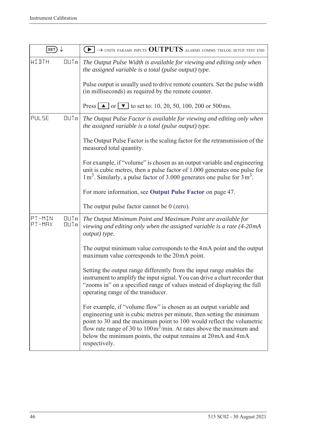| SET)             |                                           | $\rightarrow$ units params inputs OUTPUTS alarms comms tm/log setup test end<br>$\blacktriangleright$ 1                                                                                                                                                                                                                                                                                         |
|------------------|-------------------------------------------|-------------------------------------------------------------------------------------------------------------------------------------------------------------------------------------------------------------------------------------------------------------------------------------------------------------------------------------------------------------------------------------------------|
| WIJTH            | QUTn                                      | The Output Pulse Width is available for viewing and editing only when<br>the assigned variable is a total (pulse output) type.                                                                                                                                                                                                                                                                  |
|                  |                                           | Pulse output is usually used to drive remote counters. Set the pulse width<br>(in milliseconds) as required by the remote counter.                                                                                                                                                                                                                                                              |
|                  |                                           | Press $\triangle$ or $\triangledown$ to set to: 10, 20, 50, 100, 200 or 500 ms.                                                                                                                                                                                                                                                                                                                 |
| PULSE            | QUTn                                      | The Output Pulse Factor is available for viewing and editing only when<br>the assigned variable is a total (pulse output) type.                                                                                                                                                                                                                                                                 |
|                  |                                           | The Output Pulse Factor is the scaling factor for the retransmission of the<br>measured total quantity.                                                                                                                                                                                                                                                                                         |
|                  |                                           | For example, if "volume" is chosen as an output variable and engineering<br>unit is cubic metres, then a pulse factor of 1.000 generates one pulse for<br>$1 \text{ m}^3$ . Similarly, a pulse factor of 3.000 generates one pulse for $3 \text{ m}^3$ .                                                                                                                                        |
|                  |                                           | For more information, see Output Pulse Factor on page 47.                                                                                                                                                                                                                                                                                                                                       |
|                  |                                           | The output pulse factor cannot be $0$ (zero).                                                                                                                                                                                                                                                                                                                                                   |
| PT-MIN<br>PT-MRX | $\Box$ l $Tn$<br>$\Box$ $\Box$ $\Box$ $n$ | The Output Minimum Point and Maximum Point are available for<br>viewing and editing only when the assigned variable is a rate (4-20mA<br>output) type.                                                                                                                                                                                                                                          |
|                  |                                           | The output minimum value corresponds to the 4mA point and the output<br>maximum value corresponds to the 20mA point.                                                                                                                                                                                                                                                                            |
|                  |                                           | Setting the output range differently from the input range enables the<br>instrument to amplify the input signal. You can drive a chart recorder that<br>"zooms in" on a specified range of values instead of displaying the full<br>operating range of the transducer.                                                                                                                          |
|                  |                                           | For example, if "volume flow" is chosen as an output variable and<br>engineering unit is cubic metres per minute, then setting the minimum<br>point to 30 and the maximum point to 100 would reflect the volumetric<br>flow rate range of 30 to $100 \text{m}^3/\text{min}$ . At rates above the maximum and<br>below the minimum points, the output remains at 20 mA and 4 mA<br>respectively. |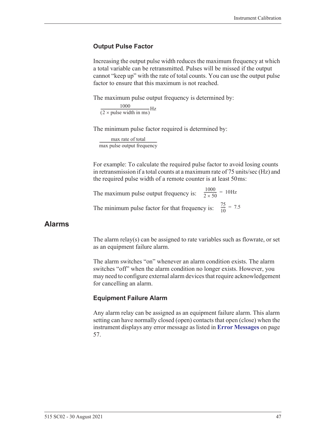#### <span id="page-56-0"></span>**Output Pulse Factor**

Increasing the output pulse width reduces the maximum frequency at which a total variable can be retransmitted. Pulses will be missed if the output cannot "keep up" with the rate of total counts. You can use the output pulse factor to ensure that this maximum is not reached.

The maximum pulse output frequency is determined by:

 $\frac{1000}{(2 \times \text{pulse width in ms)}}$ Hz

The minimum pulse factor required is determined by:

max rate of total max pulse output frequency ------------------------------------------------------------------

For example: To calculate the required pulse factor to avoid losing counts in retransmission if a total counts at a maximum rate of 75 units/sec (Hz) and the required pulse width of a remote counter is at least 50 ms:

The maximum pulse output frequency is:  $\frac{1000}{2 \times 50}$  = 10Hz The minimum pulse factor for that frequency is:  $\frac{75}{10}$  $\frac{73}{10}$  = 7.5

#### **Alarms**

The alarm relay(s) can be assigned to rate variables such as flowrate, or set as an equipment failure alarm.

The alarm switches "on" whenever an alarm condition exists. The alarm switches "off" when the alarm condition no longer exists. However, you may need to configure external alarm devices that require acknowledgement for cancelling an alarm.

#### **Equipment Failure Alarm**

Any alarm relay can be assigned as an equipment failure alarm. This alarm setting can have normally closed (open) contacts that open (close) when the instrument displays any error message as listed in **[Error Messages](#page-66-0)** on page [57.](#page-66-0)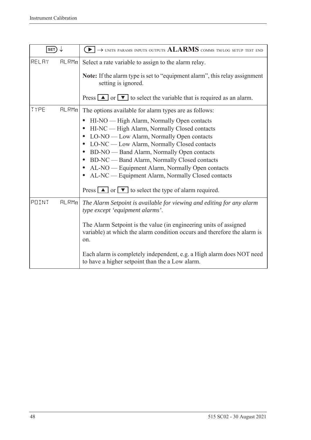| SET)  |       | $\rightarrow$ units params inputs outputs $ALARMS$ comms tm/log setup test end                                                                                                                                                                                                                                                                                                                                                                                                                                                                                                              |
|-------|-------|---------------------------------------------------------------------------------------------------------------------------------------------------------------------------------------------------------------------------------------------------------------------------------------------------------------------------------------------------------------------------------------------------------------------------------------------------------------------------------------------------------------------------------------------------------------------------------------------|
| RELAY | HLRMn | Select a rate variable to assign to the alarm relay.<br><b>Note:</b> If the alarm type is set to "equipment alarm", this relay assignment<br>setting is ignored.<br>Press $\boxed{\blacktriangle}$ or $\boxed{\blacktriangledown}$ to select the variable that is required as an alarm.                                                                                                                                                                                                                                                                                                     |
| TYPE  | HLRMn | The options available for alarm types are as follows:<br>HI-NO — High Alarm, Normally Open contacts<br>HI-NC — High Alarm, Normally Closed contacts<br>$\bullet$<br>LO-NO — Low Alarm, Normally Open contacts<br>$\bullet$<br>LO-NC — Low Alarm, Normally Closed contacts<br>BD-NO — Band Alarm, Normally Open contacts<br>$\bullet$<br>BD-NC — Band Alarm, Normally Closed contacts<br>٠<br>AL-NO — Equipment Alarm, Normally Open contacts<br>$\bullet$<br>AL-NC — Equipment Alarm, Normally Closed contacts<br>$\bullet$<br>Press $\Box$ or $\Box$ to select the type of alarm required. |
| POINT | HLRMn | The Alarm Setpoint is available for viewing and editing for any alarm<br>type except 'equipment alarms'.<br>The Alarm Setpoint is the value (in engineering units of assigned<br>variable) at which the alarm condition occurs and therefore the alarm is<br>on.<br>Each alarm is completely independent, e.g. a High alarm does NOT need<br>to have a higher setpoint than the a Low alarm.                                                                                                                                                                                                |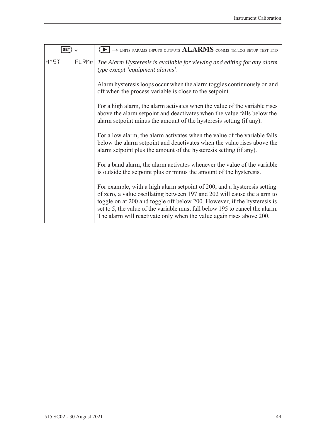| <b>SET</b>           | $\blacktriangleright$ $\rightarrow$ units params inputs outputs $ALARMS$ comms tm/log setup test end                                                                                                                                                                                                                                                                                     |
|----------------------|------------------------------------------------------------------------------------------------------------------------------------------------------------------------------------------------------------------------------------------------------------------------------------------------------------------------------------------------------------------------------------------|
| <b>HY5T</b><br>FLRMn | The Alarm Hysteresis is available for viewing and editing for any alarm<br>type except 'equipment alarms'.                                                                                                                                                                                                                                                                               |
|                      | Alarm hysteresis loops occur when the alarm toggles continuously on and<br>off when the process variable is close to the setpoint.                                                                                                                                                                                                                                                       |
|                      | For a high alarm, the alarm activates when the value of the variable rises<br>above the alarm setpoint and deactivates when the value falls below the<br>alarm setpoint minus the amount of the hysteresis setting (if any).                                                                                                                                                             |
|                      | For a low alarm, the alarm activates when the value of the variable falls<br>below the alarm setpoint and deactivates when the value rises above the<br>alarm setpoint plus the amount of the hysteresis setting (if any).                                                                                                                                                               |
|                      | For a band alarm, the alarm activates whenever the value of the variable<br>is outside the setpoint plus or minus the amount of the hysteresis.                                                                                                                                                                                                                                          |
|                      | For example, with a high alarm setpoint of 200, and a hysteresis setting<br>of zero, a value oscillating between 197 and 202 will cause the alarm to<br>toggle on at 200 and toggle off below 200. However, if the hysteresis is<br>set to 5, the value of the variable must fall below 195 to cancel the alarm.<br>The alarm will reactivate only when the value again rises above 200. |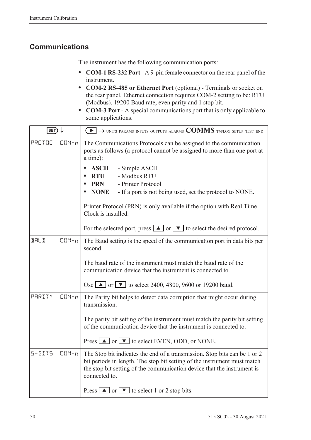### **Communications**

The instrument has the following communication ports:

- **• COM-1 RS-232 Port** A 9-pin female connector on the rear panel of the instrument.
- **• COM-2 RS-485 or Ethernet Port** (optional) Terminals or socket on the rear panel. Ethernet connection requires COM-2 setting to be: RTU (Modbus), 19200 Baud rate, even parity and 1 stop bit.
- **• COM-3 Port** A special communications port that is only applicable to some applications.

| SET)                               | $\left(\blacktriangleright\right)\rightarrow$ units params inputs outputs alarms $\text{COMMS}$ tm/log setup test end                                                                                                                             |
|------------------------------------|---------------------------------------------------------------------------------------------------------------------------------------------------------------------------------------------------------------------------------------------------|
| PROTOC<br>$CDM - n$                | The Communications Protocols can be assigned to the communication<br>ports as follows (a protocol cannot be assigned to more than one port at<br>a time):                                                                                         |
|                                    | <b>ASCII</b><br>- Simple ASCII<br>- Modbus RTU<br><b>RTU</b><br>- Printer Protocol<br><b>PRN</b><br><b>NONE</b><br>- If a port is not being used, set the protocol to NONE.                                                                       |
|                                    | Printer Protocol (PRN) is only available if the option with Real Time<br>Clock is installed.                                                                                                                                                      |
|                                    | For the selected port, press $\Box$ or $\Box$ to select the desired protocol.                                                                                                                                                                     |
| $CDM - n$<br><b>BAUD</b>           | The Baud setting is the speed of the communication port in data bits per<br>second.                                                                                                                                                               |
|                                    | The baud rate of the instrument must match the baud rate of the<br>communication device that the instrument is connected to.                                                                                                                      |
|                                    | Use 1 or $\bullet$ or $\bullet$ to select 2400, 4800, 9600 or 19200 baud.                                                                                                                                                                         |
| PARITY<br>$CDM - n$                | The Parity bit helps to detect data corruption that might occur during<br>transmission.                                                                                                                                                           |
|                                    | The parity bit setting of the instrument must match the parity bit setting<br>of the communication device that the instrument is connected to.                                                                                                    |
|                                    | Press $\Box$ or $\nabla$ to select EVEN, ODD, or NONE.                                                                                                                                                                                            |
| $5 - B1$ <sup>T</sup><br>$CDM - n$ | The Stop bit indicates the end of a transmission. Stop bits can be 1 or 2<br>bit periods in length. The stop bit setting of the instrument must match<br>the stop bit setting of the communication device that the instrument is<br>connected to. |
|                                    | Press $\boxed{\blacktriangle}$ or $\boxed{\blacktriangledown}$ to select 1 or 2 stop bits.                                                                                                                                                        |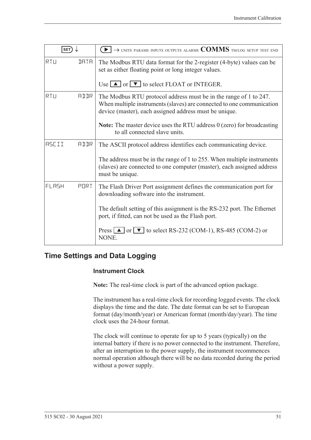| <b>SET</b>   |             | $\rightarrow$ units params inputs outputs alarms $\text{COMMS}$ tm/log setup test end                                                                                                                |
|--------------|-------------|------------------------------------------------------------------------------------------------------------------------------------------------------------------------------------------------------|
| RTU          | <b>JATA</b> | The Modbus RTU data format for the 2-register (4-byte) values can be<br>set as either floating point or long integer values.                                                                         |
|              |             | Use $\Box$ or $\nabla$ to select FLOAT or INTEGER.                                                                                                                                                   |
| RTU          | <b>ALLR</b> | The Modbus RTU protocol address must be in the range of 1 to 247.<br>When multiple instruments (slaves) are connected to one communication<br>device (master), each assigned address must be unique. |
|              |             | <b>Note:</b> The master device uses the RTU address 0 (zero) for broadcasting<br>to all connected slave units.                                                                                       |
| <b>ASCII</b> | AIIR        | The ASCII protocol address identifies each communicating device.                                                                                                                                     |
|              |             | The address must be in the range of 1 to 255. When multiple instruments<br>(slaves) are connected to one computer (master), each assigned address<br>must be unique.                                 |
| FLASH        | PORT        | The Flash Driver Port assignment defines the communication port for<br>downloading software into the instrument.                                                                                     |
|              |             | The default setting of this assignment is the RS-232 port. The Ethernet<br>port, if fitted, can not be used as the Flash port.                                                                       |
|              |             | Press $\Box$ or $\nabla$ to select RS-232 (COM-1), RS-485 (COM-2) or<br>NONE.                                                                                                                        |

### **Time Settings and Data Logging**

#### **Instrument Clock**

**Note:** The real-time clock is part of the advanced option package.

The instrument has a real-time clock for recording logged events. The clock displays the time and the date. The date format can be set to European format (day/month/year) or American format (month/day/year). The time clock uses the 24-hour format.

The clock will continue to operate for up to 5 years (typically) on the internal battery if there is no power connected to the instrument. Therefore, after an interruption to the power supply, the instrument recommences normal operation although there will be no data recorded during the period without a power supply.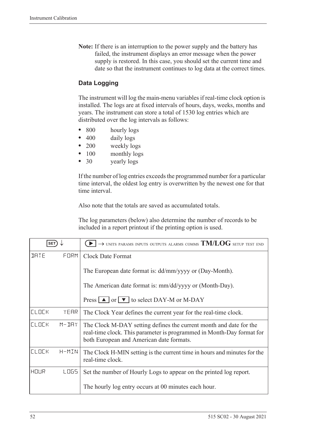**Note:** If there is an interruption to the power supply and the battery has failed, the instrument displays an error message when the power supply is restored. In this case, you should set the current time and date so that the instrument continues to log data at the correct times.

#### **Data Logging**

The instrument will log the main-menu variables if real-time clock option is installed. The logs are at fixed intervals of hours, days, weeks, months and years. The instrument can store a total of 1530 log entries which are distributed over the log intervals as follows:

- 800 hourly logs
- 400 daily logs
- 200 weekly logs
- 100 monthly logs
- 30 yearly logs

If the number of log entries exceeds the programmed number for a particular time interval, the oldest log entry is overwritten by the newest one for that time interval.

Also note that the totals are saved as accumulated totals.

The log parameters (below) also determine the number of records to be included in a report printout if the printing option is used.

| <b>SET</b>   |           | $\rightarrow$ units params inputs outputs alarms comms $TM/LOG$ setup test end                                                                                                          |
|--------------|-----------|-----------------------------------------------------------------------------------------------------------------------------------------------------------------------------------------|
| <b>JATE</b>  | FORM      | <b>Clock Date Format</b>                                                                                                                                                                |
|              |           | The European date format is: dd/mm/yyyy or (Day-Month).                                                                                                                                 |
|              |           | The American date format is: mm/dd/yyyy or (Month-Day).                                                                                                                                 |
|              |           | Press $\Delta$ or $\nabla$ to select DAY-M or M-DAY                                                                                                                                     |
| <b>ELDEK</b> | YEAR      | The Clock Year defines the current year for the real-time clock.                                                                                                                        |
| <b>CLOCK</b> | $M - JHY$ | The Clock M-DAY setting defines the current month and date for the<br>real-time clock. This parameter is programmed in Month-Day format for<br>both European and American date formats. |
| <b>ELDEK</b> | H-MIN     | The Clock H-MIN setting is the current time in hours and minutes for the<br>real-time clock.                                                                                            |
| HOUR         | LOG5      | Set the number of Hourly Logs to appear on the printed log report.                                                                                                                      |
|              |           | The hourly log entry occurs at 00 minutes each hour.                                                                                                                                    |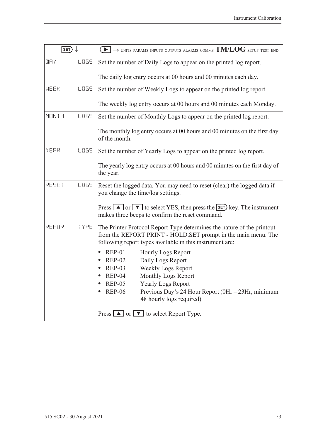| SET)         |             | $\blacktriangleright$ $\rightarrow$ units params inputs outputs alarms comms TM/LOG setup test end                                                                                                                                                                                                                    |
|--------------|-------------|-----------------------------------------------------------------------------------------------------------------------------------------------------------------------------------------------------------------------------------------------------------------------------------------------------------------------|
| IJΑY         | <b>LOGS</b> | Set the number of Daily Logs to appear on the printed log report.                                                                                                                                                                                                                                                     |
|              |             | The daily log entry occurs at 00 hours and 00 minutes each day.                                                                                                                                                                                                                                                       |
| <b>WEEK</b>  | <b>LOGS</b> | Set the number of Weekly Logs to appear on the printed log report.                                                                                                                                                                                                                                                    |
|              |             | The weekly log entry occurs at 00 hours and 00 minutes each Monday.                                                                                                                                                                                                                                                   |
| <b>MONTH</b> | LO65        | Set the number of Monthly Logs to appear on the printed log report.                                                                                                                                                                                                                                                   |
|              |             | The monthly log entry occurs at 00 hours and 00 minutes on the first day<br>of the month.                                                                                                                                                                                                                             |
| YEAR         | LO65        | Set the number of Yearly Logs to appear on the printed log report.                                                                                                                                                                                                                                                    |
|              |             | The yearly log entry occurs at 00 hours and 00 minutes on the first day of<br>the year.                                                                                                                                                                                                                               |
| RESET        | LOG5        | Reset the logged data. You may need to reset (clear) the logged data if<br>you change the time/log settings.                                                                                                                                                                                                          |
|              |             | Press $\Box$ or $\nabla$ to select YES, then press the <b>SET</b> ) key. The instrument<br>makes three beeps to confirm the reset command.                                                                                                                                                                            |
| REPORT       | TYPE        | The Printer Protocol Report Type determines the nature of the printout<br>from the REPORT PRINT - HOLD.SET prompt in the main menu. The<br>following report types available in this instrument are:                                                                                                                   |
|              |             | $REP-01$<br><b>Hourly Logs Report</b><br>$\bullet$<br>Daily Logs Report<br><b>REP-02</b><br><b>Weekly Logs Report</b><br>$REP-03$<br>Monthly Logs Report<br>$REP-04$<br><b>REP-05</b><br><b>Yearly Logs Report</b><br><b>REP-06</b><br>Previous Day's 24 Hour Report (0Hr - 23Hr, minimum<br>48 hourly logs required) |
|              |             | Press $\boxed{\blacktriangle}$ or $\boxed{\blacktriangledown}$ to select Report Type.                                                                                                                                                                                                                                 |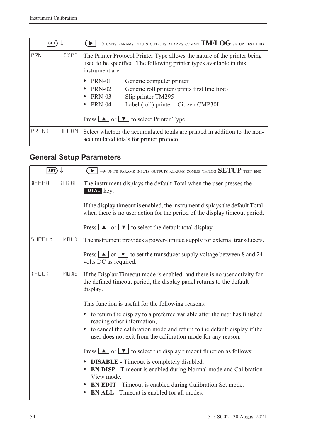| <b>SET</b> |              | $\rightarrow$ units params inputs outputs alarms comms $\mathrm{TM}/\mathrm{LOG}$ setup test end                                                                   |
|------------|--------------|--------------------------------------------------------------------------------------------------------------------------------------------------------------------|
| PRN        | <b>TYPE</b>  | The Printer Protocol Printer Type allows the nature of the printer being<br>used to be specified. The following printer types available in this<br>instrument are: |
|            |              | PRN-01<br>Generic computer printer                                                                                                                                 |
|            |              | <b>PRN-02</b><br>Generic roll printer (prints first line first)<br>$\bullet$                                                                                       |
|            |              | Slip printer TM295<br><b>PRN-03</b><br>٠                                                                                                                           |
|            |              | <b>PRN-04</b><br>Label (roll) printer - Citizen CMP30L<br>$\bullet$                                                                                                |
|            |              | Press $\boxed{\blacktriangle}$ or $\boxed{\blacktriangledown}$ to select Printer Type.                                                                             |
| PRINT      | <b>ACCUM</b> | Select whether the accumulated totals are printed in addition to the non-<br>accumulated totals for printer protocol.                                              |

## <span id="page-63-0"></span>**General Setup Parameters**

| SET)                             | $\rightarrow$ units params inputs outputs alarms comms tm/log $\operatorname{SETUP}$ test end                                                                      |
|----------------------------------|--------------------------------------------------------------------------------------------------------------------------------------------------------------------|
| DEFAULT TOTAL                    | The instrument displays the default Total when the user presses the<br>TOTAL key.                                                                                  |
|                                  | If the display timeout is enabled, the instrument displays the default Total<br>when there is no user action for the period of the display timeout period.         |
|                                  | Press $\boxed{\blacktriangle}$ or $\boxed{\blacktriangledown}$ to select the default total display.                                                                |
| <b>SUPPLY</b><br>$V \square L$ T | The instrument provides a power-limited supply for external transducers.                                                                                           |
|                                  | Press $\Box$ or $\nabla$ to set the transducer supply voltage between 8 and 24<br>volts DC as required.                                                            |
| $T - 11T$<br>MODE                | If the Display Timeout mode is enabled, and there is no user activity for<br>the defined timeout period, the display panel returns to the default<br>display.      |
|                                  | This function is useful for the following reasons:                                                                                                                 |
|                                  | to return the display to a preferred variable after the user has finished<br>$\bullet$<br>reading other information,                                               |
|                                  | to cancel the calibration mode and return to the default display if the<br>user does not exit from the calibration mode for any reason.                            |
|                                  | Press $\boxed{\blacktriangle}$ or $\boxed{\blacktriangledown}$ to select the display timeout function as follows:                                                  |
|                                  | <b>DISABLE</b> - Timeout is completely disabled.<br>$\bullet$<br><b>EN DISP</b> - Timeout is enabled during Normal mode and Calibration<br>$\bullet$<br>View mode. |
|                                  | <b>EN EDIT</b> - Timeout is enabled during Calibration Set mode.<br><b>EN ALL</b> - Timeout is enabled for all modes.                                              |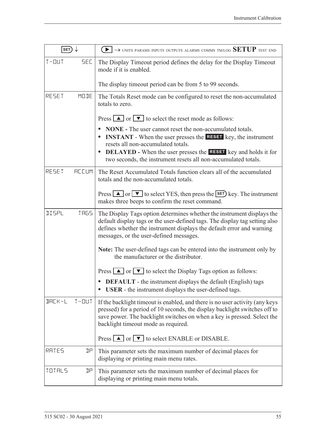| SET)          |              |                                                                                                                                                                                                                                                                                                                                                     |
|---------------|--------------|-----------------------------------------------------------------------------------------------------------------------------------------------------------------------------------------------------------------------------------------------------------------------------------------------------------------------------------------------------|
| $T - 111T$    | <b>SEC</b>   | The Display Timeout period defines the delay for the Display Timeout<br>mode if it is enabled.                                                                                                                                                                                                                                                      |
|               |              | The display timeout period can be from 5 to 99 seconds.                                                                                                                                                                                                                                                                                             |
| RESET         | MODE         | The Totals Reset mode can be configured to reset the non-accumulated<br>totals to zero.                                                                                                                                                                                                                                                             |
|               |              | Press $\boxed{\blacktriangle}$ or $\boxed{\blacktriangledown}$ to select the reset mode as follows:                                                                                                                                                                                                                                                 |
|               |              | <b>NONE</b> - The user cannot reset the non-accumulated totals.<br><b>INSTANT</b> - When the user presses the <b>RESET</b> key, the instrument<br>resets all non-accumulated totals.<br><b>DELAYED</b> - When the user presses the <b>RESET</b> key and holds it for<br>$\bullet$<br>two seconds, the instrument resets all non-accumulated totals. |
| RESET         | <b>REEUM</b> | The Reset Accumulated Totals function clears all of the accumulated<br>totals and the non-accumulated totals.                                                                                                                                                                                                                                       |
|               |              | Press $\Box$ or $\nabla$ to select YES, then press the <b>SET</b> ) key. The instrument<br>makes three beeps to confirm the reset command.                                                                                                                                                                                                          |
| <b>IISPL</b>  | <b>TRGS</b>  | The Display Tags option determines whether the instrument displays the<br>default display tags or the user-defined tags. The display tag setting also<br>defines whether the instrument displays the default error and warning<br>messages, or the user-defined messages.                                                                           |
|               |              | Note: The user-defined tags can be entered into the instrument only by<br>the manufacturer or the distributor.                                                                                                                                                                                                                                      |
|               |              | Press $\Box$ or $\Box$ to select the Display Tags option as follows:                                                                                                                                                                                                                                                                                |
|               |              | <b>DEFAULT</b> - the instrument displays the default (English) tags<br><b>USER</b> - the instrument displays the user-defined tags.                                                                                                                                                                                                                 |
| $B H L K - L$ | $T - 11T$    | If the backlight timeout is enabled, and there is no user activity (any keys<br>pressed) for a period of 10 seconds, the display backlight switches off to<br>save power. The backlight switches on when a key is pressed. Select the<br>backlight timeout mode as required.                                                                        |
|               |              | Press $\Box$ or $\Box$ to select ENABLE or DISABLE.                                                                                                                                                                                                                                                                                                 |
| RATES         | IJΡ          | This parameter sets the maximum number of decimal places for<br>displaying or printing main menu rates.                                                                                                                                                                                                                                             |
| TOTALS        | IJΡ          | This parameter sets the maximum number of decimal places for<br>displaying or printing main menu totals.                                                                                                                                                                                                                                            |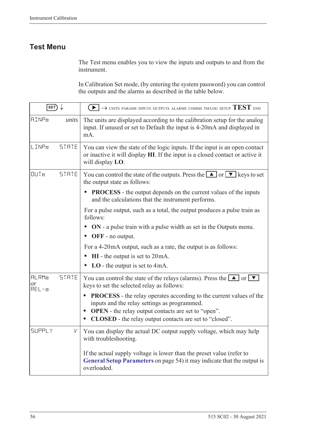### **Test Menu**

The Test menu enables you to view the inputs and outputs to and from the instrument.

In Calibration Set mode, (by entering the system password) you can control the outputs and the alarms as described in the table below.

| $\overline{\text{SET}}$  |              | $\blacktriangleright$ $\blacktriangleright$ UNITS PARAMS INPUTS OUTPUTS ALARMS COMMS TM/LOG SETUP $\text{TEST}$ end                                                                                                                                              |
|--------------------------|--------------|------------------------------------------------------------------------------------------------------------------------------------------------------------------------------------------------------------------------------------------------------------------|
| $\text{HIMP}_n$          | units        | The units are displayed according to the calibration setup for the analog<br>input. If unused or set to Default the input is 4-20mA and displayed in<br>mA.                                                                                                      |
| $L$ INP $n$              | <b>STRTE</b> | You can view the state of the logic inputs. If the input is an open contact<br>or inactive it will display HI. If the input is a closed contact or active it<br>will display LO.                                                                                 |
| UUTn                     | <b>STRTE</b> | You can control the state of the outputs. Press the $\Box$ or $\nabla$ keys to set<br>the output state as follows:                                                                                                                                               |
|                          |              | <b>PROCESS</b> - the output depends on the current values of the inputs<br>and the calculations that the instrument performs.                                                                                                                                    |
|                          |              | For a pulse output, such as a total, the output produces a pulse train as<br>follows:                                                                                                                                                                            |
|                          |              | ON - a pulse train with a pulse width as set in the Outputs menu.<br>OFF - no output.                                                                                                                                                                            |
|                          |              | For a 4-20mA output, such as a rate, the output is as follows:                                                                                                                                                                                                   |
|                          |              | $HI$ - the output is set to $20mA$ .                                                                                                                                                                                                                             |
|                          |              | $LO$ - the output is set to 4mA.                                                                                                                                                                                                                                 |
| HLRMn<br>or<br>$REL - n$ | <b>STRTE</b> | You can control the state of the relays (alarms). Press the $\boxed{\blacktriangle}$ or $\boxed{\blacktriangledown}$<br>keys to set the selected relay as follows:                                                                                               |
|                          |              | <b>PROCESS</b> - the relay operates according to the current values of the<br>inputs and the relay settings as programmed.<br><b>OPEN</b> - the relay output contacts are set to "open".<br>$\bullet$<br>CLOSED - the relay output contacts are set to "closed". |
| <b>SUPPLY</b>            | V            | You can display the actual DC output supply voltage, which may help<br>with troubleshooting.                                                                                                                                                                     |
|                          |              | If the actual supply voltage is lower than the preset value (refer to<br>General Setup Parameters on page 54) it may indicate that the output is<br>overloaded.                                                                                                  |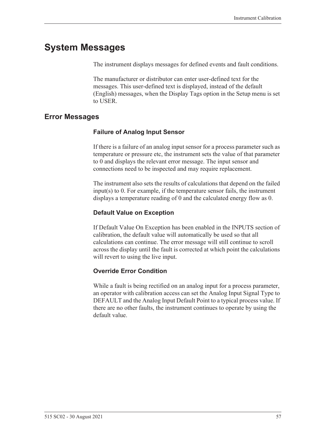## **System Messages**

The instrument displays messages for defined events and fault conditions.

The manufacturer or distributor can enter user-defined text for the messages. This user-defined text is displayed, instead of the default (English) messages, when the Display Tags option in the Setup menu is set to USER.

### <span id="page-66-0"></span>**Error Messages**

#### **Failure of Analog Input Sensor**

If there is a failure of an analog input sensor for a process parameter such as temperature or pressure etc, the instrument sets the value of that parameter to 0 and displays the relevant error message. The input sensor and connections need to be inspected and may require replacement.

The instrument also sets the results of calculations that depend on the failed input(s) to 0. For example, if the temperature sensor fails, the instrument displays a temperature reading of 0 and the calculated energy flow as 0.

#### **Default Value on Exception**

If Default Value On Exception has been enabled in the INPUTS section of calibration, the default value will automatically be used so that all calculations can continue. The error message will still continue to scroll across the display until the fault is corrected at which point the calculations will revert to using the live input.

#### **Override Error Condition**

While a fault is being rectified on an analog input for a process parameter, an operator with calibration access can set the Analog Input Signal Type to DEFAULT and the Analog Input Default Point to a typical process value. If there are no other faults, the instrument continues to operate by using the default value.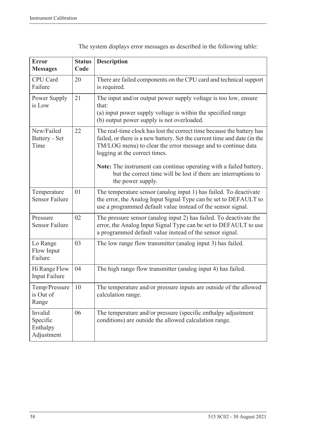| <b>Error</b><br><b>Messages</b>               | <b>Status</b><br>Code | <b>Description</b>                                                                                                                                                                                                                                 |
|-----------------------------------------------|-----------------------|----------------------------------------------------------------------------------------------------------------------------------------------------------------------------------------------------------------------------------------------------|
| CPU Card<br>Failure                           | 20                    | There are failed components on the CPU card and technical support<br>is required.                                                                                                                                                                  |
| Power Supply<br>is Low                        | 21                    | The input and/or output power supply voltage is too low, ensure<br>that:<br>(a) input power supply voltage is within the specified range<br>(b) output power supply is not overloaded.                                                             |
| New/Failed<br>Battery - Set<br>Time           | 22                    | The real-time clock has lost the correct time because the battery has<br>failed, or there is a new battery. Set the current time and date (in the<br>TM/LOG menu) to clear the error message and to continue data<br>logging at the correct times. |
|                                               |                       | Note: The instrument can continue operating with a failed battery,<br>but the correct time will be lost if there are interruptions to<br>the power supply.                                                                                         |
| Temperature<br><b>Sensor Failure</b>          | 01                    | The temperature sensor (analog input 1) has failed. To deactivate<br>the error, the Analog Input Signal Type can be set to DEFAULT to<br>use a programmed default value instead of the sensor signal.                                              |
| Pressure<br><b>Sensor Failure</b>             | 02                    | The pressure sensor (analog input 2) has failed. To deactivate the<br>error, the Analog Input Signal Type can be set to DEFAULT to use<br>a programmed default value instead of the sensor signal.                                                 |
| Lo Range<br>Flow Input<br>Failure             | 03                    | The low range flow transmitter (analog input 3) has failed.                                                                                                                                                                                        |
| Hi Range Flow<br>Input Failure                | 04                    | The high range flow transmitter (analog input 4) has failed.                                                                                                                                                                                       |
| Temp/Pressure<br>is Out of<br>Range           | 10                    | The temperature and/or pressure inputs are outside of the allowed<br>calculation range.                                                                                                                                                            |
| Invalid<br>Specific<br>Enthalpy<br>Adjustment | 06                    | The temperature and/or pressure (specific enthalpy adjustment<br>conditions) are outside the allowed calculation range.                                                                                                                            |

The system displays error messages as described in the following table: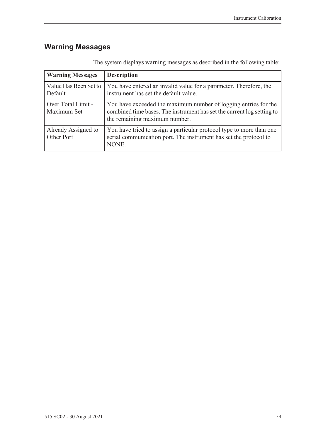## **Warning Messages**

| <b>Warning Messages</b>           | <b>Description</b>                                                                                                                                                         |
|-----------------------------------|----------------------------------------------------------------------------------------------------------------------------------------------------------------------------|
| Value Has Been Set to<br>Default  | You have entered an invalid value for a parameter. Therefore, the<br>instrument has set the default value.                                                                 |
| Over Total Limit -<br>Maximum Set | You have exceeded the maximum number of logging entries for the<br>combined time bases. The instrument has set the current log setting to<br>the remaining maximum number. |
| Already Assigned to<br>Other Port | You have tried to assign a particular protocol type to more than one<br>serial communication port. The instrument has set the protocol to<br>NONE.                         |

The system displays warning messages as described in the following table: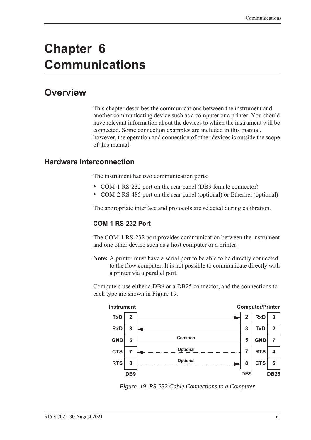# **Chapter 6 Communications**

## **Overview**

This chapter describes the communications between the instrument and another communicating device such as a computer or a printer. You should have relevant information about the devices to which the instrument will be connected. Some connection examples are included in this manual, however, the operation and connection of other devices is outside the scope of this manual.

#### **Hardware Interconnection**

The instrument has two communication ports:

- **•** COM-1 RS-232 port on the rear panel (DB9 female connector)
- **•** COM-2 RS-485 port on the rear panel (optional) or Ethernet (optional)

The appropriate interface and protocols are selected during calibration.

#### **COM-1 RS-232 Port**

The COM-1 RS-232 port provides communication between the instrument and one other device such as a host computer or a printer.

**Note:** A printer must have a serial port to be able to be directly connected to the flow computer. It is not possible to communicate directly with a printer via a parallel port.

Computers use either a DB9 or a DB25 connector, and the connections to each type are shown in [Figure 19.](#page-70-0)



<span id="page-70-0"></span>*Figure 19 RS-232 Cable Connections to a Computer*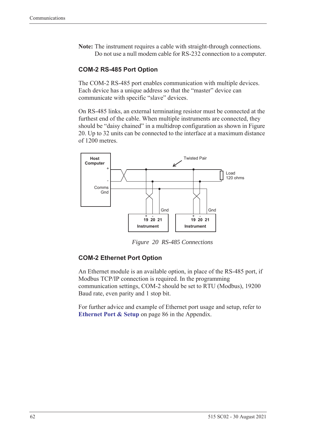**Note:** The instrument requires a cable with straight-through connections. Do not use a null modem cable for RS-232 connection to a computer.

#### **COM-2 RS-485 Port Option**

The COM-2 RS-485 port enables communication with multiple devices. Each device has a unique address so that the "master" device can communicate with specific "slave" devices.

On RS-485 links, an external terminating resistor must be connected at the furthest end of the cable. When multiple instruments are connected, they should be "daisy chained" in a multidrop configuration as shown in Figure [20](#page-71-0). Up to 32 units can be connected to the interface at a maximum distance of 1200 metres.



*Figure 20 RS-485 Connections*

#### <span id="page-71-0"></span>**COM-2 Ethernet Port Option**

An Ethernet module is an available option, in place of the RS-485 port, if Modbus TCP/IP connection is required. In the programming communication settings, COM-2 should be set to RTU (Modbus), 19200 Baud rate, even parity and 1 stop bit.

For further advice and example of Ethernet port usage and setup, refer to **[Ethernet Port & Setup](#page-95-0)** on page 86 in the Appendix.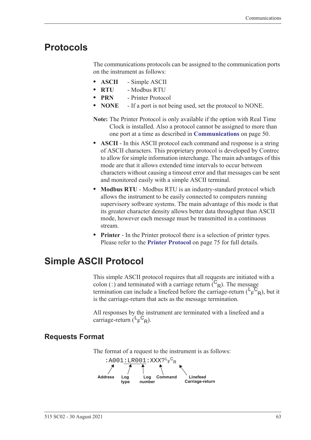# **Protocols**

<span id="page-72-1"></span>The communications protocols can be assigned to the communication ports on the instrument as follows:

- **• ASCII** Simple ASCII
- **• RTU** Modbus RTU
- **• PRN** Printer Protocol
- **• NONE** If a port is not being used, set the protocol to NONE.
- **Note:** The Printer Protocol is only available if the option with Real Time Clock is installed. Also a protocol cannot be assigned to more than one port at a time as described in **[Communications](#page-59-0)** on page 50.
- **• ASCII** In this ASCII protocol each command and response is a string of ASCII characters. This proprietary protocol is developed by Contrec to allow for simple information interchange. The main advantages of this mode are that it allows extended time intervals to occur between characters without causing a timeout error and that messages can be sent and monitored easily with a simple ASCII terminal.
- **• Modbus RTU** Modbus RTU is an industry-standard protocol which allows the instrument to be easily connected to computers running supervisory software systems. The main advantage of this mode is that its greater character density allows better data throughput than ASCII mode, however each message must be transmitted in a continuous stream.
- <span id="page-72-0"></span>**• Printer** - In the Printer protocol there is a selection of printer types. Please refer to the **[Printer Protocol](#page-84-0)** on page 75 for full details.

# **Simple ASCII Protocol**

This simple ASCII protocol requires that all requests are initiated with a colon (:) and terminated with a carriage return  $\binom{C_R}{R}$ . The message termination can include a linefeed before the carriage-return  $(\mathsf{L}_\mathsf{F}^\mathsf{C}_{\mathsf{R}})$ , but it is the carriage-return that acts as the message termination.

<span id="page-72-2"></span>All responses by the instrument are terminated with a linefeed and a carriage-return  $(L_F^C_R)$ .

# **Requests Format**

The format of a request to the instrument is as follows:

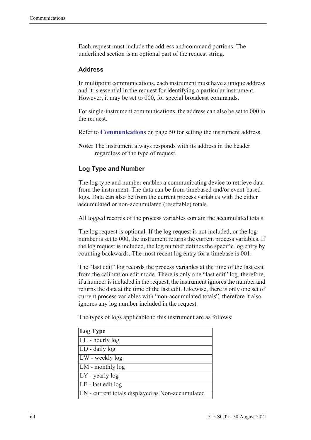Each request must include the address and command portions. The underlined section is an optional part of the request string.

#### <span id="page-73-0"></span>**Address**

In multipoint communications, each instrument must have a unique address and it is essential in the request for identifying a particular instrument. However, it may be set to 000, for special broadcast commands.

For single-instrument communications, the address can also be set to 000 in the request.

Refer to **[Communications](#page-59-0)** on page 50 for setting the instrument address.

**Note:** The instrument always responds with its address in the header regardless of the type of request.

#### **Log Type and Number**

The log type and number enables a communicating device to retrieve data from the instrument. The data can be from timebased and/or event-based logs. Data can also be from the current process variables with the either accumulated or non-accumulated (resettable) totals.

All logged records of the process variables contain the accumulated totals.

The log request is optional. If the log request is not included, or the log number is set to 000, the instrument returns the current process variables. If the log request is included, the log number defines the specific log entry by counting backwards. The most recent log entry for a timebase is 001.

The "last edit" log records the process variables at the time of the last exit from the calibration edit mode. There is only one "last edit" log, therefore, if a number is included in the request, the instrument ignores the number and returns the data at the time of the last edit. Likewise, there is only one set of current process variables with "non-accumulated totals", therefore it also ignores any log number included in the request.

The types of logs applicable to this instrument are as follows:

| Log Type                                         |
|--------------------------------------------------|
| LH - hourly log                                  |
| LD - daily log                                   |
| LW - weekly log                                  |
| LM - monthly log                                 |
| $LY$ - yearly log                                |
| LE - last edit log                               |
| LN - current totals displayed as Non-accumulated |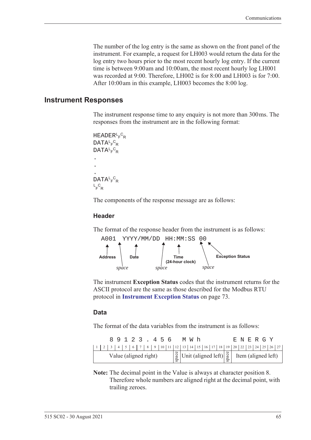The number of the log entry is the same as shown on the front panel of the instrument. For example, a request for LH003 would return the data for the log entry two hours prior to the most recent hourly log entry. If the current time is between 9:00 am and 10:00 am, the most recent hourly log LH001 was recorded at 9:00. Therefore, LH002 is for 8:00 and LH003 is for 7:00. After 10:00 am in this example, LH003 becomes the 8:00 log.

#### **Instrument Responses**

<span id="page-74-1"></span>The instrument response time to any enquiry is not more than 300 ms. The responses from the instrument are in the following format:

```
HEADER<sup>L</sup>F<sup>C</sup>R
DATA<sup>L</sup>F<sup>C</sup>R
DATA<sup>L</sup>F<sup>C</sup>R
.
.
.
DATA<sup>L</sup>F<sup>C</sup>R
L_F^CR
```
The components of the response message are as follows:

#### **Header**

The format of the response header from the instrument is as follows:



<span id="page-74-0"></span>The instrument **Exception Status** codes that the instrument returns for the ASCII protocol are the same as those described for the Modbus RTU protocol in **[Instrument Exception Status](#page-82-0)** on page 73.

#### **Data**

The format of the data variables from the instrument is as follows:

|                       |  |  |  |  | 89123.456 |  |  |                                                                                                                                                               |  | M W h |  |  |  |  | E N E R G Y |  |  |
|-----------------------|--|--|--|--|-----------|--|--|---------------------------------------------------------------------------------------------------------------------------------------------------------------|--|-------|--|--|--|--|-------------|--|--|
|                       |  |  |  |  |           |  |  |                                                                                                                                                               |  |       |  |  |  |  |             |  |  |
| Value (aligned right) |  |  |  |  |           |  |  | $\begin{bmatrix} \frac{8}{9} \\ \frac{8}{9} \end{bmatrix}$ Unit (aligned left) $\begin{bmatrix} \frac{8}{9} \\ \frac{8}{9} \end{bmatrix}$ Item (aligned left) |  |       |  |  |  |  |             |  |  |

**Note:** The decimal point in the Value is always at character position 8. Therefore whole numbers are aligned right at the decimal point, with trailing zeroes.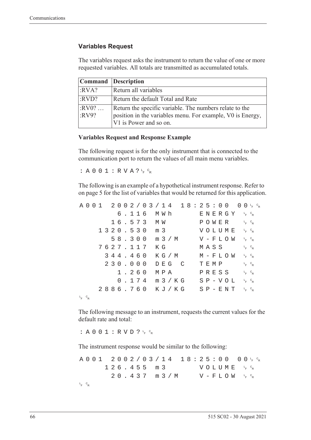#### **Variables Request**

The variables request asks the instrument to return the value of one or more requested variables. All totals are transmitted as accumulated totals.

|                  | <b>Command</b> Description                                                                                                                      |
|------------------|-------------------------------------------------------------------------------------------------------------------------------------------------|
| :RVA?            | Return all variables                                                                                                                            |
| :RVD?            | Return the default Total and Rate                                                                                                               |
| $:RV0?$<br>:RV9? | Return the specific variable. The numbers relate to the<br>position in the variables menu. For example, V0 is Energy,<br>V1 is Power and so on. |

#### **Variables Request and Response Example**

The following request is for the only instrument that is connected to the communication port to return the values of all main menu variables.

: A 0 0 1 : R V A ?  $L_F$   $C_R$ 

The following is an example of a hypothetical instrument response. Refer to [on page 5](#page-14-0) for the list of variables that would be returned for this application.

|             |  |  |  |  |          |  |                  |  |       | $A\ 0\ 0\ 1\quad 2\ 0\ 0\ 2\ / \ 0\ 3\ / \ 1\ 4\quad 1\ 8:2\ 5:0\ 0\quad 0\ 0\ _{F}\ ^{c}{}_{R}$ |  |      |  |               |                                              |                                   |  |
|-------------|--|--|--|--|----------|--|------------------|--|-------|--------------------------------------------------------------------------------------------------|--|------|--|---------------|----------------------------------------------|-----------------------------------|--|
|             |  |  |  |  |          |  | 6.116 MWh        |  |       |                                                                                                  |  |      |  |               | ENERGY 'F <sup>c</sup> r                     |                                   |  |
|             |  |  |  |  |          |  | 16.573 MW        |  |       |                                                                                                  |  |      |  |               | POWER                                        | $L_{F}$ $C_{R}$                   |  |
|             |  |  |  |  |          |  | 1320.530 m 3     |  |       |                                                                                                  |  |      |  |               | VOLUME <sup>L<sub>E</sub>C<sub>R</sub></sup> |                                   |  |
|             |  |  |  |  |          |  |                  |  |       | 58.300 m 3/M                                                                                     |  |      |  |               | $V - F L O W \leftarrow c_R$                 |                                   |  |
|             |  |  |  |  | 7627.117 |  | КG               |  |       |                                                                                                  |  |      |  | MASS          |                                              | $L_F$ $C_R$                       |  |
|             |  |  |  |  | 344.460  |  |                  |  |       | K G / M                                                                                          |  |      |  |               | M – F L O W                                  | $L$ <sub>F</sub> $C$ <sub>R</sub> |  |
|             |  |  |  |  | 230.000  |  |                  |  | DEG C |                                                                                                  |  | TEMP |  |               |                                              | $L_F$ $C_R$                       |  |
|             |  |  |  |  | 1.260    |  | МРА              |  |       |                                                                                                  |  |      |  | PRESS         |                                              | $L_{F}$ $C_{R}$                   |  |
|             |  |  |  |  |          |  | $0.174$ m $3/KG$ |  |       |                                                                                                  |  |      |  | $S P - V O L$ |                                              | $L_{F}$ $C_{R}$                   |  |
|             |  |  |  |  |          |  |                  |  |       | 2886.760 KJ/KG SP-ENT FR                                                                         |  |      |  |               |                                              |                                   |  |
| $L_F$ $C_R$ |  |  |  |  |          |  |                  |  |       |                                                                                                  |  |      |  |               |                                              |                                   |  |

The following message to an instrument, requests the current values for the default rate and total:

: A 0 0 1 : R V D ?  $L_F$   $C_R$ 

The instrument response would be similar to the following:

A001 2002/03/14 18:25:00  $F$   $\circ$ <sub>R</sub>  $126.455 m3$ <sup>F</sup> <sup>C</sup> R  $20.437$  m  $3/M$  $F$   $\circ$ <sub>R</sub> L <sup>F</sup> <sup>C</sup> R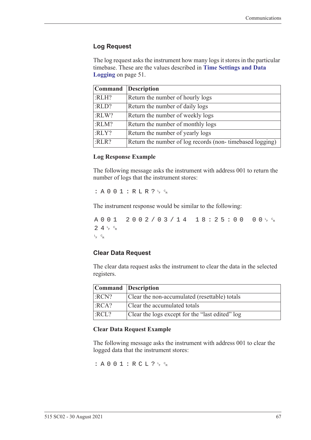#### **Log Request**

The log request asks the instrument how many logs it stores in the particular timebase. These are the values described in **[Time Settings and Data](#page-60-0)  Logging** [on page 51](#page-60-0).

|       | Command Description                                      |
|-------|----------------------------------------------------------|
| :RLH? | Return the number of hourly logs                         |
| :RLD? | Return the number of daily logs                          |
| :RLW? | Return the number of weekly logs                         |
| :RLM? | Return the number of monthly logs                        |
| :RLY? | Return the number of yearly logs                         |
| :RLR? | Return the number of log records (non-timebased logging) |

#### **Log Response Example**

The following message asks the instrument with address 001 to return the number of logs that the instrument stores:

 $: A 0 0 1 : R L R ? \nmid R$ 

The instrument response would be similar to the following:

A001 2002/03/14 18:25:00  $F$   $\circ$ R  $24r$ <sub>F</sub>  $c_R$ L <sup>F</sup> <sup>C</sup> R

#### **Clear Data Request**

The clear data request asks the instrument to clear the data in the selected registers.

| Command Description |                                                 |
|---------------------|-------------------------------------------------|
| :RCN?               | Clear the non-accumulated (resettable) totals   |
| :RCA?               | Clear the accumulated totals                    |
| :RCL?               | Clear the logs except for the "last edited" log |

#### **Clear Data Request Example**

The following message asks the instrument with address 001 to clear the logged data that the instrument stores:

: A 0 0 1 : R C L ?  $L_F$   $c_R$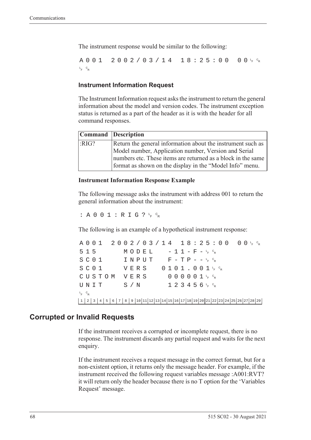The instrument response would be similar to the following:

A001 2002/03/14 18:25:00  $F$   $\circ$ <sub>R</sub> L <sup>F</sup> <sup>C</sup> R

#### **Instrument Information Request**

The Instrument Information request asks the instrument to return the general information about the model and version codes. The instrument exception status is returned as a part of the header as it is with the header for all command responses.

|      | Command Description                                                                                                      |
|------|--------------------------------------------------------------------------------------------------------------------------|
| RIG? | Return the general information about the instrument such as                                                              |
|      | Model number, Application number, Version and Serial                                                                     |
|      | numbers etc. These items are returned as a block in the same<br>format as shown on the display in the "Model Info" menu. |

#### **Instrument Information Response Example**

The following message asks the instrument with address 001 to return the general information about the instrument:

: A 0 0 1 : R I G ?  $L_F$   $C_R$ 

The following is an example of a hypothetical instrument response:

A001 2002/03/14 18:25:00 <sup>F</sup> <sup>C</sup> R  $515$   $MODEL$   $-11-F-F_{R}^{c}$  $S$  C O  $1$  I N P U T F - T P - - <sup>L</sup><sub>F</sub> <sup>C</sup>R  $S$  C O  $1$  V E R S O  $1$  O  $1$  J  $1$  , O  $0$   $1$   $1$   $1$   $6$   $8$ CUSTOM VERS 000001<sup>t</sup>F<sup>c</sup>r  $\texttt{UNIT}$  S/N 123456<sup>L</sup>F <sup>C</sup>R L <sup>F</sup> <sup>C</sup> R 1 2 3 4 5 6 7 8 9 10 11 12 13 14 15 16 17 18 19 20 21 22 23 24 25 26 27 28 29

### **Corrupted or Invalid Requests**

If the instrument receives a corrupted or incomplete request, there is no response. The instrument discards any partial request and waits for the next enquiry.

If the instrument receives a request message in the correct format, but for a non-existent option, it returns only the message header. For example, if the instrument received the following request variables message :A001:RVT? it will return only the header because there is no T option for the 'Variables Request' message.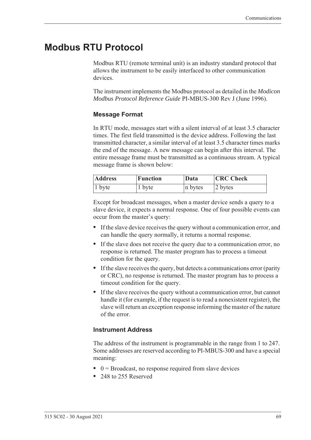# **Modbus RTU Protocol**

<span id="page-78-0"></span>Modbus RTU (remote terminal unit) is an industry standard protocol that allows the instrument to be easily interfaced to other communication devices.

The instrument implements the Modbus protocol as detailed in the *Modicon Modbus Protocol Reference Guide* PI-MBUS-300 Rev J (June 1996).

#### **Message Format**

In RTU mode, messages start with a silent interval of at least 3.5 character times. The first field transmitted is the device address. Following the last transmitted character, a similar interval of at least 3.5 character times marks the end of the message. A new message can begin after this interval. The entire message frame must be transmitted as a continuous stream. A typical message frame is shown below:

| <b>Address</b> | <b>Function</b> | Data    | <b>CRC</b> Check |  |  |  |  |
|----------------|-----------------|---------|------------------|--|--|--|--|
| $ 1$ byte      | 1 byte          | n bytes | 2 bytes          |  |  |  |  |

Except for broadcast messages, when a master device sends a query to a slave device, it expects a normal response. One of four possible events can occur from the master's query:

- **•** If the slave device receives the query without a communication error, and can handle the query normally, it returns a normal response.
- **•** If the slave does not receive the query due to a communication error, no response is returned. The master program has to process a timeout condition for the query.
- **•** If the slave receives the query, but detects a communications error (parity or CRC), no response is returned. The master program has to process a timeout condition for the query.
- **•** If the slave receives the query without a communication error, but cannot handle it (for example, if the request is to read a nonexistent register), the slave will return an exception response informing the master of the nature of the error.

### **Instrument Address**

The address of the instrument is programmable in the range from 1 to 247. Some addresses are reserved according to PI-MBUS-300 and have a special meaning:

- 0 = Broadcast, no response required from slave devices
- **•** 248 to 255 Reserved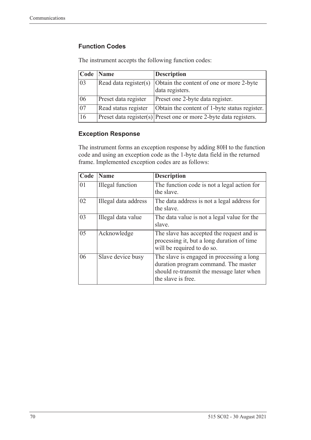# **Function Codes**

| Code            | <b>Name</b>           | <b>Description</b>                                                    |
|-----------------|-----------------------|-----------------------------------------------------------------------|
| 03              | Read data register(s) | Obtain the content of one or more 2-byte<br>data registers.           |
| 06              | Preset data register  | Preset one 2-byte data register.                                      |
| $\overline{07}$ | Read status register  | Obtain the content of 1-byte status register.                         |
| 16              |                       | $ $ Preset data register(s) Preset one or more 2-byte data registers. |

The instrument accepts the following function codes:

#### **Exception Response**

The instrument forms an exception response by adding 80H to the function code and using an exception code as the 1-byte data field in the returned frame. Implemented exception codes are as follows:

| Code | <b>Name</b>          | <b>Description</b>                                                                                                                                   |
|------|----------------------|------------------------------------------------------------------------------------------------------------------------------------------------------|
| 01   | Illegal function     | The function code is not a legal action for<br>the slave.                                                                                            |
| 02   | Illegal data address | The data address is not a legal address for<br>the slave.                                                                                            |
| 03   | Illegal data value   | The data value is not a legal value for the<br>slave.                                                                                                |
| 05   | Acknowledge          | The slave has accepted the request and is<br>processing it, but a long duration of time<br>will be required to do so.                                |
| 06   | Slave device busy    | The slave is engaged in processing a long<br>duration program command. The master<br>should re-transmit the message later when<br>the slave is free. |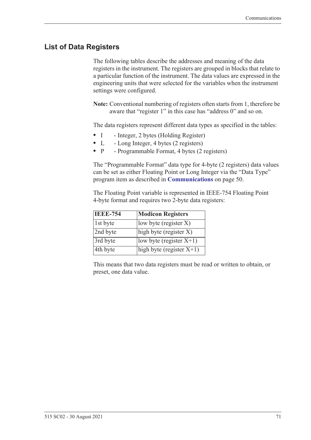# **List of Data Registers**

The following tables describe the addresses and meaning of the data registers in the instrument. The registers are grouped in blocks that relate to a particular function of the instrument. The data values are expressed in the engineering units that were selected for the variables when the instrument settings were configured.

**Note:** Conventional numbering of registers often starts from 1, therefore be aware that "register 1" in this case has "address 0" and so on.

The data registers represent different data types as specified in the tables:

- I Integer, 2 bytes (Holding Register)
- L Long Integer, 4 bytes (2 registers)
- P Programmable Format, 4 bytes (2 registers)

The "Programmable Format" data type for 4-byte (2 registers) data values can be set as either Floating Point or Long Integer via the "Data Type" program item as described in **[Communications](#page-59-0)** on page 50.

The Floating Point variable is represented in IEEE-754 Floating Point 4-byte format and requires two 2-byte data registers:

| <b>IEEE-754</b> | <b>Modicon Registers</b>    |
|-----------------|-----------------------------|
| 1st byte        | low byte (register $X$ )    |
| 2nd byte        | high byte (register X)      |
| 3rd byte        | $ low byte (register X+1) $ |
| 4th byte        | high byte (register $X+1$ ) |

This means that two data registers must be read or written to obtain, or preset, one data value.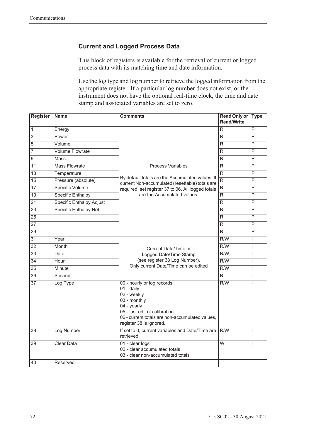## **Current and Logged Process Data**

This block of registers is available for the retrieval of current or logged process data with its matching time and date information.

Use the log type and log number to retrieve the logged information from the appropriate register. If a particular log number does not exist, or the instrument does not have the optional real-time clock, the time and date stamp and associated variables are set to zero.

| <b>Register</b> | <b>Name</b>                     | <b>Comments</b>                                                                                                                                                                                       | <b>Read Only or</b><br><b>Read/Write</b> | <b>Type</b>             |
|-----------------|---------------------------------|-------------------------------------------------------------------------------------------------------------------------------------------------------------------------------------------------------|------------------------------------------|-------------------------|
| $\mathbf{1}$    | Energy                          |                                                                                                                                                                                                       | R                                        | P                       |
| $\overline{3}$  | Power                           |                                                                                                                                                                                                       | R                                        | P                       |
| 5               | Volume                          |                                                                                                                                                                                                       | R                                        | $\overline{P}$          |
| 7               | <b>Volume Flowrate</b>          |                                                                                                                                                                                                       | R                                        | $\overline{P}$          |
| $\overline{9}$  | Mass                            |                                                                                                                                                                                                       | R                                        | P                       |
| 11              | Mass Flowrate                   | <b>Process Variables</b>                                                                                                                                                                              | $\mathsf{R}$                             | $\overline{P}$          |
| $\overline{13}$ | Temperature                     |                                                                                                                                                                                                       | R                                        | P                       |
| 15              | Pressure (absolute)             | By default totals are the Accumulated values. If<br>current Non-accumulated (resettable) totals are                                                                                                   | $\overline{\mathsf{R}}$                  | $\overline{\mathsf{P}}$ |
| $\overline{17}$ | <b>Specific Volume</b>          | required, set register 37 to 06. All logged totals                                                                                                                                                    | R                                        | $\overline{\mathsf{P}}$ |
| $\overline{19}$ | <b>Specific Enthalpy</b>        | are the Accumulated values.                                                                                                                                                                           | R.                                       | P                       |
| $\overline{21}$ | <b>Specific Enthalpy Adjust</b> |                                                                                                                                                                                                       | $\overline{\mathsf{R}}$                  | $\overline{\mathsf{P}}$ |
| $\overline{23}$ | <b>Specific Enthalpy Net</b>    |                                                                                                                                                                                                       | R.                                       | P                       |
| $\overline{25}$ |                                 |                                                                                                                                                                                                       | R                                        | $\overline{\mathsf{P}}$ |
| $\overline{27}$ |                                 |                                                                                                                                                                                                       | R                                        | $\overline{\mathsf{P}}$ |
| $\overline{29}$ |                                 |                                                                                                                                                                                                       | $\overline{R}$                           | P                       |
| $\overline{31}$ | Year                            |                                                                                                                                                                                                       | R/W                                      | T                       |
| $\overline{32}$ | Month                           | Current Date/Time or                                                                                                                                                                                  | $\overline{R/W}$                         | T                       |
| $\overline{33}$ | Date                            | Logged Date/Time Stamp                                                                                                                                                                                | $\overline{R/W}$                         | T                       |
| $\overline{34}$ | Hour                            | (see register 38 Log Number).                                                                                                                                                                         | R/W                                      | $\overline{1}$          |
| $\overline{35}$ | Minute                          | Only current Date/Time can be edited                                                                                                                                                                  | $\overline{R/W}$                         | T                       |
| $\overline{36}$ | Second                          |                                                                                                                                                                                                       | $\overline{\mathsf{R}}$                  | L                       |
| 37              | Log Type                        | 00 - hourly or log records<br>01 - daily<br>02 - weekly<br>03 - monthly<br>04 - yearly<br>05 - last edit of calibration<br>06 - current totals are non-accumulated values,<br>register 38 is ignored. | R/W                                      | T                       |
| 38              | Log Number                      | If set to 0, current variables and Date/Time are<br>retrieved                                                                                                                                         | R/W                                      | I                       |
| 39              | <b>Clear Data</b>               | 01 - clear logs<br>02 - clear accumulated totals<br>03 - clear non-accumulated totals                                                                                                                 | $\overline{W}$                           | T                       |
| 40              | Reserved                        |                                                                                                                                                                                                       |                                          |                         |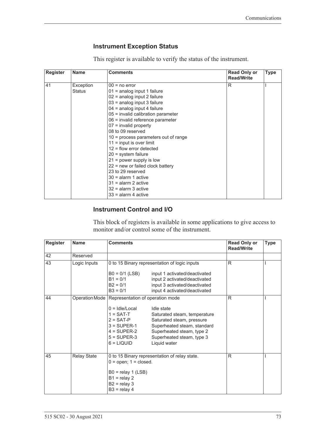## <span id="page-82-1"></span><span id="page-82-0"></span>**Instrument Exception Status**

This register is available to verify the status of the instrument.

| <b>Register</b> | <b>Name</b> | <b>Comments</b>                        | <b>Read Only or</b><br><b>Read/Write</b> | <b>Type</b> |
|-----------------|-------------|----------------------------------------|------------------------------------------|-------------|
| 41              | Exception   | $00 = no error$                        | R                                        |             |
|                 | Status      | $01$ = analog input 1 failure          |                                          |             |
|                 |             | 02 = analog input 2 failure            |                                          |             |
|                 |             | 03 = analog input 3 failure            |                                          |             |
|                 |             | $04$ = analog input 4 failure          |                                          |             |
|                 |             | 05 = invalid calibration parameter     |                                          |             |
|                 |             | 06 = invalid reference parameter       |                                          |             |
|                 |             | $07$ = invalid property                |                                          |             |
|                 |             | 08 to 09 reserved                      |                                          |             |
|                 |             | $10$ = process parameters out of range |                                          |             |
|                 |             | $11 =$ input is over limit             |                                          |             |
|                 |             | $12$ = flow error detected             |                                          |             |
|                 |             | $20 =$ system failure                  |                                          |             |
|                 |             | $21$ = power supply is low             |                                          |             |
|                 |             | $22$ = new or failed clock battery     |                                          |             |
|                 |             | 23 to 29 reserved                      |                                          |             |
|                 |             | $30 =$ alarm 1 active                  |                                          |             |
|                 |             | $31$ = alarm 2 active                  |                                          |             |
|                 |             | $32$ = alarm 3 active                  |                                          |             |
|                 |             | $33$ = alarm 4 active                  |                                          |             |

### **Instrument Control and I/O**

This block of registers is available in some applications to give access to monitor and/or control some of the instrument.

| <b>Register</b> | <b>Name</b>        | <b>Comments</b>                                                                                                                                                                       |                                                                                                                                                                                  | <b>Read Only or</b><br><b>Read/Write</b> | <b>Type</b> |
|-----------------|--------------------|---------------------------------------------------------------------------------------------------------------------------------------------------------------------------------------|----------------------------------------------------------------------------------------------------------------------------------------------------------------------------------|------------------------------------------|-------------|
| 42              | Reserved           |                                                                                                                                                                                       |                                                                                                                                                                                  |                                          |             |
| 43              | Logic Inputs       |                                                                                                                                                                                       | 0 to 15 Binary representation of logic inputs                                                                                                                                    | R                                        |             |
|                 |                    | $B0 = 0/1$ (LSB)<br>$B1 = 0/1$<br>$B2 = 0/1$<br>$B3 = 0/1$                                                                                                                            | input 1 activated/deactivated<br>input 2 activated/deactivated<br>input 3 activated/deactivated<br>input 4 activated/deactivated                                                 |                                          |             |
| 44              |                    | Operation Mode   Representation of operation mode<br>$0 =$ Idle/Local<br>$1 = SAT-T$<br>$2 = SAT-P$<br>$3 = \text{SUPER-1}$<br>$4 = \text{SUPER-2}$<br>$5 =$ SUPER-3<br>$6 = L[QUID]$ | Idle state<br>Saturated steam, temperature<br>Saturated steam, pressure<br>Superheated steam, standard<br>Superheated steam, type 2<br>Superheated steam, type 3<br>Liquid water | R                                        |             |
| 45              | <b>Relay State</b> | $0 =$ open; $1 =$ closed.<br>$B0 =$ relay 1 (LSB)<br>$B1 =$ relay 2<br>$B2 =$ relay 3<br>$B3 =$ relay 4                                                                               | 0 to 15 Binary representation of relay state.                                                                                                                                    | R                                        |             |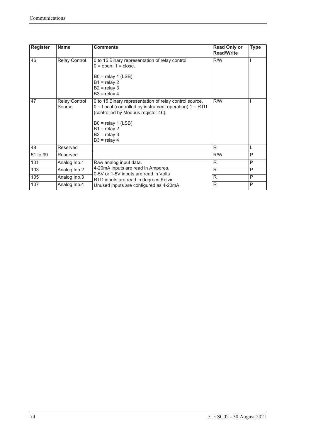| <b>Register</b> | <b>Name</b>                    | <b>Comments</b>                                                                                                                                                                                                                           | <b>Read Only or</b><br><b>Read/Write</b> | <b>Type</b> |
|-----------------|--------------------------------|-------------------------------------------------------------------------------------------------------------------------------------------------------------------------------------------------------------------------------------------|------------------------------------------|-------------|
| 46              | <b>Relay Control</b>           | 0 to 15 Binary representation of relay control.<br>$0 =$ open; $1 =$ close.<br>$B0 =$ relay 1 (LSB)<br>$B1 =$ relay 2<br>$B2 =$ relay 3<br>$B3 =$ relay 4                                                                                 | R/W                                      |             |
| 47              | <b>Relay Control</b><br>Source | 0 to 15 Binary representation of relay control source.<br>$0 =$ Local (controlled by instrument operation) $1 = RTU$<br>(controlled by Modbus register 46).<br>$B0 =$ relay 1 (LSB)<br>$B1 =$ relay 2<br>$B2 =$ relay 3<br>$B3 =$ relay 4 | R/W                                      |             |
| 48              | Reserved                       |                                                                                                                                                                                                                                           | R                                        | L           |
| 51 to 99        | Reserved                       |                                                                                                                                                                                                                                           | R/W                                      | P           |
| 101             | Analog Inp.1                   | Raw analog input data.                                                                                                                                                                                                                    | $\mathsf{R}$                             | P           |
| 103             | Analog Inp.2                   | 4-20mA inputs are read in Amperes.                                                                                                                                                                                                        | R                                        | P           |
| 105             | Analog Inp.3                   | 0-5V or 1-5V inputs are read in Volts<br>RTD inputs are read in degrees Kelvin.                                                                                                                                                           | R                                        | P           |
| 107             | Analog Inp.4                   | Unused inputs are configured as 4-20mA.                                                                                                                                                                                                   | R                                        | P           |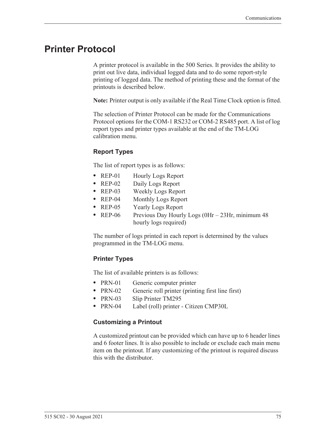# <span id="page-84-0"></span>**Printer Protocol**

<span id="page-84-2"></span>A printer protocol is available in the 500 Series. It provides the ability to print out live data, individual logged data and to do some report-style printing of logged data. The method of printing these and the format of the printouts is described below.

**Note:** Printer output is only available if the Real Time Clock option is fitted.

The selection of Printer Protocol can be made for the Communications Protocol options for the COM-1 RS232 or COM-2 RS485 port. A list of log report types and printer types available at the end of the TM-LOG calibration menu.

# <span id="page-84-3"></span>**Report Types**

The list of report types is as follows:

- REP-01 Hourly Logs Report
- **•** REP-02 Daily Logs Report
- **•** REP-03 Weekly Logs Report
- **•** REP-04 Monthly Logs Report
- **•** REP-05 Yearly Logs Report
- REP-06 Previous Day Hourly Logs (0Hr 23Hr, minimum 48 hourly logs required)

The number of logs printed in each report is determined by the values programmed in the TM-LOG menu.

### <span id="page-84-4"></span>**Printer Types**

The list of available printers is as follows:

- PRN-01 Generic computer printer
- PRN-02 Generic roll printer (printing first line first)
- **•** PRN-03 Slip Printer TM295
- **•** PRN-04 Label (roll) printer Citizen CMP30L

#### <span id="page-84-1"></span>**Customizing a Printout**

A customized printout can be provided which can have up to 6 header lines and 6 footer lines. It is also possible to include or exclude each main menu item on the printout. If any customizing of the printout is required discuss this with the distributor.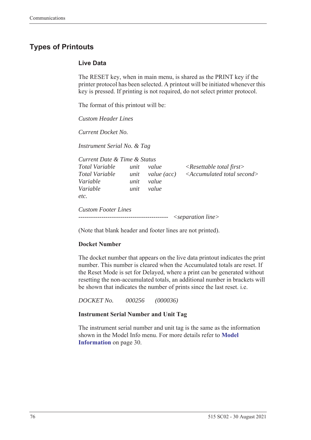# <span id="page-85-1"></span>**Types of Printouts**

#### <span id="page-85-0"></span>**Live Data**

The RESET key, when in main menu, is shared as the PRINT key if the printer protocol has been selected. A printout will be initiated whenever this key is pressed. If printing is not required, do not select printer protocol.

The format of this printout will be:

*Custom Header Lines*

*Current Docket No.* 

*Instrument Serial No. & Tag*

| Current Date & Time & Status                 |                      |                               |                                                                                   |
|----------------------------------------------|----------------------|-------------------------------|-----------------------------------------------------------------------------------|
| Total Variable<br>Total Variable<br>Variable | unit<br>unit<br>unit | value<br>value (acc)<br>value | $\langle$ Resettable total first $\rangle$<br>$\leq$ Accumulated total second $>$ |
| Variable<br>etc.                             | unit                 | value                         |                                                                                   |
| <b>Custom Footer Lines</b>                   |                      |                               | $\leq$ separation line $>$                                                        |

(Note that blank header and footer lines are not printed).

#### **Docket Number**

The docket number that appears on the live data printout indicates the print number. This number is cleared when the Accumulated totals are reset. If the Reset Mode is set for Delayed, where a print can be generated without resetting the non-accumulated totals, an additional number in brackets will be shown that indicates the number of prints since the last reset. i.e.

*DOCKET No. 000256 (000036)*

#### **Instrument Serial Number and Unit Tag**

The instrument serial number and unit tag is the same as the information shown in the Model Info menu. For more details refer to **[Model](#page-39-0)  [Information](#page-39-0)** on page 30.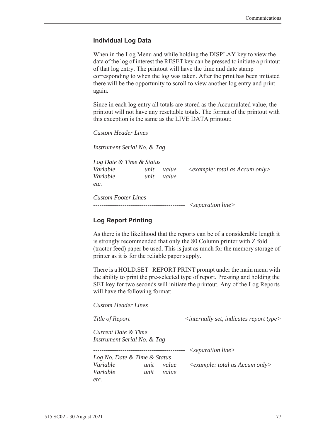#### <span id="page-86-0"></span>**Individual Log Data**

When in the Log Menu and while holding the DISPLAY key to view the data of the log of interest the RESET key can be pressed to initiate a printout of that log entry. The printout will have the time and date stamp corresponding to when the log was taken. After the print has been initiated there will be the opportunity to scroll to view another log entry and print again.

Since in each log entry all totals are stored as the Accumulated value, the printout will not have any resettable totals. The format of the printout with this exception is the same as the LIVE DATA printout:

*Custom Header Lines*

*Instrument Serial No. & Tag*

*Log Date & Time & Status Variable unit value <example: total as Accum only> Variable unit value etc.*

*Custom Footer Lines -------------------------------------------- <separation line>*

#### <span id="page-86-1"></span>**Log Report Printing**

As there is the likelihood that the reports can be of a considerable length it is strongly recommended that only the 80 Column printer with Z fold (tractor feed) paper be used. This is just as much for the memory storage of printer as it is for the reliable paper supply.

There is a HOLD.SET REPORT PRINT prompt under the main menu with the ability to print the pre-selected type of report. Pressing and holding the SET key for two seconds will initiate the printout. Any of the Log Reports will have the following format:

*Custom Header Lines*

*Title of Report*  $\langle$  *internally set, indicates report type>* 

*Current Date & Time Instrument Serial No. & Tag*

*-------------------------------------------- <separation line>*

*Log No. Date & Time & Status Variable unit value <example: total as Accum only> Variable unit value etc.*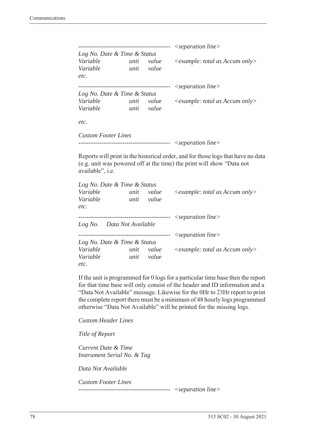|                              |      |          | $\leq$ separation line $>$                       |
|------------------------------|------|----------|--------------------------------------------------|
| Log No. Date & Time & Status |      |          |                                                  |
| Variable                     | unit | value    | $\langle$ example: total as Accum only $\rangle$ |
| Variable                     | unit | value    |                                                  |
| etc.                         |      |          |                                                  |
|                              |      | -------- | $\leq$ separation line $>$                       |
| Log No. Date & Time & Status |      |          |                                                  |
| Variable                     | unit | value    | $\leq$ example: total as Accum only $>$          |
| Variable                     | unit | value    |                                                  |
| etc.                         |      |          |                                                  |
| <b>Custom Footer Lines</b>   |      |          |                                                  |

```
-------------------------------------------- <separation line>
```
Reports will print in the historical order, and for those logs that have no data (e.g. unit was powered off at the time) the print will show "Data not available", i.e.

| Log No. Date & Time & Status |      |           |                                                  |
|------------------------------|------|-----------|--------------------------------------------------|
| Variable                     | unit | value     | $\langle$ example: total as Accum only $\rangle$ |
| Variable                     | unit | value     |                                                  |
| etc.                         |      |           |                                                  |
|                              |      |           | $\leq$ separation line $>$                       |
| Log No. Data Not Available   |      |           |                                                  |
|                              |      | --------- | $\leq$ separation line $>$                       |
| Log No. Date & Time & Status |      |           |                                                  |
| Variable                     | unit | value     | $\leq$ example: total as Accum only $>$          |
| Variable                     | unit | value     |                                                  |
| etc.                         |      |           |                                                  |

If the unit is programmed for 0 logs for a particular time base then the report for that time base will only consist of the header and ID information and a "Data Not Available" message. Likewise for the 0Hr to 23Hr report to print the complete report there must be a minimum of 48 hourly logs programmed otherwise "Data Not Available" will be printed for the missing logs.

*Custom Header Lines*

*Title of Report*

*Current Date & Time Instrument Serial No. & Tag*

*Data Not Available*

*Custom Footer Lines* 

*-------------------------------------------- <separation line>*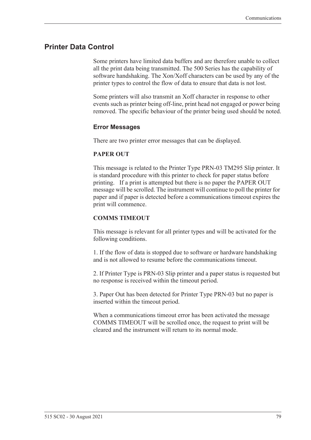# <span id="page-88-0"></span>**Printer Data Control**

Some printers have limited data buffers and are therefore unable to collect all the print data being transmitted. The 500 Series has the capability of software handshaking. The Xon/Xoff characters can be used by any of the printer types to control the flow of data to ensure that data is not lost.

Some printers will also transmit an Xoff character in response to other events such as printer being off-line, print head not engaged or power being removed. The specific behaviour of the printer being used should be noted.

#### <span id="page-88-1"></span>**Error Messages**

There are two printer error messages that can be displayed.

#### **PAPER OUT**

This message is related to the Printer Type PRN-03 TM295 Slip printer. It is standard procedure with this printer to check for paper status before printing. If a print is attempted but there is no paper the PAPER OUT message will be scrolled. The instrument will continue to poll the printer for paper and if paper is detected before a communications timeout expires the print will commence.

#### **COMMS TIMEOUT**

This message is relevant for all printer types and will be activated for the following conditions.

1. If the flow of data is stopped due to software or hardware handshaking and is not allowed to resume before the communications timeout.

2. If Printer Type is PRN-03 Slip printer and a paper status is requested but no response is received within the timeout period.

3. Paper Out has been detected for Printer Type PRN-03 but no paper is inserted within the timeout period.

When a communications timeout error has been activated the message COMMS TIMEOUT will be scrolled once, the request to print will be cleared and the instrument will return to its normal mode.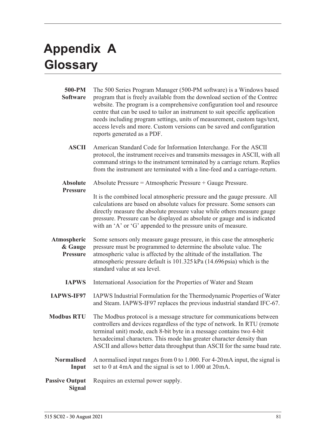# <span id="page-90-1"></span>**Appendix A Glossary**

<span id="page-90-0"></span>

| 500-PM<br><b>Software</b>                 | The 500 Series Program Manager (500-PM software) is a Windows based<br>program that is freely available from the download section of the Contrec<br>website. The program is a comprehensive configuration tool and resource<br>centre that can be used to tailor an instrument to suit specific application<br>needs including program settings, units of measurement, custom tags/text,<br>access levels and more. Custom versions can be saved and configuration<br>reports generated as a PDF. |
|-------------------------------------------|---------------------------------------------------------------------------------------------------------------------------------------------------------------------------------------------------------------------------------------------------------------------------------------------------------------------------------------------------------------------------------------------------------------------------------------------------------------------------------------------------|
| <b>ASCII</b>                              | American Standard Code for Information Interchange. For the ASCII<br>protocol, the instrument receives and transmits messages in ASCII, with all<br>command strings to the instrument terminated by a carriage return. Replies<br>from the instrument are terminated with a line-feed and a carriage-return.                                                                                                                                                                                      |
| <b>Absolute</b>                           | Absolute Pressure = Atmospheric Pressure + Gauge Pressure.                                                                                                                                                                                                                                                                                                                                                                                                                                        |
| <b>Pressure</b>                           | It is the combined local atmospheric pressure and the gauge pressure. All<br>calculations are based on absolute values for pressure. Some sensors can<br>directly measure the absolute pressure value while others measure gauge<br>pressure. Pressure can be displayed as absolute or gauge and is indicated<br>with an 'A' or 'G' appended to the pressure units of measure.                                                                                                                    |
| Atmospheric<br>& Gauge<br><b>Pressure</b> | Some sensors only measure gauge pressure, in this case the atmospheric<br>pressure must be programmed to determine the absolute value. The<br>atmospheric value is affected by the altitude of the installation. The<br>atmospheric pressure default is 101.325 kPa (14.696 psia) which is the<br>standard value at sea level.                                                                                                                                                                    |
| <b>IAPWS</b>                              | International Association for the Properties of Water and Steam                                                                                                                                                                                                                                                                                                                                                                                                                                   |
| <b>IAPWS-IF97</b>                         | IAPWS Industrial Formulation for the Thermodynamic Properties of Water<br>and Steam. IAPWS-IF97 replaces the previous industrial standard IFC-67.                                                                                                                                                                                                                                                                                                                                                 |
| <b>Modbus RTU</b>                         | The Modbus protocol is a message structure for communications between<br>controllers and devices regardless of the type of network. In RTU (remote<br>terminal unit) mode, each 8-bit byte in a message contains two 4-bit<br>hexadecimal characters. This mode has greater character density than<br>ASCII and allows better data throughput than ASCII for the same baud rate.                                                                                                                  |
| <b>Normalised</b><br>Input                | A normalised input ranges from 0 to 1.000. For 4-20 mA input, the signal is<br>set to 0 at 4mA and the signal is set to 1.000 at 20mA.                                                                                                                                                                                                                                                                                                                                                            |
| <b>Passive Output</b><br><b>Signal</b>    | Requires an external power supply.                                                                                                                                                                                                                                                                                                                                                                                                                                                                |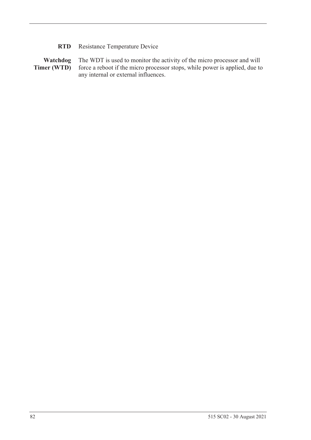**RTD** Resistance Temperature Device

**Watchdog Timer (WTD)** The WDT is used to monitor the activity of the micro processor and will force a reboot if the micro processor stops, while power is applied, due to any internal or external influences.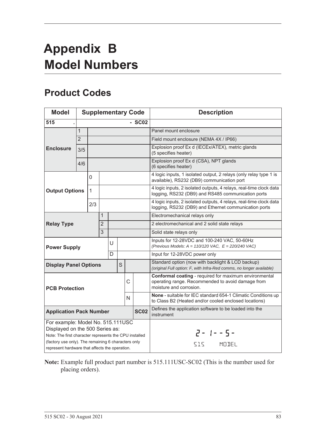# <span id="page-92-1"></span>**Appendix B Model Numbers**

# <span id="page-92-0"></span>**Product Codes**

| <b>Model</b>                                                                                                                                                                          |                |              |                                                                                                                 |                                                                                                                                        |                               | <b>Supplementary Code</b>                                                                                              | <b>Description</b>                                                                                                          |
|---------------------------------------------------------------------------------------------------------------------------------------------------------------------------------------|----------------|--------------|-----------------------------------------------------------------------------------------------------------------|----------------------------------------------------------------------------------------------------------------------------------------|-------------------------------|------------------------------------------------------------------------------------------------------------------------|-----------------------------------------------------------------------------------------------------------------------------|
| 515                                                                                                                                                                                   |                |              |                                                                                                                 |                                                                                                                                        |                               | $-$ SC02                                                                                                               |                                                                                                                             |
|                                                                                                                                                                                       | $\mathbf{1}$   |              |                                                                                                                 |                                                                                                                                        |                               |                                                                                                                        | Panel mount enclosure                                                                                                       |
|                                                                                                                                                                                       | $\overline{2}$ |              |                                                                                                                 |                                                                                                                                        |                               |                                                                                                                        | Field mount enclosure (NEMA 4X / IP66)                                                                                      |
| <b>Enclosure</b>                                                                                                                                                                      | 3/5            |              |                                                                                                                 |                                                                                                                                        |                               |                                                                                                                        | Explosion proof Ex d (IECEx/ATEX), metric glands<br>(5 specifies heater)                                                    |
|                                                                                                                                                                                       | 4/6            |              |                                                                                                                 |                                                                                                                                        |                               |                                                                                                                        | Explosion proof Ex d (CSA), NPT glands<br>(6 specifies heater)                                                              |
| 0                                                                                                                                                                                     |                |              | 4 logic inputs, 1 isolated output, 2 relays (only relay type 1 is<br>available), RS232 (DB9) communication port |                                                                                                                                        |                               |                                                                                                                        |                                                                                                                             |
| <b>Output Options</b>                                                                                                                                                                 |                | $\mathbf{1}$ |                                                                                                                 |                                                                                                                                        |                               |                                                                                                                        | 4 logic inputs, 2 isolated outputs, 4 relays, real-time clock data<br>logging, RS232 (DB9) and RS485 communication ports    |
|                                                                                                                                                                                       |                | 2/3          |                                                                                                                 |                                                                                                                                        |                               |                                                                                                                        | 4 logic inputs, 2 isolated outputs, 4 relays, real-time clock data<br>logging, RS232 (DB9) and Ethernet communication ports |
|                                                                                                                                                                                       | 1              |              |                                                                                                                 |                                                                                                                                        | Electromechanical relays only |                                                                                                                        |                                                                                                                             |
| <b>Relay Type</b>                                                                                                                                                                     |                |              | $\overline{2}$                                                                                                  |                                                                                                                                        |                               |                                                                                                                        | 2 electromechanical and 2 solid state relays                                                                                |
|                                                                                                                                                                                       |                |              | $\overline{3}$                                                                                                  |                                                                                                                                        |                               |                                                                                                                        | Solid state relays only                                                                                                     |
| <b>Power Supply</b>                                                                                                                                                                   |                |              |                                                                                                                 | U                                                                                                                                      |                               |                                                                                                                        | Inputs for 12-28VDC and 100-240 VAC, 50-60Hz<br>(Previous Models: $A = 110/120$ VAC, $E = 220/240$ VAC)                     |
|                                                                                                                                                                                       |                |              |                                                                                                                 | D                                                                                                                                      |                               |                                                                                                                        | Input for 12-28VDC power only                                                                                               |
| <b>Display Panel Options</b>                                                                                                                                                          |                |              |                                                                                                                 |                                                                                                                                        | S                             |                                                                                                                        | Standard option (now with backlight & LCD backup)<br>(original Full option: F, with Infra-Red comms, no longer available)   |
| C<br><b>PCB Protection</b>                                                                                                                                                            |                |              |                                                                                                                 | Conformal coating - required for maximum environmental<br>operating range. Recommended to avoid damage from<br>moisture and corrosion. |                               |                                                                                                                        |                                                                                                                             |
| N                                                                                                                                                                                     |                |              |                                                                                                                 |                                                                                                                                        |                               | None - suitable for IEC standard 654-1 Climatic Conditions up<br>to Class B2 (Heated and/or cooled enclosed locations) |                                                                                                                             |
| <b>SC02</b><br><b>Application Pack Number</b>                                                                                                                                         |                |              |                                                                                                                 | Defines the application software to be loaded into the<br>instrument                                                                   |                               |                                                                                                                        |                                                                                                                             |
| For example: Model No. 515.111USC<br>Displayed on the 500 Series as:<br>Note: The first character represents the CPU installed<br>(factory use only). The remaining 6 characters only |                |              |                                                                                                                 |                                                                                                                                        |                               | $2 - 1 - 5 -$                                                                                                          |                                                                                                                             |
| represent hardware that affects the operation.                                                                                                                                        |                |              |                                                                                                                 |                                                                                                                                        |                               |                                                                                                                        | MODEL<br>515                                                                                                                |

**Note:** Example full product part number is 515.111USC-SC02 (This is the number used for placing orders).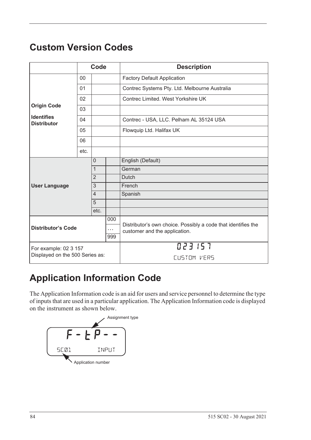# <span id="page-93-1"></span>**Custom Version Codes**

|                                              |      | Code           |                                                               | <b>Description</b>                            |
|----------------------------------------------|------|----------------|---------------------------------------------------------------|-----------------------------------------------|
|                                              | 00   |                |                                                               | <b>Factory Default Application</b>            |
|                                              | 01   |                |                                                               | Contrec Systems Pty. Ltd. Melbourne Australia |
|                                              | 02   |                |                                                               | Contrec Limited. West Yorkshire UK            |
| <b>Origin Code</b>                           | 03   |                |                                                               |                                               |
| <b>Identifies</b><br><b>Distributor</b>      | 04   |                |                                                               | Contrec - USA, LLC. Pelham AL 35124 USA       |
|                                              | 05   |                |                                                               | Flowquip Ltd. Halifax UK                      |
|                                              | 06   |                |                                                               |                                               |
|                                              | etc. |                |                                                               |                                               |
|                                              |      | $\Omega$       |                                                               | English (Default)                             |
|                                              |      | $\mathbf{1}$   |                                                               | German                                        |
|                                              |      | $\overline{2}$ |                                                               | Dutch                                         |
| <b>User Language</b>                         |      | 3              |                                                               | French                                        |
|                                              |      | $\overline{4}$ |                                                               | Spanish                                       |
|                                              |      | 5              |                                                               |                                               |
|                                              |      | etc.           |                                                               |                                               |
| 000<br><b>Distributor's Code</b><br>$\cdots$ |      |                | Distributor's own choice. Possibly a code that identifies the |                                               |
|                                              |      |                | customer and the application.                                 |                                               |
|                                              |      |                | 999                                                           |                                               |
| For example: 02 3 157                        |      |                |                                                               | 023157                                        |
| Displayed on the 500 Series as:              |      |                |                                                               | CUSTOM VERS                                   |

# **Application Information Code**

The Application Information code is an aid for users and service personnel to determine the type of inputs that are used in a particular application. The Application Information code is displayed on the instrument as shown below.

<span id="page-93-0"></span>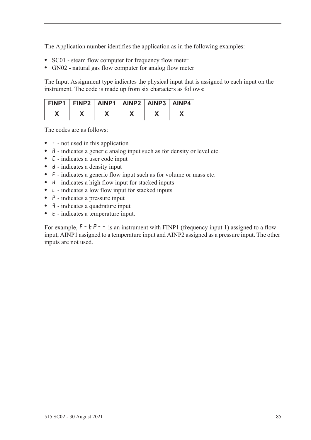The Application number identifies the application as in the following examples:

- **•** SC01 steam flow computer for frequency flow meter
- **•** GN02 natural gas flow computer for analog flow meter

The Input Assignment type indicates the physical input that is assigned to each input on the instrument. The code is made up from six characters as follows:

| FINP1   FINP2   AINP1   AINP2   AINP3   AINP4 |  |  |  |
|-----------------------------------------------|--|--|--|
|                                               |  |  |  |

The codes are as follows:

- - not used in this application
- **A** indicates a generic analog input such as for density or level etc.
- **•** C indicates a user code input
- d indicates a density input
- **•** F indicates a generic flow input such as for volume or mass etc.
- H indicates a high flow input for stacked inputs
- **•** L indicates a low flow input for stacked inputs
- **•** P indicates a pressure input
- **q** indicates a quadrature input
- *k* indicates a temperature input.

For example,  $F - tP - -$  is an instrument with FINP1 (frequency input 1) assigned to a flow input, AINP1 assigned to a temperature input and AINP2 assigned as a pressure input. The other inputs are not used.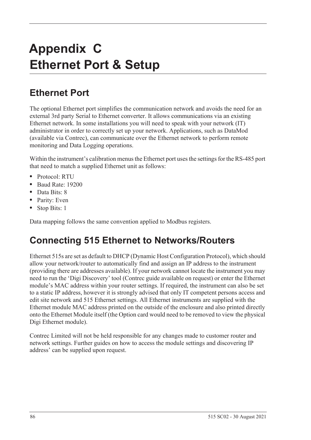# **Appendix C Ethernet Port & Setup**

# **Ethernet Port**

The optional Ethernet port simplifies the communication network and avoids the need for an external 3rd party Serial to Ethernet converter. It allows communications via an existing Ethernet network. In some installations you will need to speak with your network (IT) administrator in order to correctly set up your network. Applications, such as DataMod (available via Contrec), can communicate over the Ethernet network to perform remote monitoring and Data Logging operations.

Within the instrument's calibration menus the Ethernet port uses the settings for the RS-485 port that need to match a supplied Ethernet unit as follows:

- **•** Protocol: RTU
- **•** Baud Rate: 19200
- **•** Data Bits: 8
- **•** Parity: Even
- **•** Stop Bits: 1

Data mapping follows the same convention applied to Modbus registers.

# **Connecting 515 Ethernet to Networks/Routers**

Ethernet 515s are set as default to DHCP (Dynamic Host Configuration Protocol), which should allow your network/router to automatically find and assign an IP address to the instrument (providing there are addresses available). If your network cannot locate the instrument you may need to run the 'Digi Discovery' tool (Contrec guide available on request) or enter the Ethernet module's MAC address within your router settings. If required, the instrument can also be set to a static IP address, however it is strongly advised that only IT competent persons access and edit site network and 515 Ethernet settings. All Ethernet instruments are supplied with the Ethernet module MAC address printed on the outside of the enclosure and also printed directly onto the Ethernet Module itself (the Option card would need to be removed to view the physical Digi Ethernet module).

Contrec Limited will not be held responsible for any changes made to customer router and network settings. Further guides on how to access the module settings and discovering IP address' can be supplied upon request.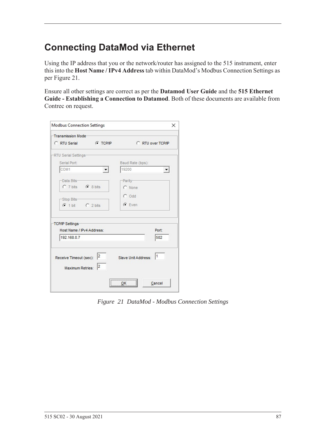# **Connecting DataMod via Ethernet**

Using the IP address that you or the network/router has assigned to the 515 instrument, enter this into the **Host Name / IPv4 Address** tab within DataMod's Modbus Connection Settings as per [Figure 21.](#page-96-0)

Ensure all other settings are correct as per the **Datamod User Guide** and the **515 Ethernet Guide - Establishing a Connection to Datamod**. Both of these documents are available from Contrec on request.

| Transmission Mode-        |                      |                     |                      |
|---------------------------|----------------------|---------------------|----------------------|
| C RTU Serial              | <b>C</b> TCP/IP      | C RTU over TCP/IP   |                      |
| -RTU Serial Settings-     |                      |                     |                      |
| Serial Port:              |                      | Baud Rate (bps):    |                      |
| COM1                      |                      | 19200               | $\blacktriangledown$ |
| -Data Bits-               |                      | -Parity-            |                      |
| C 7 bits C 8 bits         |                      | C None              |                      |
|                           |                      | $C$ Odd             |                      |
| -Stop Bits-               |                      |                     |                      |
| $C$ 1 bit $C$ 2 bits      |                      | $G$ Even            |                      |
|                           |                      |                     |                      |
| TCP/IP Settings           |                      |                     |                      |
| Host Name / IPv4 Address: |                      |                     | Port:                |
| 192.168.0.7               |                      |                     | 502                  |
|                           |                      |                     |                      |
|                           |                      | Slave Unit Address: | 11                   |
| Receive Timeout (sec): 2  |                      |                     |                      |
| Maximum Retries:          | $\vert$ <sub>2</sub> |                     |                      |
|                           |                      |                     |                      |
|                           |                      | <br>$\frac{QK}{2}$  | Cancel               |

<span id="page-96-0"></span>*Figure 21 DataMod - Modbus Connection Settings*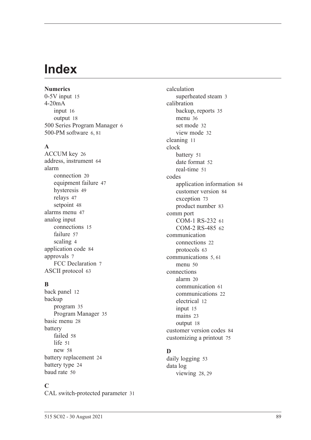# **Index**

**Numerics** 0-5V inpu[t 15](#page-24-0) 4-20mA input [16](#page-25-0) output [18](#page-27-0) 500 Series Program Manage[r 6](#page-15-0) 500-PM software [6,](#page-15-0) [81](#page-90-0)

#### **A**

ACCUM ke[y 26](#page-35-0) address, instrumen[t 64](#page-73-0) alarm connection [20](#page-29-0) equipment failur[e 47](#page-56-0) hysteresi[s 49](#page-58-0) relays [47](#page-56-1) setpoin[t 48](#page-57-0) alarms menu [47](#page-56-2) analog input connection[s 15](#page-24-1) failur[e 57](#page-66-0) scalin[g 4](#page-13-0) application cod[e 84](#page-93-0) approvals [7](#page-16-0) FCC Declaration [7](#page-16-1) ASCII protoco[l 63](#page-72-0)

### **B**

back panel [12](#page-21-0) backup program [35](#page-44-0) Program Manage[r 35](#page-44-1) basic men[u 28](#page-37-0) battery faile[d 58](#page-67-0) lif[e 51](#page-60-1) ne[w 58](#page-67-0) battery replacemen[t 24](#page-33-0) battery typ[e 24](#page-33-1) baud rat[e 50](#page-59-1)

### **C**

CAL switch-protected parameter [31](#page-40-0)

calculation superheated stea[m 3](#page-12-0) calibration backup, reports [35](#page-44-0) menu [36](#page-45-0) set mode [32](#page-41-0) view mode [32](#page-41-1) cleaning [11](#page-20-0) clock batter[y 51](#page-60-1) date format [52](#page-61-0) real-tim[e 51](#page-60-2) codes application information [84](#page-93-0) customer versio[n 84](#page-93-1) exception [73](#page-82-1) product numbe[r 83](#page-92-0) comm port COM-1 RS-232 [61](#page-70-0) COM-2 RS-485 [62](#page-71-0) communication connection[s 22](#page-31-0) protocols [63](#page-72-1) communication[s 5,](#page-14-1) [61](#page-70-1) menu [50](#page-59-2) connections alar[m 20](#page-29-0) communication [61](#page-70-2) communication[s 22](#page-31-0) electrical [12](#page-21-1) input [15](#page-24-2) mains [23](#page-32-0) output [18](#page-27-1) customer version codes [84](#page-93-1) customizing a printout [75](#page-84-1)

# **D**

daily logging [53](#page-62-0) data log viewing [28,](#page-37-1) [29](#page-38-0)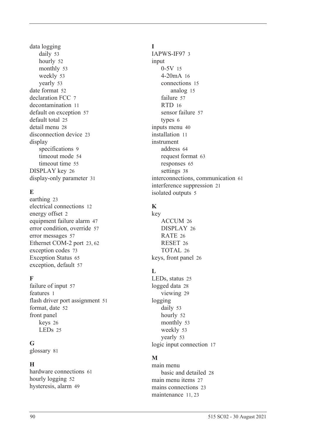data logging daily [53](#page-62-0) hourl[y 52](#page-61-1) monthly [53](#page-62-1) weekl[y 53](#page-62-2) yearly [53](#page-62-3) date format [52](#page-61-0) declaration FCC [7](#page-16-1) decontamination [11](#page-20-0) default on exception [57](#page-66-1) default tota[l 25](#page-34-0) detail men[u 28](#page-37-0) disconnection device [23](#page-32-1) display specifications [9](#page-18-0) timeout mod[e 54](#page-63-0) timeout time [55](#page-64-0) DISPLAY key [26](#page-35-1) display-only parameter [31](#page-40-1)

# **E**

earthin[g 23](#page-32-2) electrical connections [12](#page-21-1) energy offset [2](#page-11-0) equipment failure alarm [47](#page-56-0) error condition, overrid[e 57](#page-66-2) error message[s 57](#page-66-3) Ethernet COM-2 por[t 23,](#page-32-3) [62](#page-71-1) exception codes [73](#page-82-1) Exception Status [65](#page-74-0) exception, default [57](#page-66-1)

# **F**

failure of input [57](#page-66-0) features [1](#page-10-0) flash driver port assignmen[t 51](#page-60-3) format, date [52](#page-61-0) front panel keys [26](#page-35-2) LEDs [25](#page-34-1)

### **G**

glossary [81](#page-90-1)

# **H**

hardware connections [61](#page-70-2) hourly logging [52](#page-61-1) hysteresis, alar[m 49](#page-58-0)

### **I**

IAPWS-IF97 [3](#page-12-0) input 0-5[V 15](#page-24-0) 4-20mA [16](#page-25-0) connections [15](#page-24-2) analog [15](#page-24-1) failure [57](#page-66-0) RTD [16](#page-25-1) sensor failure [57](#page-66-0) types [6](#page-15-1) inputs menu [40](#page-49-0) installation [11](#page-20-1) instrument address [64](#page-73-0) request forma[t 63](#page-72-2) response[s 65](#page-74-1) setting[s 38](#page-47-0) interconnections, communication [61](#page-70-2) interference suppression [21](#page-30-0) isolated output[s 5](#page-14-2)

# **K**

key ACCUM [26](#page-35-0) DISPLA[Y 26](#page-35-1) RATE [26](#page-35-3) RESE[T 26](#page-35-4) TOTAL [26](#page-35-5) keys, front panel [26](#page-35-2)

# **L**

LEDs, status [25](#page-34-1) logged dat[a 28](#page-37-1) viewin[g 29](#page-38-0) logging daily [53](#page-62-0) hourly [52](#page-61-1) monthly [53](#page-62-1) weekl[y 53](#page-62-2) yearly [53](#page-62-3) logic input connection [17](#page-26-0)

# **M**

main menu basic and detailed [28](#page-37-0) main menu item[s 27](#page-36-0) mains connections [23](#page-32-0) maintenanc[e 11,](#page-20-1) [23](#page-32-4)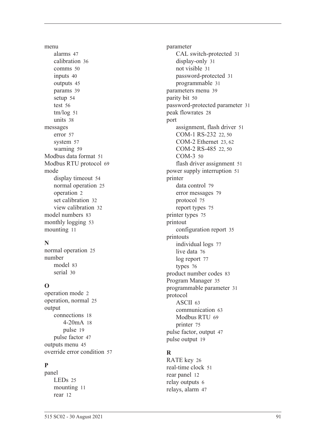menu alarm[s 47](#page-56-2) calibratio[n 36](#page-45-0) comms [50](#page-59-2) input[s 40](#page-49-0) output[s 45](#page-54-0) params [39](#page-48-0) setu[p 54](#page-63-1) test [56](#page-65-0) tm/lo[g 51](#page-60-4) unit[s 38](#page-47-1) messages erro[r 57](#page-66-3) syste[m 57](#page-66-4) warnin[g 59](#page-68-0) Modbus data forma[t 51](#page-60-5) Modbus RTU protoco[l 69](#page-78-0) mode display timeou[t 54](#page-63-0) normal operatio[n 25](#page-34-2) operatio[n 2](#page-11-1) set calibration [32](#page-41-0) view calibration [32](#page-41-1) model number[s 83](#page-92-1) monthly logging [53](#page-62-1) mountin[g 11](#page-20-2)

# **N**

normal operatio[n 25](#page-34-2) number mode[l 83](#page-92-1) seria[l 30](#page-39-1)

# **O**

operation mod[e 2](#page-11-1) operation, norma[l 25](#page-34-2) output connection[s 18](#page-27-1) 4-20m[A 18](#page-27-0) puls[e 19](#page-28-0) pulse facto[r 47](#page-56-3) outputs men[u 45](#page-54-0) override error condition [57](#page-66-2)

# **P**

panel LED[s 25](#page-34-1) mountin[g 11](#page-20-2) rear [12](#page-21-0)

parameter CAL switch-protected [31](#page-40-0) display-only [31](#page-40-1) not visibl[e 31](#page-40-2) password-protected [31](#page-40-3) programmable [31](#page-40-4) parameters men[u 39](#page-48-0) parity bit [50](#page-59-3) password-protected parameter [31](#page-40-3) peak flowrate[s 28](#page-37-2) port assignment, flash driver [51](#page-60-3) COM-1 RS-232 [22,](#page-31-1) [50](#page-59-4) COM-2 Ethernet [23,](#page-32-3) [62](#page-71-1) COM-2 RS-485 [22,](#page-31-2) [50](#page-59-5) COM-[3 50](#page-59-6) flash driver assignment [51](#page-60-3) power supply interruption [51](#page-60-1) printer data control [79](#page-88-0) error messages [79](#page-88-1) protocol [75](#page-84-2) report types [75](#page-84-3) printer type[s 75](#page-84-4) printout configuration repor[t 35](#page-44-2) printouts individual logs [77](#page-86-0) live data [76](#page-85-0) log report [77](#page-86-1) type[s 76](#page-85-1) product number codes [83](#page-92-0) Program Manager [35](#page-44-1) programmable parameter [31](#page-40-4) protocol ASCI[I 63](#page-72-0) communication [63](#page-72-1) Modbus RT[U 69](#page-78-0) printer [75](#page-84-2) pulse factor, output [47](#page-56-3) pulse output [19](#page-28-0)

# **R**

RATE key [26](#page-35-3) real-time cloc[k 51](#page-60-2) rear panel [12](#page-21-0) relay output[s 6](#page-15-2) relays, alarm [47](#page-56-1)